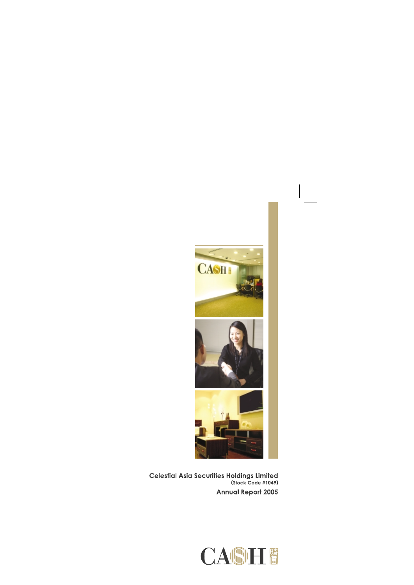

**Celestial Asia Securities Holdings Limited**<br>(Stock Code #1049) **Annual Report 2005** 

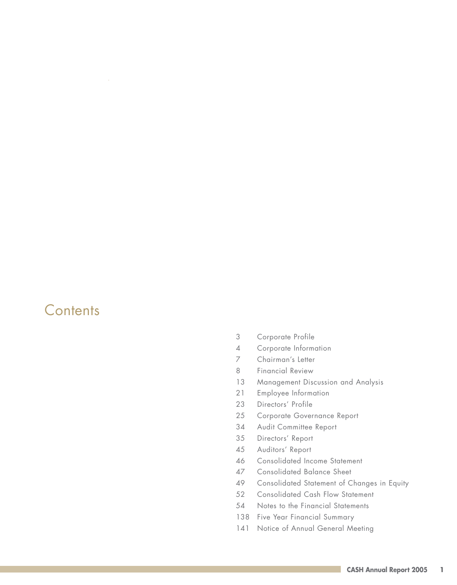## **Contents**

- 3 Corporate Profile
- 4 Corporate Information
- 7 Chairman's Letter
- 8 Financial Review
- 13 Management Discussion and Analysis
- 21 Employee Information
- 23 Directors' Profile
- 25 Corporate Governance Report
- 34 Audit Committee Report
- 35 Directors' Report
- 45 Auditors' Report
- 46 Consolidated Income Statement
- 47 Consolidated Balance Sheet
- 49 Consolidated Statement of Changes in Equity
- 52 Consolidated Cash Flow Statement
- 54 Notes to the Financial Statements
- 138 Five Year Financial Summary
- 141 Notice of Annual General Meeting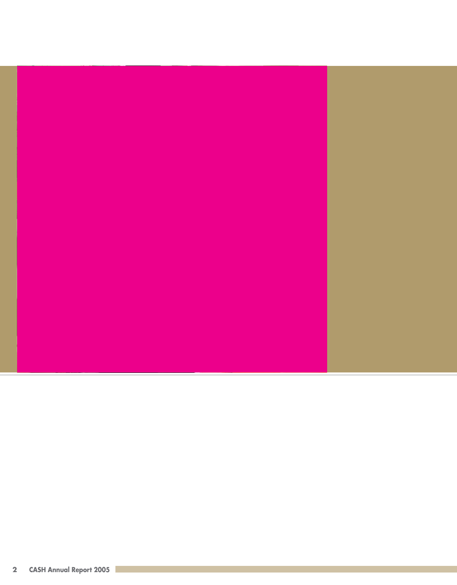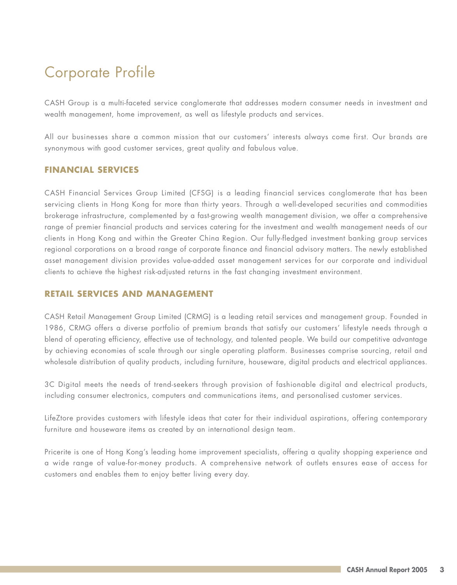# Corporate Profile

CASH Group is a multi-faceted service conglomerate that addresses modern consumer needs in investment and wealth management, home improvement, as well as lifestyle products and services.

All our businesses share a common mission that our customers' interests always come first. Our brands are synonymous with good customer services, great quality and fabulous value.

#### **FINANCIAL SERVICES**

CASH Financial Services Group Limited (CFSG) is a leading financial services conglomerate that has been servicing clients in Hong Kong for more than thirty years. Through a well-developed securities and commodities brokerage infrastructure, complemented by a fast-growing wealth management division, we offer a comprehensive range of premier financial products and services catering for the investment and wealth management needs of our clients in Hong Kong and within the Greater China Region. Our fully-fledged investment banking group services regional corporations on a broad range of corporate finance and financial advisory matters. The newly established asset management division provides value-added asset management services for our corporate and individual clients to achieve the highest risk-adjusted returns in the fast changing investment environment.

#### **RETAIL SERVICES AND MANAGEMENT**

CASH Retail Management Group Limited (CRMG) is a leading retail services and management group. Founded in 1986, CRMG offers a diverse portfolio of premium brands that satisfy our customers' lifestyle needs through a blend of operating efficiency, effective use of technology, and talented people. We build our competitive advantage by achieving economies of scale through our single operating platform. Businesses comprise sourcing, retail and wholesale distribution of quality products, including furniture, houseware, digital products and electrical appliances.

3C Digital meets the needs of trend-seekers through provision of fashionable digital and electrical products, including consumer electronics, computers and communications items, and personalised customer services.

LifeZtore provides customers with lifestyle ideas that cater for their individual aspirations, offering contemporary furniture and houseware items as created by an international design team.

Pricerite is one of Hong Kong's leading home improvement specialists, offering a quality shopping experience and a wide range of value-for-money products. A comprehensive network of outlets ensures ease of access for customers and enables them to enjoy better living every day.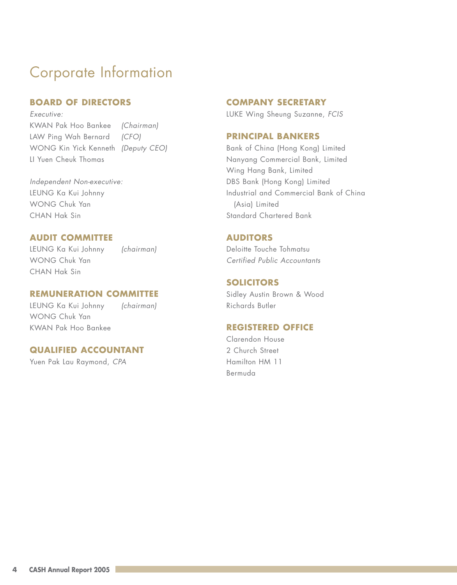# Corporate Information

### **BOARD OF DIRECTORS**

Executive: KWAN Pak Hoo Bankee (Chairman) LAW Ping Wah Bernard (CFO) WONG Kin Yick Kenneth (Deputy CEO) LI Yuen Cheuk Thomas

Independent Non-executive: LEUNG Ka Kui Johnny WONG Chuk Yan CHAN Hak Sin

#### **AUDIT COMMITTEE**

LEUNG Ka Kui Johnny (chairman) WONG Chuk Yan CHAN Hak Sin

#### **REMUNERATION COMMITTEE**

LEUNG Ka Kui Johnny (chairman) WONG Chuk Yan KWAN Pak Hoo Bankee

#### **QUALIFIED ACCOUNTANT**

Yuen Pak Lau Raymond, CPA

#### **COMPANY SECRETARY**

LUKE Wing Sheung Suzanne, FCIS

#### **PRINCIPAL BANKERS**

Bank of China (Hong Kong) Limited Nanyang Commercial Bank, Limited Wing Hang Bank, Limited DBS Bank (Hong Kong) Limited Industrial and Commercial Bank of China (Asia) Limited Standard Chartered Bank

#### **AUDITORS**

Deloitte Touche Tohmatsu Certified Public Accountants

#### **SOLICITORS**

Sidley Austin Brown & Wood Richards Butler

#### **REGISTERED OFFICE**

Clarendon House 2 Church Street Hamilton HM 11 Bermuda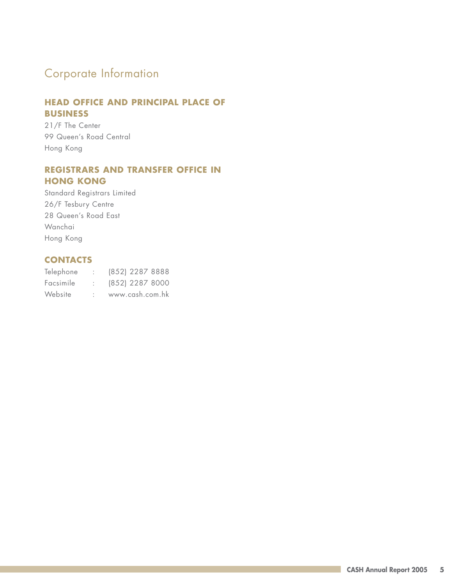## Corporate Information

#### **HEAD OFFICE AND PRINCIPAL PLACE OF BUSINESS**

21/F The Center 99 Queen's Road Central Hong Kong

#### **REGISTRARS AND TRANSFER OFFICE IN HONG KONG**

Standard Registrars Limited 26/F Tesbury Centre 28 Queen's Road East Wanchai Hong Kong

#### **CONTACTS**

| Telephone | (852) 2287 8888 |
|-----------|-----------------|
| Facsimile | (852) 2287 8000 |
| Website   | www.cash.com.hk |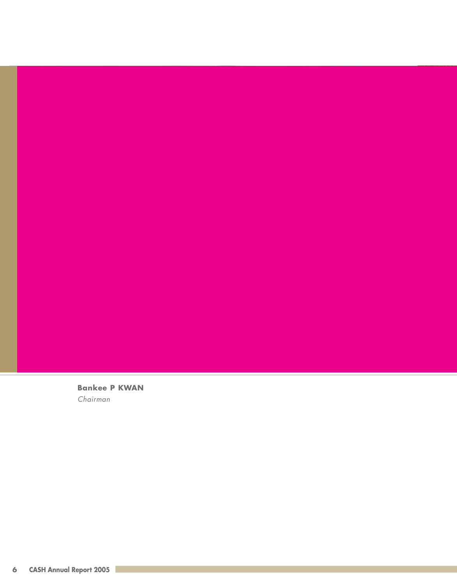**Bankee P KWAN** Chairman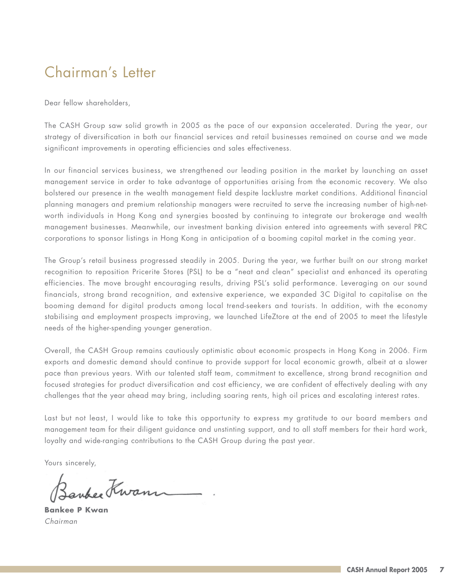# Chairman's Letter

Dear fellow shareholders,

The CASH Group saw solid growth in 2005 as the pace of our expansion accelerated. During the year, our strategy of diversification in both our financial services and retail businesses remained on course and we made significant improvements in operating efficiencies and sales effectiveness.

In our financial services business, we strengthened our leading position in the market by launching an asset management service in order to take advantage of opportunities arising from the economic recovery. We also bolstered our presence in the wealth management field despite lacklustre market conditions. Additional financial planning managers and premium relationship managers were recruited to serve the increasing number of high-networth individuals in Hong Kong and synergies boosted by continuing to integrate our brokerage and wealth management businesses. Meanwhile, our investment banking division entered into agreements with several PRC corporations to sponsor listings in Hong Kong in anticipation of a booming capital market in the coming year.

The Group's retail business progressed steadily in 2005. During the year, we further built on our strong market recognition to reposition Pricerite Stores (PSL) to be a "neat and clean" specialist and enhanced its operating efficiencies. The move brought encouraging results, driving PSL's solid performance. Leveraging on our sound financials, strong brand recognition, and extensive experience, we expanded 3C Digital to capitalise on the booming demand for digital products among local trend-seekers and tourists. In addition, with the economy stabilising and employment prospects improving, we launched LifeZtore at the end of 2005 to meet the lifestyle needs of the higher-spending younger generation.

Overall, the CASH Group remains cautiously optimistic about economic prospects in Hong Kong in 2006. Firm exports and domestic demand should continue to provide support for local economic growth, albeit at a slower pace than previous years. With our talented staff team, commitment to excellence, strong brand recognition and focused strategies for product diversification and cost efficiency, we are confident of effectively dealing with any challenges that the year ahead may bring, including soaring rents, high oil prices and escalating interest rates.

Last but not least, I would like to take this opportunity to express my gratitude to our board members and management team for their diligent guidance and unstinting support, and to all staff members for their hard work, loyalty and wide-ranging contributions to the CASH Group during the past year.

Yours sincerely,

Banker Kwann

**Bankee P Kwan** Chairman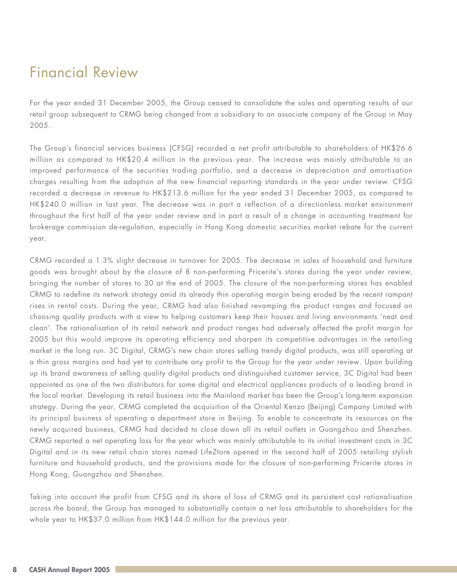For the year ended 31 December 2005, the Group ceased to consolidate the sales and operating results of our retail group subsequent to CRMG being changed from a subsidiary to an associate company of the Group in May 2005.

The Group's financial services business (CFSG) recorded a net profit attributable to shareholders of HK\$26.6 million as compared to HK\$20.4 million in the previous year. The increase was mainly attributable to an improved performance of the securities trading portfolio, and a decrease in depreciation and amortisation charges resulting from the adoption of the new financial reporting standards in the year under review. CFSG recorded a decrease in revenue to HK\$213.6 million for the year ended 31 December 2005, as compared to HK\$240.0 million in last year. The decrease was in part a reflection of a directionless market environment throughout the first half of the year under review and in part a result of a change in accounting treatment for brokerage commission de-regulation, especially in Hong Kong domestic securities market rebate for the current year.

CRMG recorded a 1.3% slight decrease in turnover for 2005. The decrease in sales of household and furniture goods was brought about by the closure of 8 non-performing Pricerite's stores during the year under review, bringing the number of stores to 30 at the end of 2005. The closure of the non-performing stores has enabled CRMG to redefine its network strategy amid its already thin operating margin being eroded by the recent rampant rises in rental costs. During the year, CRMG had also finished revamping the product ranges and focused on choosing quality products with a view to helping customers keep their houses and living environments 'neat and clean'. The rationalisation of its retail network and product ranges had adversely affected the profit margin for 2005 but this would improve its operating efficiency and sharpen its competitive advantages in the retailing market in the long run. 3C Digital, CRMG's new chain stores selling trendy digital products, was still operating at a thin gross margins and had yet to contribute any profit to the Group for the year under review. Upon building up its brand awareness of selling quality digital products and distinguished customer service, 3C Digital had been appointed as one of the two distributors for some digital and electrical appliances products of a leading brand in the local market. Developing its retail business into the Mainland market has been the Group's long-term expansion strategy. During the year, CRMG completed the acquisition of the Oriental Kenzo (Beijing) Company Limited with its principal business of operating a department store in Beijing. To enable to concentrate its resources on the newly acquired business, CRMG had decided to close down all its retail outlets in Guangzhou and Shenzhen. CRMG reported a net operating loss for the year which was mainly attributable to its initial investment costs in 3C Digital and in its new retail chain stores named LifeZtore opened in the second half of 2005 retailing stylish furniture and household products, and the provisions made for the closure of non-performing Pricerite stores in Hong Kong, Guangzhou and Shenzhen.

Taking into account the profit from CFSG and its share of loss of CRMG and its persistent cost rationalisation across the board, the Group has managed to substantially contain a net loss attributable to shareholders for the whole year to HK\$37.0 million from HK\$144.0 million for the previous year.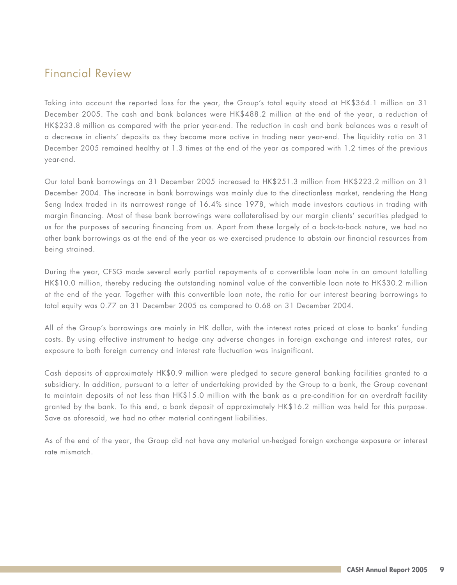Taking into account the reported loss for the year, the Group's total equity stood at HK\$364.1 million on 31 December 2005. The cash and bank balances were HK\$488.2 million at the end of the year, a reduction of HK\$233.8 million as compared with the prior year-end. The reduction in cash and bank balances was a result of a decrease in clients' deposits as they became more active in trading near year-end. The liquidity ratio on 31 December 2005 remained healthy at 1.3 times at the end of the year as compared with 1.2 times of the previous year-end.

Our total bank borrowings on 31 December 2005 increased to HK\$251.3 million from HK\$223.2 million on 31 December 2004. The increase in bank borrowings was mainly due to the directionless market, rendering the Hang Seng Index traded in its narrowest range of 16.4% since 1978, which made investors cautious in trading with margin financing. Most of these bank borrowings were collateralised by our margin clients' securities pledged to us for the purposes of securing financing from us. Apart from these largely of a back-to-back nature, we had no other bank borrowings as at the end of the year as we exercised prudence to abstain our financial resources from being strained.

During the year, CFSG made several early partial repayments of a convertible loan note in an amount totalling HK\$10.0 million, thereby reducing the outstanding nominal value of the convertible loan note to HK\$30.2 million at the end of the year. Together with this convertible loan note, the ratio for our interest bearing borrowings to total equity was 0.77 on 31 December 2005 as compared to 0.68 on 31 December 2004.

All of the Group's borrowings are mainly in HK dollar, with the interest rates priced at close to banks' funding costs. By using effective instrument to hedge any adverse changes in foreign exchange and interest rates, our exposure to both foreign currency and interest rate fluctuation was insignificant.

Cash deposits of approximately HK\$0.9 million were pledged to secure general banking facilities granted to a subsidiary. In addition, pursuant to a letter of undertaking provided by the Group to a bank, the Group covenant to maintain deposits of not less than HK\$15.0 million with the bank as a pre-condition for an overdraft facility granted by the bank. To this end, a bank deposit of approximately HK\$16.2 million was held for this purpose. Save as aforesaid, we had no other material contingent liabilities.

As of the end of the year, the Group did not have any material un-hedged foreign exchange exposure or interest rate mismatch.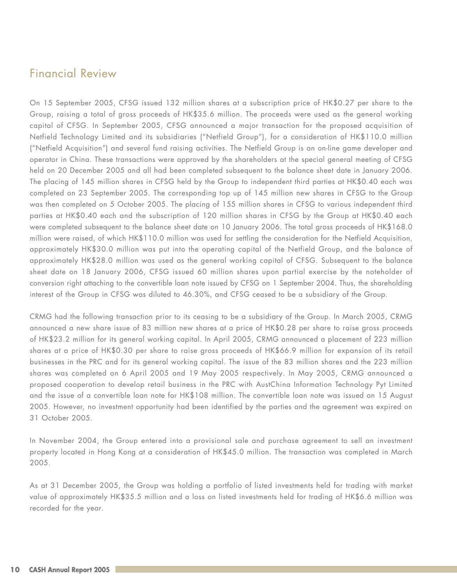On 15 September 2005, CFSG issued 132 million shares at a subscription price of HK\$0.27 per share to the Group, raising a total of gross proceeds of HK\$35.6 million. The proceeds were used as the general working capital of CFSG. In September 2005, CFSG announced a major transaction for the proposed acquisition of Netfield Technology Limited and its subsidiaries ("Netfield Group"), for a consideration of HK\$110.0 million ("Netfield Acquisition") and several fund raising activities. The Netfield Group is an on-line game developer and operator in China. These transactions were approved by the shareholders at the special general meeting of CFSG held on 20 December 2005 and all had been completed subsequent to the balance sheet date in January 2006. The placing of 145 million shares in CFSG held by the Group to independent third parties at HK\$0.40 each was completed on 23 September 2005. The corresponding top up of 145 million new shares in CFSG to the Group was then completed on 5 October 2005. The placing of 155 million shares in CFSG to various independent third parties at HK\$0.40 each and the subscription of 120 million shares in CFSG by the Group at HK\$0.40 each were completed subsequent to the balance sheet date on 10 January 2006. The total gross proceeds of HK\$168.0 million were raised, of which HK\$110.0 million was used for settling the consideration for the Netfield Acquisition, approximately HK\$30.0 million was put into the operating capital of the Netfield Group, and the balance of approximately HK\$28.0 million was used as the general working capital of CFSG. Subsequent to the balance sheet date on 18 January 2006, CFSG issued 60 million shares upon partial exercise by the noteholder of conversion right attaching to the convertible loan note issued by CFSG on 1 September 2004. Thus, the shareholding interest of the Group in CFSG was diluted to 46.30%, and CFSG ceased to be a subsidiary of the Group.

CRMG had the following transaction prior to its ceasing to be a subsidiary of the Group. In March 2005, CRMG announced a new share issue of 83 million new shares at a price of HK\$0.28 per share to raise gross proceeds of HK\$23.2 million for its general working capital. In April 2005, CRMG announced a placement of 223 million shares at a price of HK\$0.30 per share to raise gross proceeds of HK\$66.9 million for expansion of its retail businesses in the PRC and for its general working capital. The issue of the 83 million shares and the 223 million shares was completed on 6 April 2005 and 19 May 2005 respectively. In May 2005, CRMG announced a proposed cooperation to develop retail business in the PRC with AustChina Information Technology Pyt Limited and the issue of a convertible loan note for HK\$108 million. The convertible loan note was issued on 15 August 2005. However, no investment opportunity had been identified by the parties and the agreement was expired on 31 October 2005.

In November 2004, the Group entered into a provisional sale and purchase agreement to sell an investment property located in Hong Kong at a consideration of HK\$45.0 million. The transaction was completed in March 2005.

As at 31 December 2005, the Group was holding a portfolio of listed investments held for trading with market value of approximately HK\$35.5 million and a loss on listed investments held for trading of HK\$6.6 million was recorded for the year.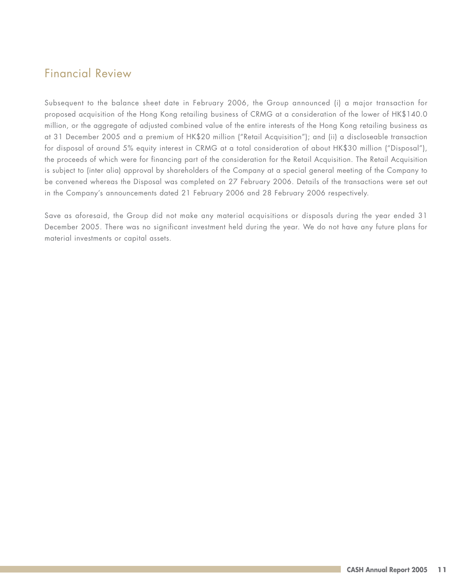Subsequent to the balance sheet date in February 2006, the Group announced (i) a major transaction for proposed acquisition of the Hong Kong retailing business of CRMG at a consideration of the lower of HK\$140.0 million, or the aggregate of adjusted combined value of the entire interests of the Hong Kong retailing business as at 31 December 2005 and a premium of HK\$20 million ("Retail Acquisition"); and (ii) a discloseable transaction for disposal of around 5% equity interest in CRMG at a total consideration of about HK\$30 million ("Disposal"), the proceeds of which were for financing part of the consideration for the Retail Acquisition. The Retail Acquisition is subject to (inter alia) approval by shareholders of the Company at a special general meeting of the Company to be convened whereas the Disposal was completed on 27 February 2006. Details of the transactions were set out in the Company's announcements dated 21 February 2006 and 28 February 2006 respectively.

Save as aforesaid, the Group did not make any material acquisitions or disposals during the year ended 31 December 2005. There was no significant investment held during the year. We do not have any future plans for material investments or capital assets.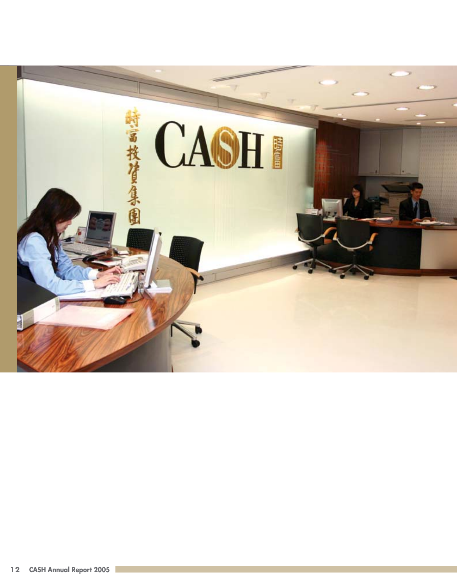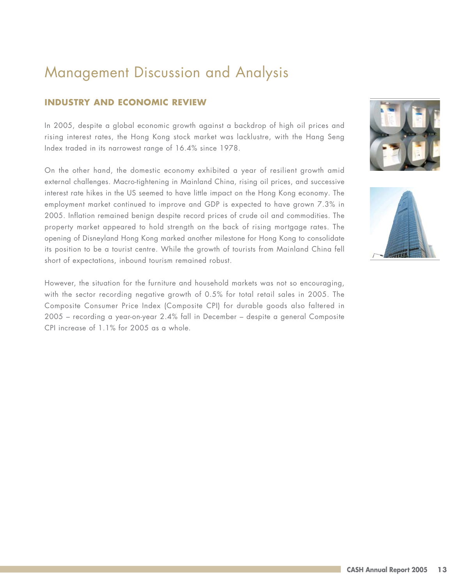### **INDUSTRY AND ECONOMIC REVIEW**

In 2005, despite a global economic growth against a backdrop of high oil prices and rising interest rates, the Hong Kong stock market was lacklustre, with the Hang Seng Index traded in its narrowest range of 16.4% since 1978.

On the other hand, the domestic economy exhibited a year of resilient growth amid external challenges. Macro-tightening in Mainland China, rising oil prices, and successive interest rate hikes in the US seemed to have little impact on the Hong Kong economy. The employment market continued to improve and GDP is expected to have grown 7.3% in 2005. Inflation remained benign despite record prices of crude oil and commodities. The property market appeared to hold strength on the back of rising mortgage rates. The opening of Disneyland Hong Kong marked another milestone for Hong Kong to consolidate its position to be a tourist centre. While the growth of tourists from Mainland China fell short of expectations, inbound tourism remained robust.

However, the situation for the furniture and household markets was not so encouraging, with the sector recording negative growth of 0.5% for total retail sales in 2005. The Composite Consumer Price Index (Composite CPI) for durable goods also faltered in 2005 – recording a year-on-year 2.4% fall in December – despite a general Composite CPI increase of 1.1% for 2005 as a whole.



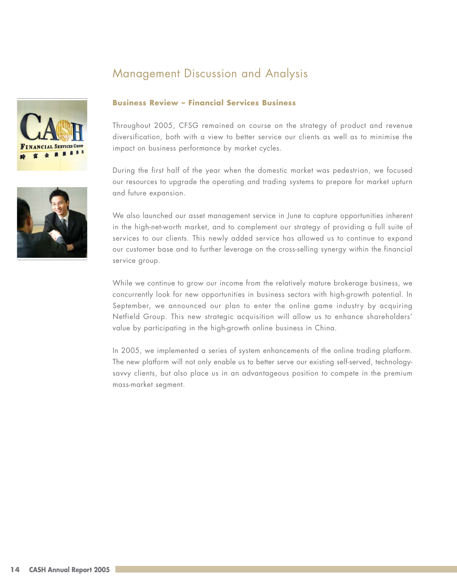

#### **Business Review – Financial Services Business**

Throughout 2005, CFSG remained on course on the strategy of product and revenue diversification, both with a view to better service our clients as well as to minimise the impact on business performance by market cycles.

During the first half of the year when the domestic market was pedestrian, we focused our resources to upgrade the operating and trading systems to prepare for market upturn and future expansion.

We also launched our asset management service in June to capture opportunities inherent in the high-net-worth market, and to complement our strategy of providing a full suite of services to our clients. This newly added service has allowed us to continue to expand our customer base and to further leverage on the cross-selling synergy within the financial service group.

While we continue to grow our income from the relatively mature brokerage business, we concurrently look for new opportunities in business sectors with high-growth potential. In September, we announced our plan to enter the online game industry by acquiring Netfield Group. This new strategic acquisition will allow us to enhance shareholders' value by participating in the high-growth online business in China.

In 2005, we implemented a series of system enhancements of the online trading platform. The new platform will not only enable us to better serve our existing self-served, technologysavvy clients, but also place us in an advantageous position to compete in the premium mass-market segment.

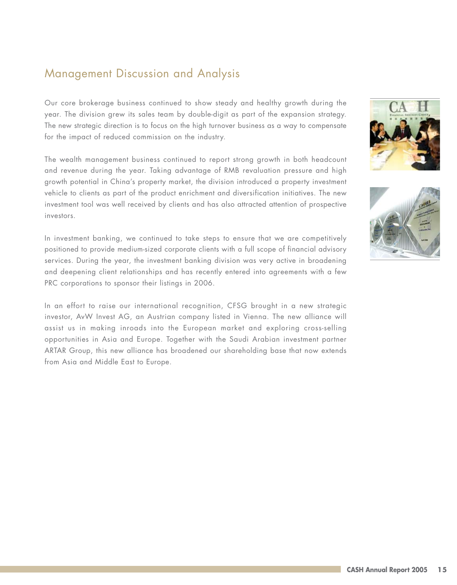Our core brokerage business continued to show steady and healthy growth during the year. The division grew its sales team by double-digit as part of the expansion strategy. The new strategic direction is to focus on the high turnover business as a way to compensate for the impact of reduced commission on the industry.

The wealth management business continued to report strong growth in both headcount and revenue during the year. Taking advantage of RMB revaluation pressure and high growth potential in China's property market, the division introduced a property investment vehicle to clients as part of the product enrichment and diversification initiatives. The new investment tool was well received by clients and has also attracted attention of prospective investors.

In investment banking, we continued to take steps to ensure that we are competitively positioned to provide medium-sized corporate clients with a full scope of financial advisory services. During the year, the investment banking division was very active in broadening and deepening client relationships and has recently entered into agreements with a few PRC corporations to sponsor their listings in 2006.

In an effort to raise our international recognition, CFSG brought in a new strategic investor, AvW Invest AG, an Austrian company listed in Vienna. The new alliance will assist us in making inroads into the European market and exploring cross-selling opportunities in Asia and Europe. Together with the Saudi Arabian investment partner ARTAR Group, this new alliance has broadened our shareholding base that now extends from Asia and Middle East to Europe.



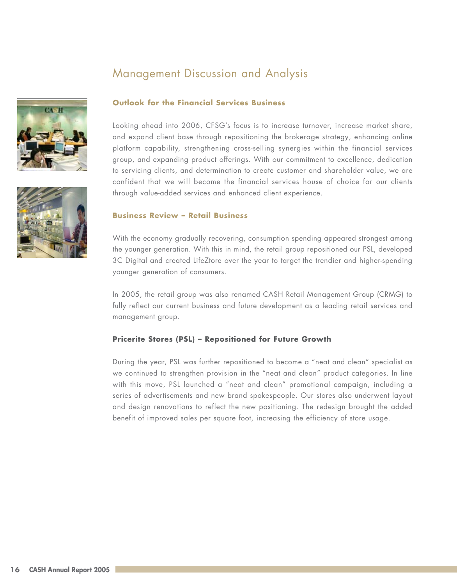



#### **Outlook for the Financial Services Business**

Looking ahead into 2006, CFSG's focus is to increase turnover, increase market share, and expand client base through repositioning the brokerage strategy, enhancing online platform capability, strengthening cross-selling synergies within the financial services group, and expanding product offerings. With our commitment to excellence, dedication to servicing clients, and determination to create customer and shareholder value, we are confident that we will become the financial services house of choice for our clients through value-added services and enhanced client experience.

#### **Business Review – Retail Business**

With the economy gradually recovering, consumption spending appeared strongest among the younger generation. With this in mind, the retail group repositioned our PSL, developed 3C Digital and created LifeZtore over the year to target the trendier and higher-spending younger generation of consumers.

In 2005, the retail group was also renamed CASH Retail Management Group (CRMG) to fully reflect our current business and future development as a leading retail services and management group.

#### **Pricerite Stores (PSL) – Repositioned for Future Growth**

During the year, PSL was further repositioned to become a "neat and clean" specialist as we continued to strengthen provision in the "neat and clean" product categories. In line with this move, PSL launched a "neat and clean" promotional campaign, including a series of advertisements and new brand spokespeople. Our stores also underwent layout and design renovations to reflect the new positioning. The redesign brought the added benefit of improved sales per square foot, increasing the efficiency of store usage.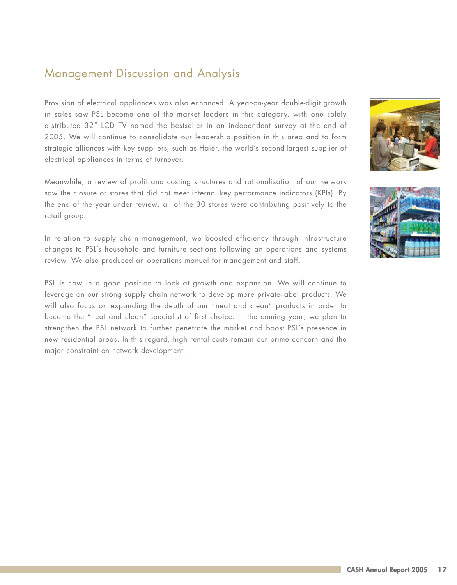Provision of electrical appliances was also enhanced. A year-on-year double-digit growth in sales saw PSL become one of the market leaders in this category, with one solely distributed 32" LCD TV named the bestseller in an independent survey at the end of 2005. We will continue to consolidate our leadership position in this area and to form strategic alliances with key suppliers, such as Haier, the world's second-largest supplier of electrical appliances in terms of turnover.

Meanwhile, a review of profit and costing structures and rationalisation of our network saw the closure of stores that did not meet internal key performance indicators (KPIs). By the end of the year under review, all of the 30 stores were contributing positively to the retail group.

In relation to supply chain management, we boosted efficiency through infrastructure changes to PSL's household and furniture sections following an operations and systems review. We also produced an operations manual for management and staff.

PSL is now in a good position to look at growth and expansion. We will continue to leverage on our strong supply chain network to develop more private-label products. We will also focus on expanding the depth of our "neat and clean" products in order to become the "neat and clean" specialist of first choice. In the coming year, we plan to strengthen the PSL network to further penetrate the market and boost PSL's presence in new residential areas. In this regard, high rental costs remain our prime concern and the major constraint on network development.



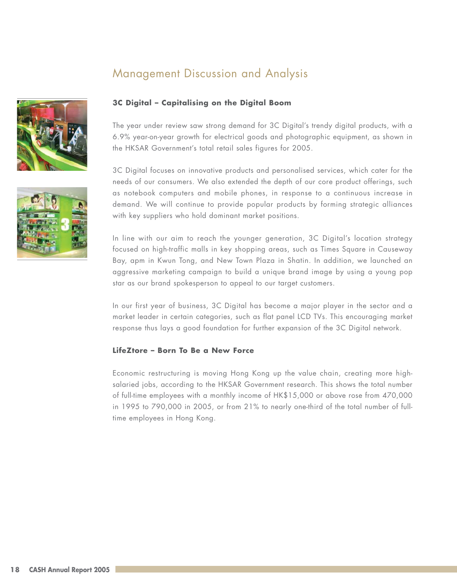



#### **3C Digital – Capitalising on the Digital Boom**

The year under review saw strong demand for 3C Digital's trendy digital products, with a 6.9% year-on-year growth for electrical goods and photographic equipment, as shown in the HKSAR Government's total retail sales figures for 2005.

3C Digital focuses on innovative products and personalised services, which cater for the needs of our consumers. We also extended the depth of our core product offerings, such as notebook computers and mobile phones, in response to a continuous increase in demand. We will continue to provide popular products by forming strategic alliances with key suppliers who hold dominant market positions.

In line with our aim to reach the younger generation, 3C Digital's location strategy focused on high-traffic malls in key shopping areas, such as Times Square in Causeway Bay, apm in Kwun Tong, and New Town Plaza in Shatin. In addition, we launched an aggressive marketing campaign to build a unique brand image by using a young pop star as our brand spokesperson to appeal to our target customers.

In our first year of business, 3C Digital has become a major player in the sector and a market leader in certain categories, such as flat panel LCD TVs. This encouraging market response thus lays a good foundation for further expansion of the 3C Digital network.

#### **LifeZtore – Born To Be a New Force**

Economic restructuring is moving Hong Kong up the value chain, creating more highsalaried jobs, according to the HKSAR Government research. This shows the total number of full-time employees with a monthly income of HK\$15,000 or above rose from 470,000 in 1995 to 790,000 in 2005, or from 21% to nearly one-third of the total number of fulltime employees in Hong Kong.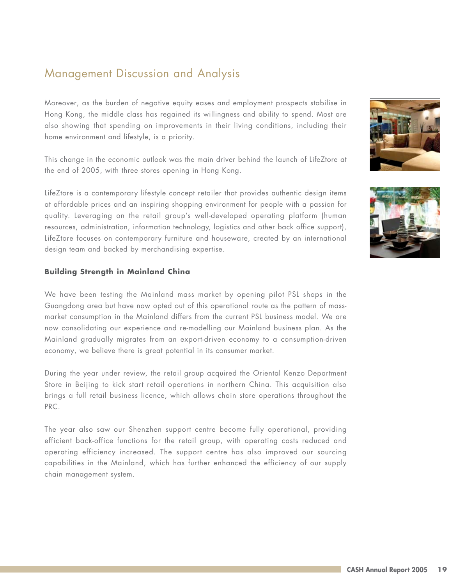Moreover, as the burden of negative equity eases and employment prospects stabilise in Hong Kong, the middle class has regained its willingness and ability to spend. Most are also showing that spending on improvements in their living conditions, including their home environment and lifestyle, is a priority.

This change in the economic outlook was the main driver behind the launch of LifeZtore at the end of 2005, with three stores opening in Hong Kong.

LifeZtore is a contemporary lifestyle concept retailer that provides authentic design items at affordable prices and an inspiring shopping environment for people with a passion for quality. Leveraging on the retail group's well-developed operating platform (human resources, administration, information technology, logistics and other back office support), LifeZtore focuses on contemporary furniture and houseware, created by an international design team and backed by merchandising expertise.

#### **Building Strength in Mainland China**

We have been testing the Mainland mass market by opening pilot PSL shops in the Guangdong area but have now opted out of this operational route as the pattern of massmarket consumption in the Mainland differs from the current PSL business model. We are now consolidating our experience and re-modelling our Mainland business plan. As the Mainland gradually migrates from an export-driven economy to a consumption-driven economy, we believe there is great potential in its consumer market.

During the year under review, the retail group acquired the Oriental Kenzo Department Store in Beijing to kick start retail operations in northern China. This acquisition also brings a full retail business licence, which allows chain store operations throughout the PRC.

The year also saw our Shenzhen support centre become fully operational, providing efficient back-office functions for the retail group, with operating costs reduced and operating efficiency increased. The support centre has also improved our sourcing capabilities in the Mainland, which has further enhanced the efficiency of our supply chain management system.



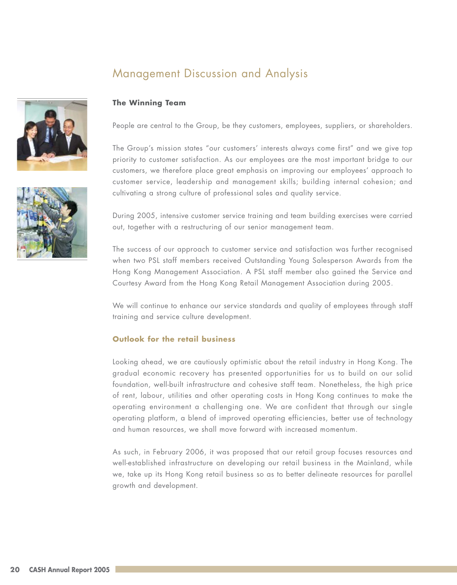#### **The Winning Team**

People are central to the Group, be they customers, employees, suppliers, or shareholders.

The Group's mission states "our customers' interests always come first" and we give top priority to customer satisfaction. As our employees are the most important bridge to our customers, we therefore place great emphasis on improving our employees' approach to customer service, leadership and management skills; building internal cohesion; and cultivating a strong culture of professional sales and quality service.

During 2005, intensive customer service training and team building exercises were carried out, together with a restructuring of our senior management team.

The success of our approach to customer service and satisfaction was further recognised when two PSL staff members received Outstanding Young Salesperson Awards from the Hong Kong Management Association. A PSL staff member also gained the Service and Courtesy Award from the Hong Kong Retail Management Association during 2005.

We will continue to enhance our service standards and quality of employees through staff training and service culture development.

#### **Outlook for the retail business**

Looking ahead, we are cautiously optimistic about the retail industry in Hong Kong. The gradual economic recovery has presented opportunities for us to build on our solid foundation, well-built infrastructure and cohesive staff team. Nonetheless, the high price of rent, labour, utilities and other operating costs in Hong Kong continues to make the operating environment a challenging one. We are confident that through our single operating platform, a blend of improved operating efficiencies, better use of technology and human resources, we shall move forward with increased momentum.

As such, in February 2006, it was proposed that our retail group focuses resources and well-established infrastructure on developing our retail business in the Mainland, while we, take up its Hong Kong retail business so as to better delineate resources for parallel growth and development.

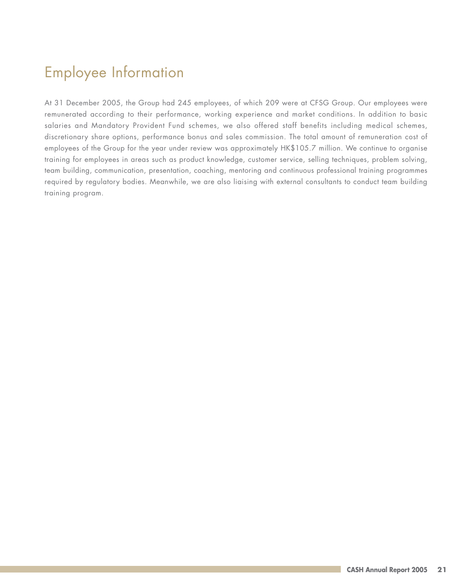# Employee Information

At 31 December 2005, the Group had 245 employees, of which 209 were at CFSG Group. Our employees were remunerated according to their performance, working experience and market conditions. In addition to basic salaries and Mandatory Provident Fund schemes, we also offered staff benefits including medical schemes, discretionary share options, performance bonus and sales commission. The total amount of remuneration cost of employees of the Group for the year under review was approximately HK\$105.7 million. We continue to organise training for employees in areas such as product knowledge, customer service, selling techniques, problem solving, team building, communication, presentation, coaching, mentoring and continuous professional training programmes required by regulatory bodies. Meanwhile, we are also liaising with external consultants to conduct team building training program.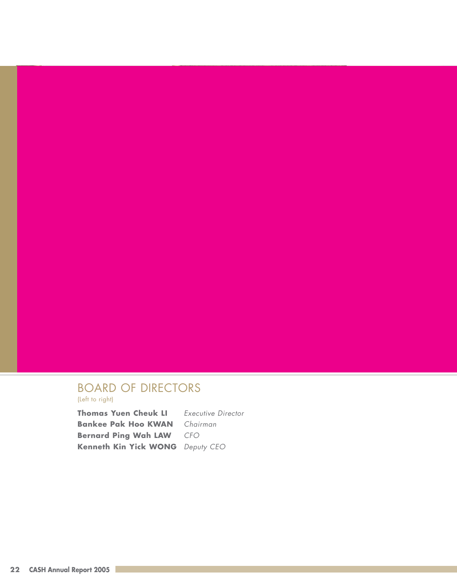## BOARD OF DIRECTORS

#### (Left to right)

**Thomas Yuen Cheuk LI** Executive Director **Bankee Pak Hoo KWAN** Chairman **Bernard Ping Wah LAW** CFO **Kenneth Kin Yick WONG** Deputy CEO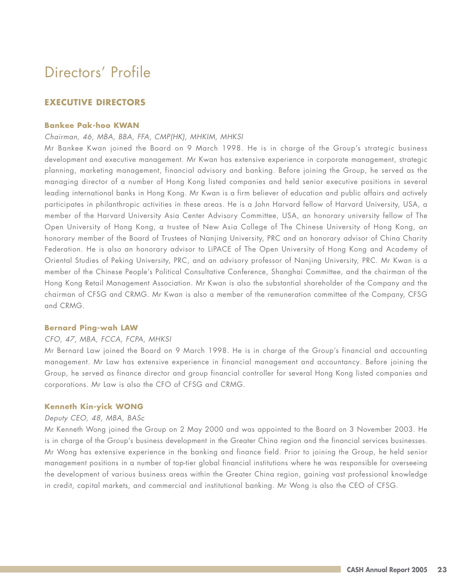# Directors' Profile

### **EXECUTIVE DIRECTORS**

#### **Bankee Pak-hoo KWAN**

#### Chairman, 46, MBA, BBA, FFA, CMP(HK), MHKIM, MHKSI

Mr Bankee Kwan joined the Board on 9 March 1998. He is in charge of the Group's strategic business development and executive management. Mr Kwan has extensive experience in corporate management, strategic planning, marketing management, financial advisory and banking. Before joining the Group, he served as the managing director of a number of Hong Kong listed companies and held senior executive positions in several leading international banks in Hong Kong. Mr Kwan is a firm believer of education and public affairs and actively participates in philanthropic activities in these areas. He is a John Harvard fellow of Harvard University, USA, a member of the Harvard University Asia Center Advisory Committee, USA, an honorary university fellow of The Open University of Hong Kong, a trustee of New Asia College of The Chinese University of Hong Kong, an honorary member of the Board of Trustees of Nanjing University, PRC and an honorary advisor of China Charity Federation. He is also an honorary advisor to LiPACE of The Open University of Hong Kong and Academy of Oriental Studies of Peking University, PRC, and an advisory professor of Nanjing University, PRC. Mr Kwan is a member of the Chinese People's Political Consultative Conference, Shanghai Committee, and the chairman of the Hong Kong Retail Management Association. Mr Kwan is also the substantial shareholder of the Company and the chairman of CFSG and CRMG. Mr Kwan is also a member of the remuneration committee of the Company, CFSG and CRMG.

#### **Bernard Ping-wah LAW**

#### CFO, 47, MBA, FCCA, FCPA, MHKSI

Mr Bernard Law joined the Board on 9 March 1998. He is in charge of the Group's financial and accounting management. Mr Law has extensive experience in financial management and accountancy. Before joining the Group, he served as finance director and group financial controller for several Hong Kong listed companies and corporations. Mr Law is also the CFO of CFSG and CRMG.

#### **Kenneth Kin-yick WONG**

#### Deputy CEO, 48, MBA, BASc

Mr Kenneth Wong joined the Group on 2 May 2000 and was appointed to the Board on 3 November 2003. He is in charge of the Group's business development in the Greater China region and the financial services businesses. Mr Wong has extensive experience in the banking and finance field. Prior to joining the Group, he held senior management positions in a number of top-tier global financial institutions where he was responsible for overseeing the development of various business areas within the Greater China region, gaining vast professional knowledge in credit, capital markets, and commercial and institutional banking. Mr Wong is also the CEO of CFSG.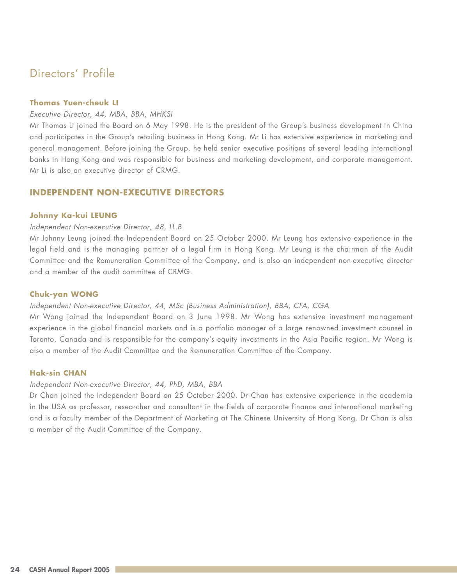### Directors' Profile

#### **Thomas Yuen-cheuk LI**

#### Executive Director, 44, MBA, BBA, MHKSI

Mr Thomas Li joined the Board on 6 May 1998. He is the president of the Group's business development in China and participates in the Group's retailing business in Hong Kong. Mr Li has extensive experience in marketing and general management. Before joining the Group, he held senior executive positions of several leading international banks in Hong Kong and was responsible for business and marketing development, and corporate management. Mr Li is also an executive director of CRMG.

#### **INDEPENDENT NON-EXECUTIVE DIRECTORS**

#### **Johnny Ka-kui LEUNG**

#### Independent Non-executive Director, 48, LL.B

Mr Johnny Leung joined the Independent Board on 25 October 2000. Mr Leung has extensive experience in the legal field and is the managing partner of a legal firm in Hong Kong. Mr Leung is the chairman of the Audit Committee and the Remuneration Committee of the Company, and is also an independent non-executive director and a member of the audit committee of CRMG.

#### **Chuk-yan WONG**

#### Independent Non-executive Director, 44, MSc (Business Administration), BBA, CFA, CGA

Mr Wong joined the Independent Board on 3 June 1998. Mr Wong has extensive investment management experience in the global financial markets and is a portfolio manager of a large renowned investment counsel in Toronto, Canada and is responsible for the company's equity investments in the Asia Pacific region. Mr Wong is also a member of the Audit Committee and the Remuneration Committee of the Company.

#### **Hak-sin CHAN**

#### Independent Non-executive Director, 44, PhD, MBA, BBA

Dr Chan joined the Independent Board on 25 October 2000. Dr Chan has extensive experience in the academia in the USA as professor, researcher and consultant in the fields of corporate finance and international marketing and is a faculty member of the Department of Marketing at The Chinese University of Hong Kong. Dr Chan is also a member of the Audit Committee of the Company.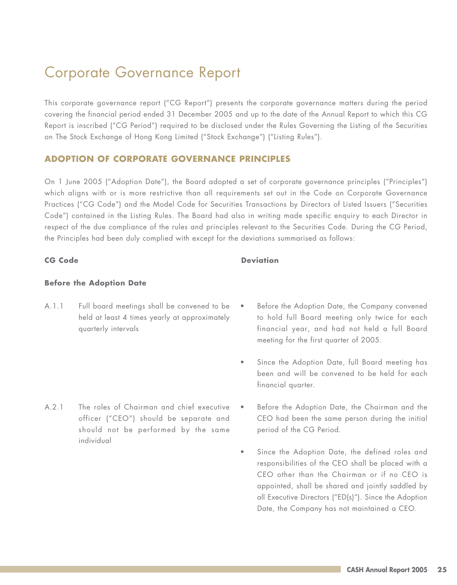This corporate governance report ("CG Report") presents the corporate governance matters during the period covering the financial period ended 31 December 2005 and up to the date of the Annual Report to which this CG Report is inscribed ("CG Period") required to be disclosed under the Rules Governing the Listing of the Securities on The Stock Exchange of Hong Kong Limited ("Stock Exchange") ("Listing Rules").

#### **ADOPTION OF CORPORATE GOVERNANCE PRINCIPLES**

On 1 June 2005 ("Adoption Date"), the Board adopted a set of corporate governance principles ("Principles") which aligns with or is more restrictive than all requirements set out in the Code on Corporate Governance Practices ("CG Code") and the Model Code for Securities Transactions by Directors of Listed Issuers ("Securities Code") contained in the Listing Rules. The Board had also in writing made specific enquiry to each Director in respect of the due compliance of the rules and principles relevant to the Securities Code. During the CG Period, the Principles had been duly complied with except for the deviations summarised as follows:

#### **CG Code** Deviation

#### **Before the Adoption Date**

A.1.1 Full board meetings shall be convened to be held at least 4 times yearly at approximately quarterly intervals

- A.2.1 The roles of Chairman and chief executive officer ("CEO") should be separate and should not be performed by the same individual
- Before the Adoption Date, the Company convened to hold full Board meeting only twice for each financial year, and had not held a full Board meeting for the first quarter of 2005.
- Since the Adoption Date, full Board meeting has been and will be convened to be held for each financial quarter.
- Before the Adoption Date, the Chairman and the CEO had been the same person during the initial period of the CG Period.
- Since the Adoption Date, the defined roles and responsibilities of the CEO shall be placed with a CEO other than the Chairman or if no CEO is appointed, shall be shared and jointly saddled by all Executive Directors ("ED(s)"). Since the Adoption Date, the Company has not maintained a CEO.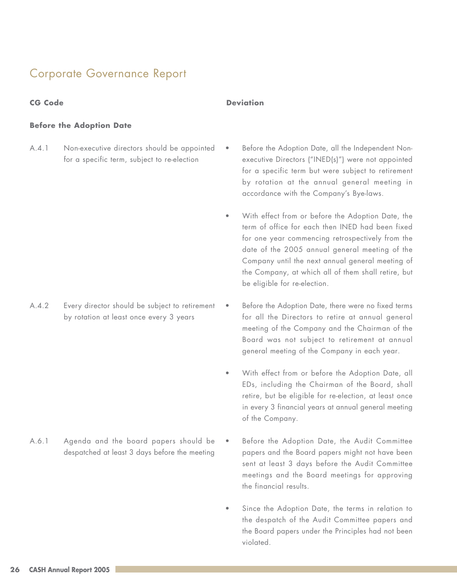#### **CG Code** Deviation

#### **Before the Adoption Date**

- A.4.1 Non-executive directors should be appointed for a specific term, subject to re-election
- Before the Adoption Date, all the Independent Nonexecutive Directors ("INED(s)") were not appointed for a specific term but were subject to retirement by rotation at the annual general meeting in accordance with the Company's Bye-laws.
- With effect from or before the Adoption Date, the term of office for each then INED had been fixed for one year commencing retrospectively from the date of the 2005 annual general meeting of the Company until the next annual general meeting of the Company, at which all of them shall retire, but be eligible for re-election.
- A.4.2 Every director should be subject to retirement by rotation at least once every 3 years Before the Adoption Date, there were no fixed terms for all the Directors to retire at annual general meeting of the Company and the Chairman of the
	- With effect from or before the Adoption Date, all EDs, including the Chairman of the Board, shall retire, but be eligible for re-election, at least once in every 3 financial years at annual general meeting of the Company.

Board was not subject to retirement at annual general meeting of the Company in each year.

- Before the Adoption Date, the Audit Committee papers and the Board papers might not have been sent at least 3 days before the Audit Committee meetings and the Board meetings for approving the financial results.
- Since the Adoption Date, the terms in relation to the despatch of the Audit Committee papers and the Board papers under the Principles had not been violated.

A.6.1 Agenda and the board papers should be despatched at least 3 days before the meeting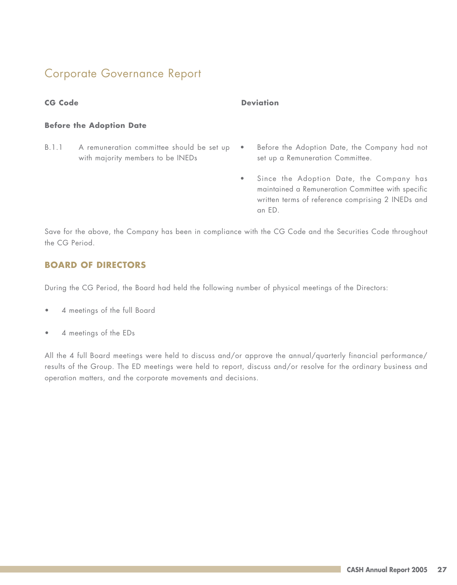#### **CG Code** Deviation

#### **Before the Adoption Date**

- B.1.1 A remuneration committee should be set up with majority members to be INEDs
- Before the Adoption Date, the Company had not set up a Remuneration Committee.
- Since the Adoption Date, the Company has maintained a Remuneration Committee with specific written terms of reference comprising 2 INEDs and an ED.

Save for the above, the Company has been in compliance with the CG Code and the Securities Code throughout the CG Period.

#### **BOARD OF DIRECTORS**

During the CG Period, the Board had held the following number of physical meetings of the Directors:

- 4 meetings of the full Board
- 4 meetings of the EDs

All the 4 full Board meetings were held to discuss and/or approve the annual/quarterly financial performance/ results of the Group. The ED meetings were held to report, discuss and/or resolve for the ordinary business and operation matters, and the corporate movements and decisions.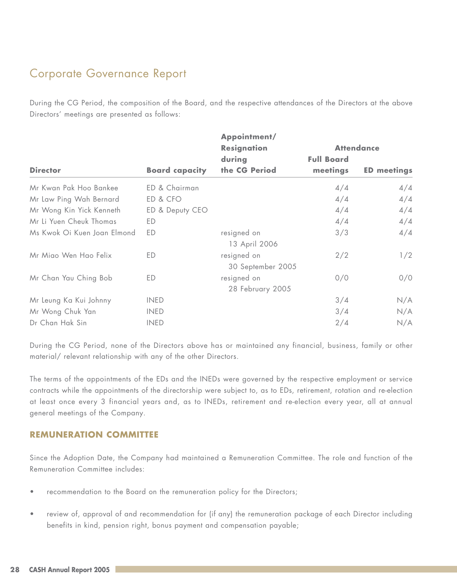During the CG Period, the composition of the Board, and the respective attendances of the Directors at the above Directors' meetings are presented as follows:

|                             |                       | Appointment/<br><b>Resignation</b> | <b>Attendance</b>             |                    |
|-----------------------------|-----------------------|------------------------------------|-------------------------------|--------------------|
| <b>Director</b>             | <b>Board capacity</b> | during<br>the CG Period            | <b>Full Board</b><br>meetings | <b>ED</b> meetings |
| Mr Kwan Pak Hoo Bankee      | ED & Chairman         |                                    | 4/4                           | 4/4                |
| Mr Law Ping Wah Bernard     | ED & CFO              |                                    | 4/4                           | 4/4                |
| Mr Wong Kin Yick Kenneth    | ED & Deputy CEO       |                                    | 4/4                           | 4/4                |
| Mr Li Yuen Cheuk Thomas     | ED                    |                                    | 4/4                           | 4/4                |
| Ms Kwok Oi Kuen Joan Elmond | ED.                   | resigned on<br>13 April 2006       | 3/3                           | 4/4                |
| Mr Miao Wen Hao Felix       | ED.                   | resigned on<br>30 September 2005   | 2/2                           | 1/2                |
| Mr Chan Yau Ching Bob       | ED                    | resigned on<br>28 February 2005    | 0/0                           | 0/0                |
| Mr Leung Ka Kui Johnny      | <b>INED</b>           |                                    | 3/4                           | N/A                |
| Mr Wong Chuk Yan            | <b>INED</b>           |                                    | 3/4                           | N/A                |
| Dr Chan Hak Sin             | <b>INED</b>           |                                    | 2/4                           | N/A                |

During the CG Period, none of the Directors above has or maintained any financial, business, family or other material/ relevant relationship with any of the other Directors.

The terms of the appointments of the EDs and the INEDs were governed by the respective employment or service contracts while the appointments of the directorship were subject to, as to EDs, retirement, rotation and re-election at least once every 3 financial years and, as to INEDs, retirement and re-election every year, all at annual general meetings of the Company.

#### **REMUNERATION COMMITTEE**

Since the Adoption Date, the Company had maintained a Remuneration Committee. The role and function of the Remuneration Committee includes:

- recommendation to the Board on the remuneration policy for the Directors;
- review of, approval of and recommendation for (if any) the remuneration package of each Director including benefits in kind, pension right, bonus payment and compensation payable;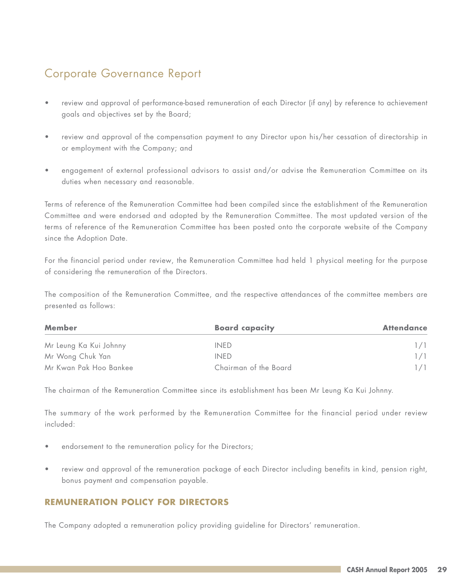- review and approval of performance-based remuneration of each Director (if any) by reference to achievement goals and objectives set by the Board;
- review and approval of the compensation payment to any Director upon his/her cessation of directorship in or employment with the Company; and
- engagement of external professional advisors to assist and/or advise the Remuneration Committee on its duties when necessary and reasonable.

Terms of reference of the Remuneration Committee had been compiled since the establishment of the Remuneration Committee and were endorsed and adopted by the Remuneration Committee. The most updated version of the terms of reference of the Remuneration Committee has been posted onto the corporate website of the Company since the Adoption Date.

For the financial period under review, the Remuneration Committee had held 1 physical meeting for the purpose of considering the remuneration of the Directors.

The composition of the Remuneration Committee, and the respective attendances of the committee members are presented as follows:

| Member                 | <b>Board capacity</b> | <b>Attendance</b> |  |
|------------------------|-----------------------|-------------------|--|
| Mr Leung Ka Kui Johnny | INED                  |                   |  |
| Mr Wong Chuk Yan       | <b>INFD</b>           |                   |  |
| Mr Kwan Pak Hoo Bankee | Chairman of the Board |                   |  |

The chairman of the Remuneration Committee since its establishment has been Mr Leung Ka Kui Johnny.

The summary of the work performed by the Remuneration Committee for the financial period under review included:

- endorsement to the remuneration policy for the Directors;
- review and approval of the remuneration package of each Director including benefits in kind, pension right, bonus payment and compensation payable.

### **REMUNERATION POLICY FOR DIRECTORS**

The Company adopted a remuneration policy providing guideline for Directors' remuneration.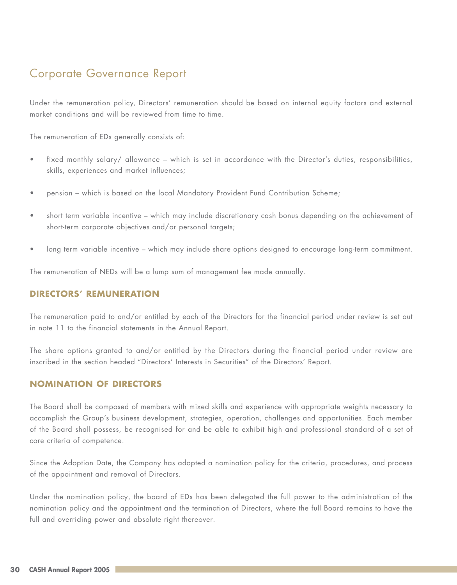Under the remuneration policy, Directors' remuneration should be based on internal equity factors and external market conditions and will be reviewed from time to time.

The remuneration of EDs generally consists of:

- fixed monthly salary/ allowance which is set in accordance with the Director's duties, responsibilities, skills, experiences and market influences;
- pension which is based on the local Mandatory Provident Fund Contribution Scheme;
- short term variable incentive which may include discretionary cash bonus depending on the achievement of short-term corporate objectives and/or personal targets;
- long term variable incentive which may include share options designed to encourage long-term commitment.

The remuneration of NEDs will be a lump sum of management fee made annually.

#### **DIRECTORS' REMUNERATION**

The remuneration paid to and/or entitled by each of the Directors for the financial period under review is set out in note 11 to the financial statements in the Annual Report.

The share options granted to and/or entitled by the Directors during the financial period under review are inscribed in the section headed "Directors' Interests in Securities" of the Directors' Report.

#### **NOMINATION OF DIRECTORS**

The Board shall be composed of members with mixed skills and experience with appropriate weights necessary to accomplish the Group's business development, strategies, operation, challenges and opportunities. Each member of the Board shall possess, be recognised for and be able to exhibit high and professional standard of a set of core criteria of competence.

Since the Adoption Date, the Company has adopted a nomination policy for the criteria, procedures, and process of the appointment and removal of Directors.

Under the nomination policy, the board of EDs has been delegated the full power to the administration of the nomination policy and the appointment and the termination of Directors, where the full Board remains to have the full and overriding power and absolute right thereover.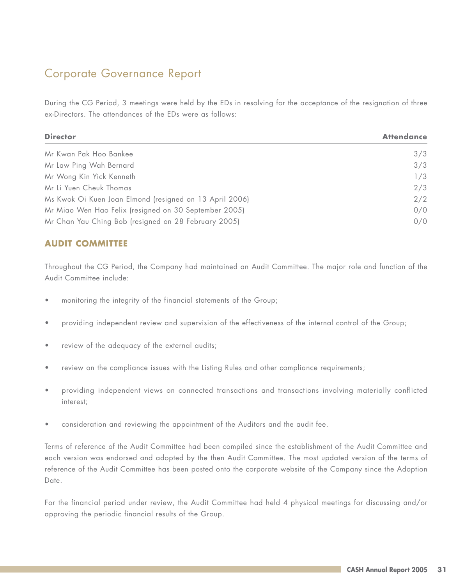During the CG Period, 3 meetings were held by the EDs in resolving for the acceptance of the resignation of three ex-Directors. The attendances of the EDs were as follows:

| <b>Director</b>                                         | <b>Attendance</b> |
|---------------------------------------------------------|-------------------|
| Mr Kwan Pak Hoo Bankee                                  | 3/3               |
| Mr Law Ping Wah Bernard                                 | 3/3               |
| Mr Wong Kin Yick Kenneth                                | 1/3               |
| Mr Li Yuen Cheuk Thomas                                 | 2/3               |
| Ms Kwok Oi Kuen Joan Elmond (resigned on 13 April 2006) | 2/2               |
| Mr Miao Wen Hao Felix (resigned on 30 September 2005)   | 0/0               |
| Mr Chan Yau Ching Bob (resigned on 28 February 2005)    | 0/0               |

#### **AUDIT COMMITTEE**

Throughout the CG Period, the Company had maintained an Audit Committee. The major role and function of the Audit Committee include:

- monitoring the integrity of the financial statements of the Group;
- providing independent review and supervision of the effectiveness of the internal control of the Group;
- review of the adequacy of the external audits;
- review on the compliance issues with the Listing Rules and other compliance requirements;
- providing independent views on connected transactions and transactions involving materially conflicted interest;
- consideration and reviewing the appointment of the Auditors and the audit fee.

Terms of reference of the Audit Committee had been compiled since the establishment of the Audit Committee and each version was endorsed and adopted by the then Audit Committee. The most updated version of the terms of reference of the Audit Committee has been posted onto the corporate website of the Company since the Adoption Date.

For the financial period under review, the Audit Committee had held 4 physical meetings for discussing and/or approving the periodic financial results of the Group.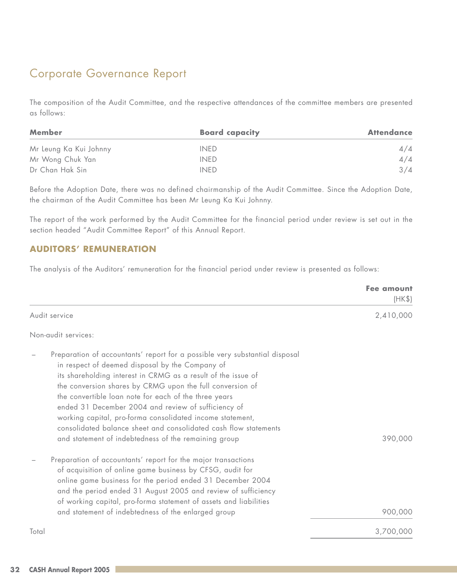The composition of the Audit Committee, and the respective attendances of the committee members are presented as follows:

| Member                 | <b>Board capacity</b> | <b>Attendance</b> |
|------------------------|-----------------------|-------------------|
| Mr Leung Ka Kui Johnny | <b>INED</b>           | 4/4               |
| Mr Wong Chuk Yan       | <b>INED</b>           | 4/4               |
| Dr Chan Hak Sin        | <b>INFD</b>           | 3/4               |

Before the Adoption Date, there was no defined chairmanship of the Audit Committee. Since the Adoption Date, the chairman of the Audit Committee has been Mr Leung Ka Kui Johnny.

The report of the work performed by the Audit Committee for the financial period under review is set out in the section headed "Audit Committee Report" of this Annual Report.

#### **AUDITORS' REMUNERATION**

The analysis of the Auditors' remuneration for the financial period under review is presented as follows:

|                                                                                                                                                                                                                                                                                                                                                                                                                                                                                                                                                                       | <b>Fee amount</b><br>(HK\$) |
|-----------------------------------------------------------------------------------------------------------------------------------------------------------------------------------------------------------------------------------------------------------------------------------------------------------------------------------------------------------------------------------------------------------------------------------------------------------------------------------------------------------------------------------------------------------------------|-----------------------------|
| Audit service                                                                                                                                                                                                                                                                                                                                                                                                                                                                                                                                                         | 2,410,000                   |
| Non-audit services:                                                                                                                                                                                                                                                                                                                                                                                                                                                                                                                                                   |                             |
| Preparation of accountants' report for a possible very substantial disposal<br>in respect of deemed disposal by the Company of<br>its shareholding interest in CRMG as a result of the issue of<br>the conversion shares by CRMG upon the full conversion of<br>the convertible loan note for each of the three years<br>ended 31 December 2004 and review of sufficiency of<br>working capital, pro-forma consolidated income statement,<br>consolidated balance sheet and consolidated cash flow statements<br>and statement of indebtedness of the remaining group | 390,000                     |
| Preparation of accountants' report for the major transactions<br>of acquisition of online game business by CFSG, audit for<br>online game business for the period ended 31 December 2004<br>and the period ended 31 August 2005 and review of sufficiency<br>of working capital, pro-forma statement of assets and liabilities<br>and statement of indebtedness of the enlarged group                                                                                                                                                                                 | 900,000                     |
| Total                                                                                                                                                                                                                                                                                                                                                                                                                                                                                                                                                                 | 3,700,000                   |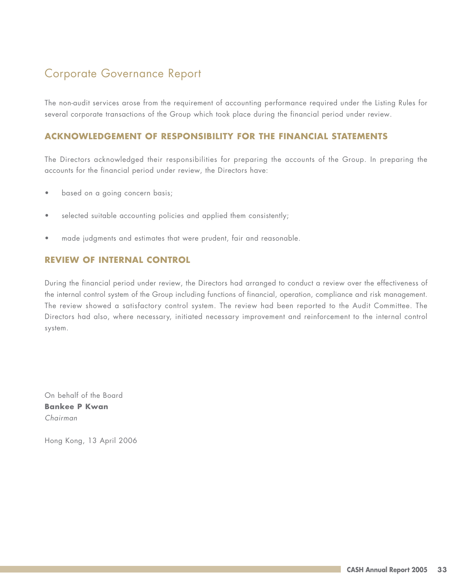The non-audit services arose from the requirement of accounting performance required under the Listing Rules for several corporate transactions of the Group which took place during the financial period under review.

#### **ACKNOWLEDGEMENT OF RESPONSIBILITY FOR THE FINANCIAL STATEMENTS**

The Directors acknowledged their responsibilities for preparing the accounts of the Group. In preparing the accounts for the financial period under review, the Directors have:

- based on a going concern basis;
- selected suitable accounting policies and applied them consistently;
- made judgments and estimates that were prudent, fair and reasonable.

#### **REVIEW OF INTERNAL CONTROL**

During the financial period under review, the Directors had arranged to conduct a review over the effectiveness of the internal control system of the Group including functions of financial, operation, compliance and risk management. The review showed a satisfactory control system. The review had been reported to the Audit Committee. The Directors had also, where necessary, initiated necessary improvement and reinforcement to the internal control system.

On behalf of the Board **Bankee P Kwan** Chairman

Hong Kong, 13 April 2006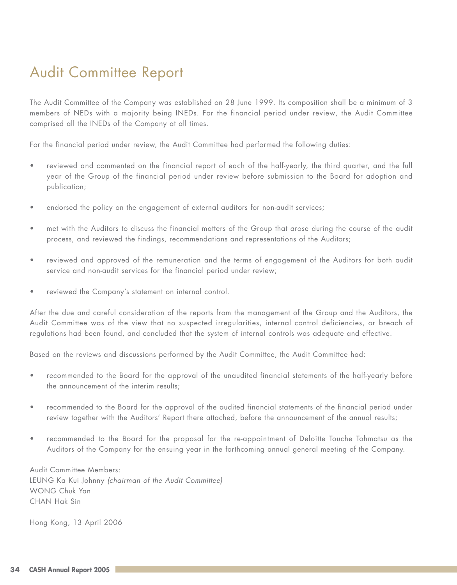# Audit Committee Report

The Audit Committee of the Company was established on 28 June 1999. Its composition shall be a minimum of 3 members of NEDs with a majority being INEDs. For the financial period under review, the Audit Committee comprised all the INEDs of the Company at all times.

For the financial period under review, the Audit Committee had performed the following duties:

- reviewed and commented on the financial report of each of the half-yearly, the third quarter, and the full year of the Group of the financial period under review before submission to the Board for adoption and publication;
- endorsed the policy on the engagement of external auditors for non-audit services;
- met with the Auditors to discuss the financial matters of the Group that arose during the course of the audit process, and reviewed the findings, recommendations and representations of the Auditors;
- reviewed and approved of the remuneration and the terms of engagement of the Auditors for both audit service and non-audit services for the financial period under review;
- reviewed the Company's statement on internal control.

After the due and careful consideration of the reports from the management of the Group and the Auditors, the Audit Committee was of the view that no suspected irregularities, internal control deficiencies, or breach of regulations had been found, and concluded that the system of internal controls was adequate and effective.

Based on the reviews and discussions performed by the Audit Committee, the Audit Committee had:

- recommended to the Board for the approval of the unaudited financial statements of the half-yearly before the announcement of the interim results;
- recommended to the Board for the approval of the audited financial statements of the financial period under review together with the Auditors' Report there attached, before the announcement of the annual results;
- recommended to the Board for the proposal for the re-appointment of Deloitte Touche Tohmatsu as the Auditors of the Company for the ensuing year in the forthcoming annual general meeting of the Company.

Audit Committee Members: LEUNG Ka Kui Johnny (chairman of the Audit Committee) WONG Chuk Yan CHAN Hak Sin

Hong Kong, 13 April 2006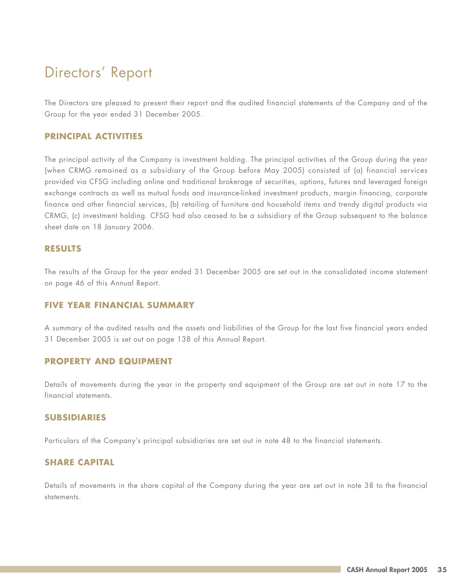# Directors' Report

The Directors are pleased to present their report and the audited financial statements of the Company and of the Group for the year ended 31 December 2005.

#### **PRINCIPAL ACTIVITIES**

The principal activity of the Company is investment holding. The principal activities of the Group during the year (when CRMG remained as a subsidiary of the Group before May 2005) consisted of (a) financial services provided via CFSG including online and traditional brokerage of securities, options, futures and leveraged foreign exchange contracts as well as mutual funds and insurance-linked investment products, margin financing, corporate finance and other financial services, (b) retailing of furniture and household items and trendy digital products via CRMG, (c) investment holding. CFSG had also ceased to be a subsidiary of the Group subsequent to the balance sheet date on 18 January 2006.

#### **RESULTS**

The results of the Group for the year ended 31 December 2005 are set out in the consolidated income statement on page 46 of this Annual Report.

#### **FIVE YEAR FINANCIAL SUMMARY**

A summary of the audited results and the assets and liabilities of the Group for the last five financial years ended 31 December 2005 is set out on page 138 of this Annual Report.

#### **PROPERTY AND EQUIPMENT**

Details of movements during the year in the property and equipment of the Group are set out in note 17 to the financial statements.

#### **SUBSIDIARIES**

Particulars of the Company's principal subsidiaries are set out in note 48 to the financial statements.

#### **SHARE CAPITAL**

Details of movements in the share capital of the Company during the year are set out in note 38 to the financial statements.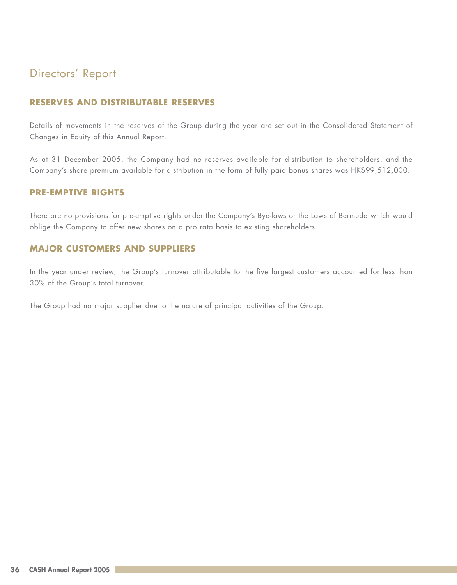### **RESERVES AND DISTRIBUTABLE RESERVES**

Details of movements in the reserves of the Group during the year are set out in the Consolidated Statement of Changes in Equity of this Annual Report.

As at 31 December 2005, the Company had no reserves available for distribution to shareholders, and the Company's share premium available for distribution in the form of fully paid bonus shares was HK\$99,512,000.

### **PRE-EMPTIVE RIGHTS**

There are no provisions for pre-emptive rights under the Company's Bye-laws or the Laws of Bermuda which would oblige the Company to offer new shares on a pro rata basis to existing shareholders.

### **MAJOR CUSTOMERS AND SUPPLIERS**

In the year under review, the Group's turnover attributable to the five largest customers accounted for less than 30% of the Group's total turnover.

The Group had no major supplier due to the nature of principal activities of the Group.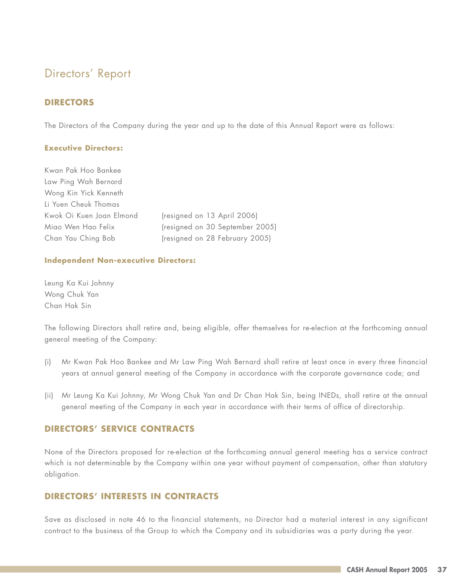### **DIRECTORS**

The Directors of the Company during the year and up to the date of this Annual Report were as follows:

### **Executive Directors:**

| Kwan Pak Hoo Bankee      |                                 |
|--------------------------|---------------------------------|
| Law Ping Wah Bernard     |                                 |
| Wong Kin Yick Kenneth    |                                 |
| Li Yuen Cheuk Thomas     |                                 |
| Kwok Oi Kuen Joan Elmond | (resigned on 13 April 2006)     |
| Miao Wen Hao Felix       | (resigned on 30 September 2005) |
| Chan Yau Ching Bob       | (resigned on 28 February 2005)  |

### **Independent Non-executive Directors:**

Leung Ka Kui Johnny Wong Chuk Yan Chan Hak Sin

The following Directors shall retire and, being eligible, offer themselves for re-election at the forthcoming annual general meeting of the Company:

- (i) Mr Kwan Pak Hoo Bankee and Mr Law Ping Wah Bernard shall retire at least once in every three financial years at annual general meeting of the Company in accordance with the corporate governance code; and
- (ii) Mr Leung Ka Kui Johnny, Mr Wong Chuk Yan and Dr Chan Hak Sin, being INEDs, shall retire at the annual general meeting of the Company in each year in accordance with their terms of office of directorship.

### **DIRECTORS' SERVICE CONTRACTS**

None of the Directors proposed for re-election at the forthcoming annual general meeting has a service contract which is not determinable by the Company within one year without payment of compensation, other than statutory obligation.

### **DIRECTORS' INTERESTS IN CONTRACTS**

Save as disclosed in note 46 to the financial statements, no Director had a material interest in any significant contract to the business of the Group to which the Company and its subsidiaries was a party during the year.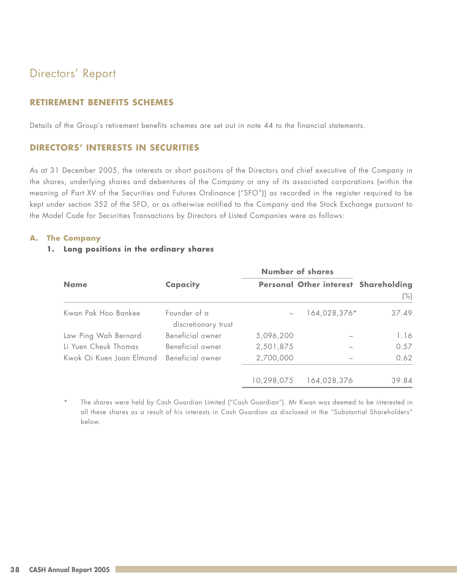### **RETIREMENT BENEFITS SCHEMES**

Details of the Group's retirement benefits schemes are set out in note 44 to the financial statements.

### **DIRECTORS' INTERESTS IN SECURITIES**

As at 31 December 2005, the interests or short positions of the Directors and chief executive of the Company in the shares, underlying shares and debentures of the Company or any of its associated corporations (within the meaning of Part XV of the Securities and Futures Ordinance ("SFO")) as recorded in the register required to be kept under section 352 of the SFO, or as otherwise notified to the Company and the Stock Exchange pursuant to the Model Code for Securities Transactions by Directors of Listed Companies were as follows:

#### **A. The Company**

### **1. Long positions in the ordinary shares**

|                          |                                     |            | <b>Number of shares</b>                     |        |  |
|--------------------------|-------------------------------------|------------|---------------------------------------------|--------|--|
| <b>Name</b>              | Capacity                            |            | <b>Personal Other interest Shareholding</b> | $(\%)$ |  |
| Kwan Pak Hoo Bankee      | Founder of a<br>discretionary trust |            | 164,028,376*                                | 37.49  |  |
| Law Ping Wah Bernard     | Beneficial owner                    | 5,096,200  |                                             | 1.16   |  |
| Li Yuen Cheuk Thomas     | Beneficial owner                    | 2,501,875  |                                             | 0.57   |  |
| Kwok Oi Kuen Joan Elmond | Beneficial owner                    | 2,700,000  |                                             | 0.62   |  |
|                          |                                     | 10,298,075 | 164,028,376                                 | 39.84  |  |

The shares were held by Cash Guardian Limited ("Cash Guardian"). Mr Kwan was deemed to be interested in all these shares as a result of his interests in Cash Guardian as disclosed in the "Substantial Shareholders" below.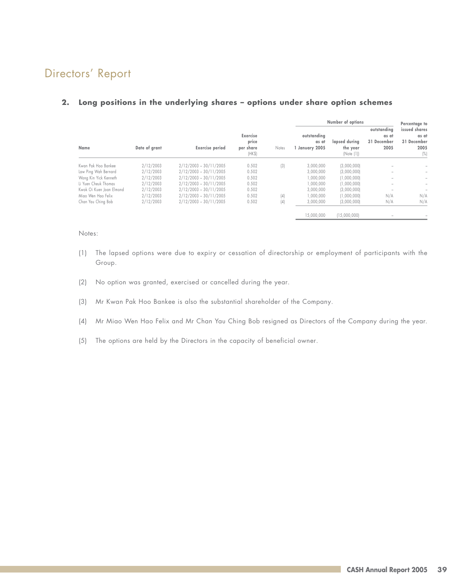### **2. Long positions in the underlying shares – options under share option schemes**

|                          |               |                          |                                          | Number of options | Percentage to                          |                                         |                                             |                                                      |
|--------------------------|---------------|--------------------------|------------------------------------------|-------------------|----------------------------------------|-----------------------------------------|---------------------------------------------|------------------------------------------------------|
| Name                     | Date of grant | <b>Exercise period</b>   | Exercise<br>price<br>per share<br>(HK\$) | Notes             | outstanding<br>as at<br>1 January 2005 | lapsed during<br>the year<br>(Note (1)) | outstanding<br>as at<br>31 December<br>2005 | issued shares<br>as at<br>31 December<br>2005<br>(%) |
| Kwan Pak Hoo Bankee      | 2/12/2003     | $2/12/2003 - 30/11/2005$ | 0.502                                    | (3)               | 3,000,000                              | (3,000,000)                             | $\sim$                                      |                                                      |
| Law Ping Wah Bernard     | 2/12/2003     | $2/12/2003 - 30/11/2005$ | 0.502                                    |                   | 3.000.000                              | (3,000,000)                             | $\sim$                                      |                                                      |
| Wong Kin Yick Kenneth    | 2/12/2003     | $2/12/2003 - 30/11/2005$ | 0.502                                    |                   | .000.000                               | (1,000,000)                             | $\sim$                                      |                                                      |
| Li Yuen Cheuk Thomas     | 2/12/2003     | $2/12/2003 - 30/11/2005$ | 0.502                                    |                   | 000,000,                               | (1,000,000)                             |                                             |                                                      |
| Kwok Oi Kuen Joan Elmond | 2/12/2003     | $2/12/2003 - 30/11/2005$ | 0.502                                    |                   | 3,000,000                              | (3,000,000)                             |                                             |                                                      |
| Migo Wen Hao Felix       | 2/12/2003     | $2/12/2003 - 30/11/2005$ | 0.502                                    | (4)               | 000.000                                | (1,000,000)                             | N/A                                         | N/A                                                  |
| Chan Yau Ching Bob       | 2/12/2003     | $2/12/2003 - 30/11/2005$ | 0.502                                    | (4)               | 3.000.000                              | (3,000,000)                             | N/A                                         | N/A                                                  |
|                          |               |                          |                                          |                   | 15,000,000                             | (15.000.000)                            |                                             |                                                      |

#### Notes:

- (1) The lapsed options were due to expiry or cessation of directorship or employment of participants with the Group.
- (2) No option was granted, exercised or cancelled during the year.
- (3) Mr Kwan Pak Hoo Bankee is also the substantial shareholder of the Company.
- (4) Mr Miao Wen Hao Felix and Mr Chan Yau Ching Bob resigned as Directors of the Company during the year.
- (5) The options are held by the Directors in the capacity of beneficial owner.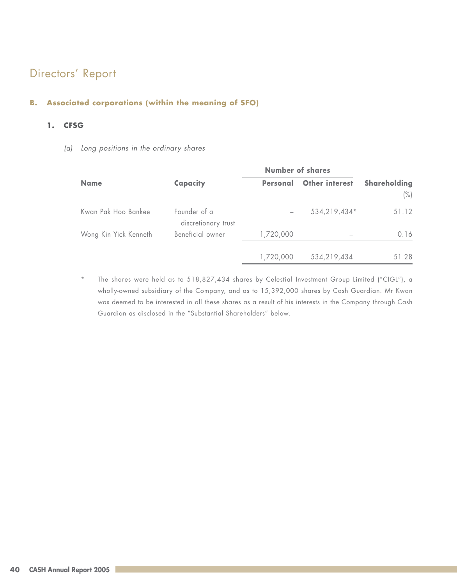### **B. Associated corporations (within the meaning of SFO)**

### **1. CFSG**

### (a) Long positions in the ordinary shares

|                       |                                     | <b>Number of shares</b> |                |                        |  |
|-----------------------|-------------------------------------|-------------------------|----------------|------------------------|--|
| <b>Name</b>           | Capacity                            | Personal                | Other interest | Shareholding<br>$(\%)$ |  |
| Kwan Pak Hoo Bankee   | Founder of a<br>discretionary trust |                         | 534, 219, 434* | 51.12                  |  |
| Wong Kin Yick Kenneth | Beneficial owner                    | 1,720,000               |                | 0.16                   |  |
|                       |                                     | 1,720,000               | 534, 219, 434  | 51.28                  |  |

\* The shares were held as to 518,827,434 shares by Celestial Investment Group Limited ("CIGL"), a wholly-owned subsidiary of the Company, and as to 15,392,000 shares by Cash Guardian. Mr Kwan was deemed to be interested in all these shares as a result of his interests in the Company through Cash Guardian as disclosed in the "Substantial Shareholders" below.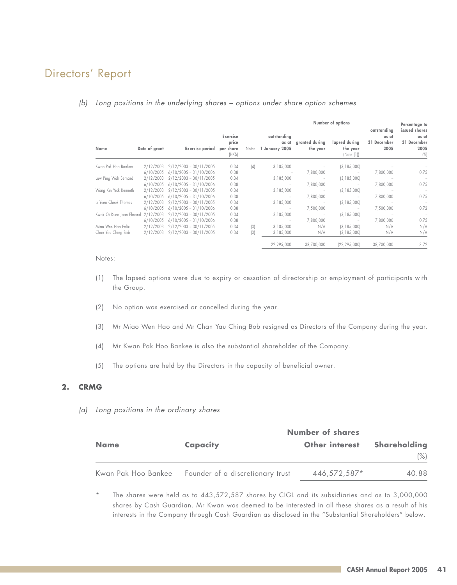(b) Long positions in the underlying shares – options under share option schemes

|                          |               |                          |                                          |                  |                                        |                            | Number of options                       |                                             | Percentage to                                        |
|--------------------------|---------------|--------------------------|------------------------------------------|------------------|----------------------------------------|----------------------------|-----------------------------------------|---------------------------------------------|------------------------------------------------------|
| Name                     | Date of grant | <b>Exercise period</b>   | Exercise<br>price<br>per share<br>(HK\$) | Notes            | outstanding<br>as at<br>1 January 2005 | granted during<br>the year | lapsed during<br>the year<br>(Note (1)) | outstandina<br>as at<br>31 December<br>2005 | issued shares<br>as at<br>31 December<br>2005<br>(%) |
| Kwan Pak Hoo Bankee      | 2/12/2003     | $2/12/2003 - 30/11/2005$ | 0.34                                     | (4)              | 3,185,000                              | $\overline{\phantom{a}}$   | (3, 185, 000)                           |                                             | $\overline{\phantom{a}}$                             |
|                          | 6/10/2005     | $6/10/2005 - 31/10/2006$ | 0.38                                     |                  | $\overline{\phantom{a}}$               | 7,800,000                  | $\overline{\phantom{a}}$                | 7,800,000                                   | 0.75                                                 |
| Law Ping Wah Bernard     | 2/12/2003     | $2/12/2003 - 30/11/2005$ | 0.34                                     |                  | 3,185,000                              | $\overline{\phantom{a}}$   | (3, 185, 000)                           |                                             | $\sim$                                               |
|                          | 6/10/2005     | $6/10/2005 - 31/10/2006$ | 0.38                                     |                  | $\overline{\phantom{a}}$               | 7,800,000                  | $\overline{\phantom{a}}$                | 7,800,000                                   | 0.75                                                 |
| Wong Kin Yick Kenneth    | 2/12/2003     | $2/12/2003 - 30/11/2005$ | 0.34                                     |                  | 3,185,000                              | $\overline{\phantom{a}}$   | (3, 185, 000)                           |                                             | $\sim$                                               |
|                          | 6/10/2005     | $6/10/2005 - 31/10/2006$ | 0.38                                     |                  | $\overline{\phantom{a}}$               | 7,800,000                  | $\overline{\phantom{a}}$                | 7,800,000                                   | 0.75                                                 |
| Li Yuen Cheuk Thomas     | 2/12/2003     | $2/12/2003 - 30/11/2005$ | 0.34                                     |                  | 3,185,000                              | $\overline{\phantom{a}}$   | (3, 185, 000)                           |                                             | $\overline{\phantom{a}}$                             |
|                          | 6/10/2005     | $6/10/2005 - 31/10/2006$ | 0.38                                     |                  | $\overline{\phantom{a}}$               | 7,500,000                  | $\overline{\phantom{a}}$                | 7,500,000                                   | 0.72                                                 |
| Kwok Oi Kuen Joan Elmond | 2/12/2003     | $2/12/2003 - 30/11/2005$ | 0.34                                     |                  | 3,185,000                              | $\overline{\phantom{a}}$   | (3, 185, 000)                           |                                             | $\sim$                                               |
|                          | 6/10/2005     | $6/10/2005 - 31/10/2006$ | 0.38                                     |                  | $\overline{\phantom{a}}$               | 7,800,000                  | $\overline{\phantom{a}}$                | 7,800,000                                   | 0.75                                                 |
| Migo Wen Hao Felix       | 2/12/2003     | $2/12/2003 - 30/11/2005$ | 0.34                                     | (3)              | 3,185,000                              | N/A                        | (3, 185, 000)                           | N/A                                         | N/A                                                  |
| Chan Yau Ching Bob       | 2/12/2003     | $2/12/2003 - 30/11/2005$ | 0.34                                     | $\left 3\right $ | 3,185,000                              | N/A                        | (3, 185, 000)                           | N/A                                         | N/A                                                  |
|                          |               |                          |                                          |                  | 22,295,000                             | 38,700,000                 | (22, 295, 000)                          | 38,700,000                                  | 3.72                                                 |

#### Notes:

- (1) The lapsed options were due to expiry or cessation of directorship or employment of participants with the Group.
- (2) No option was exercised or cancelled during the year.
- (3) Mr Miao Wen Hao and Mr Chan Yau Ching Bob resigned as Directors of the Company during the year.
- (4) Mr Kwan Pak Hoo Bankee is also the substantial shareholder of the Company.
- (5) The options are held by the Directors in the capacity of beneficial owner.

#### **2. CRMG**

(a) Long positions in the ordinary shares

|             |                                                      | <b>Number of shares</b> |                     |  |
|-------------|------------------------------------------------------|-------------------------|---------------------|--|
| <b>Name</b> | Capacity                                             | Other interest          | <b>Shareholding</b> |  |
|             |                                                      |                         | (%)                 |  |
|             | Kwan Pak Hoo Bankee Founder of a discretionary trust | 446.572.587*            | 40.88               |  |

The shares were held as to 443,572,587 shares by CIGL and its subsidiaries and as to 3,000,000 shares by Cash Guardian. Mr Kwan was deemed to be interested in all these shares as a result of his interests in the Company through Cash Guardian as disclosed in the "Substantial Shareholders" below.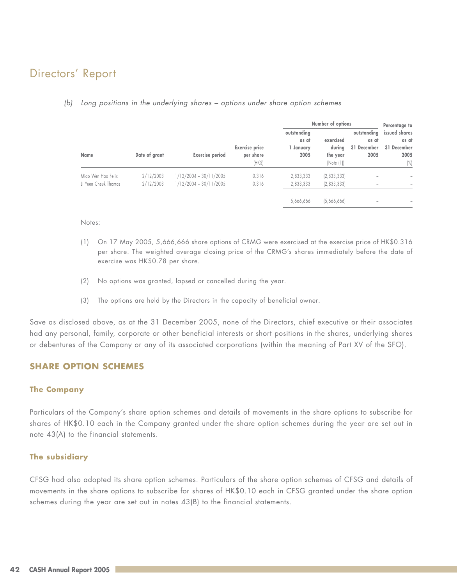(b) Long positions in the underlying shares – options under share option schemes

|                                            |                        |                                                      |                                              |                                           | Number of options                             |                                             | Percentage to                                           |
|--------------------------------------------|------------------------|------------------------------------------------------|----------------------------------------------|-------------------------------------------|-----------------------------------------------|---------------------------------------------|---------------------------------------------------------|
| Name                                       | Date of grant          | <b>Exercise period</b>                               | <b>Exercise price</b><br>per share<br>(HK\$) | outstanding<br>as at<br>1 January<br>2005 | exercised<br>during<br>the year<br>(Note (1)) | outstanding<br>as at<br>31 December<br>2005 | issued shares<br>as at<br>31 December<br>2005<br>$(\%)$ |
| Migo Wen Hao Felix<br>Li Yuen Cheuk Thomas | 2/12/2003<br>2/12/2003 | $1/12/2004 - 30/11/2005$<br>$1/12/2004 - 30/11/2005$ | 0.316<br>0.316                               | 2,833,333<br>2,833,333                    | (2,833,333)<br>(2,833,333)                    |                                             |                                                         |
|                                            |                        |                                                      |                                              | 5,666,666                                 | [5,666,666]                                   |                                             |                                                         |

Notes:

- (1) On 17 May 2005, 5,666,666 share options of CRMG were exercised at the exercise price of HK\$0.316 per share. The weighted average closing price of the CRMG's shares immediately before the date of exercise was HK\$0.78 per share.
- (2) No options was granted, lapsed or cancelled during the year.
- (3) The options are held by the Directors in the capacity of beneficial owner.

Save as disclosed above, as at the 31 December 2005, none of the Directors, chief executive or their associates had any personal, family, corporate or other beneficial interests or short positions in the shares, underlying shares or debentures of the Company or any of its associated corporations (within the meaning of Part XV of the SFO).

### **SHARE OPTION SCHEMES**

#### **The Company**

Particulars of the Company's share option schemes and details of movements in the share options to subscribe for shares of HK\$0.10 each in the Company granted under the share option schemes during the year are set out in note 43(A) to the financial statements.

#### **The subsidiary**

CFSG had also adopted its share option schemes. Particulars of the share option schemes of CFSG and details of movements in the share options to subscribe for shares of HK\$0.10 each in CFSG granted under the share option schemes during the year are set out in notes 43(B) to the financial statements.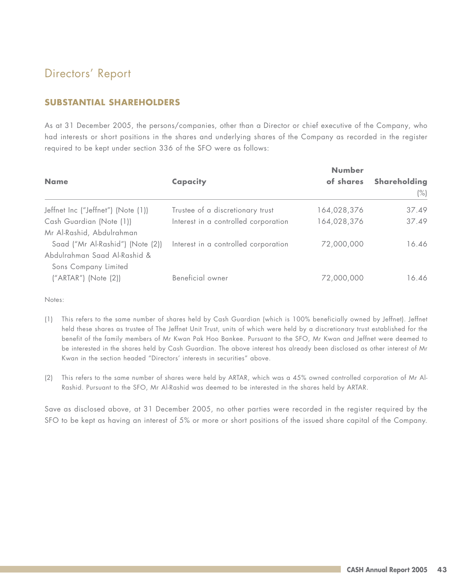### **SUBSTANTIAL SHAREHOLDERS**

As at 31 December 2005, the persons/companies, other than a Director or chief executive of the Company, who had interests or short positions in the shares and underlying shares of the Company as recorded in the register required to be kept under section 336 of the SFO were as follows:

|                                    |                                      | <b>Number</b> |              |  |  |
|------------------------------------|--------------------------------------|---------------|--------------|--|--|
| <b>Name</b>                        | Capacity                             | of shares     | Shareholding |  |  |
|                                    |                                      |               | $(\%)$       |  |  |
| Jeffnet Inc ("Jeffnet") (Note (1)) | Trustee of a discretionary trust     | 164,028,376   | 37.49        |  |  |
| Cash Guardian (Note (1))           | Interest in a controlled corporation | 164,028,376   | 37.49        |  |  |
| Mr Al-Rashid, Abdulrahman          |                                      |               |              |  |  |
| Saad ("Mr Al-Rashid") (Note (2))   | Interest in a controlled corporation | 72,000,000    | 16.46        |  |  |
| Abdulrahman Saad Al-Rashid &       |                                      |               |              |  |  |
| Sons Company Limited               |                                      |               |              |  |  |
| $('ARTAR")$ (Note $(2)$ )          | Beneficial owner                     | 72,000,000    | 16.46        |  |  |
|                                    |                                      |               |              |  |  |

Notes:

- (1) This refers to the same number of shares held by Cash Guardian (which is 100% beneficially owned by Jeffnet). Jeffnet held these shares as trustee of The Jeffnet Unit Trust, units of which were held by a discretionary trust established for the benefit of the family members of Mr Kwan Pak Hoo Bankee. Pursuant to the SFO, Mr Kwan and Jeffnet were deemed to be interested in the shares held by Cash Guardian. The above interest has already been disclosed as other interest of Mr Kwan in the section headed "Directors' interests in securities" above.
- (2) This refers to the same number of shares were held by ARTAR, which was a 45% owned controlled corporation of Mr Al-Rashid. Pursuant to the SFO, Mr Al-Rashid was deemed to be interested in the shares held by ARTAR.

Save as disclosed above, at 31 December 2005, no other parties were recorded in the register required by the SFO to be kept as having an interest of 5% or more or short positions of the issued share capital of the Company.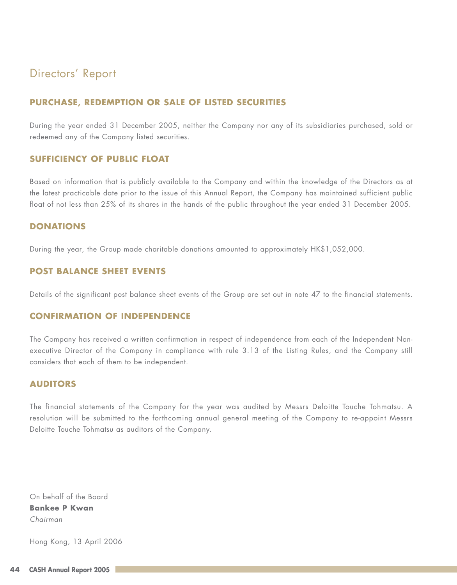### **PURCHASE, REDEMPTION OR SALE OF LISTED SECURITIES**

During the year ended 31 December 2005, neither the Company nor any of its subsidiaries purchased, sold or redeemed any of the Company listed securities.

### **SUFFICIENCY OF PUBLIC FLOAT**

Based on information that is publicly available to the Company and within the knowledge of the Directors as at the latest practicable date prior to the issue of this Annual Report, the Company has maintained sufficient public float of not less than 25% of its shares in the hands of the public throughout the year ended 31 December 2005.

#### **DONATIONS**

During the year, the Group made charitable donations amounted to approximately HK\$1,052,000.

### **POST BALANCE SHEET EVENTS**

Details of the significant post balance sheet events of the Group are set out in note 47 to the financial statements.

### **CONFIRMATION OF INDEPENDENCE**

The Company has received a written confirmation in respect of independence from each of the Independent Nonexecutive Director of the Company in compliance with rule 3.13 of the Listing Rules, and the Company still considers that each of them to be independent.

#### **AUDITORS**

The financial statements of the Company for the year was audited by Messrs Deloitte Touche Tohmatsu. A resolution will be submitted to the forthcoming annual general meeting of the Company to re-appoint Messrs Deloitte Touche Tohmatsu as auditors of the Company.

On behalf of the Board **Bankee P Kwan** Chairman

Hong Kong, 13 April 2006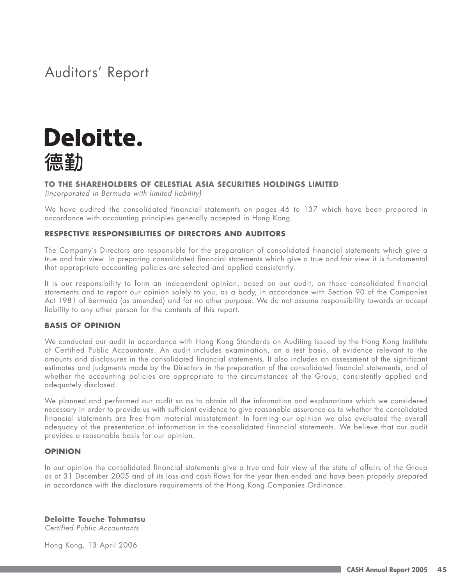Auditors' Report



#### **TO THE SHAREHOLDERS OF CELESTIAL ASIA SECURITIES HOLDINGS LIMITED**

(incorporated in Bermuda with limited liability)

We have audited the consolidated financial statements on pages 46 to 137 which have been prepared in accordance with accounting principles generally accepted in Hong Kong.

#### **RESPECTIVE RESPONSIBILITIES OF DIRECTORS AND AUDITORS**

The Company's Directors are responsible for the preparation of consolidated financial statements which give a true and fair view. In preparing consolidated financial statements which give a true and fair view it is fundamental that appropriate accounting policies are selected and applied consistently.

It is our responsibility to form an independent opinion, based on our audit, on those consolidated financial statements and to report our opinion solely to you, as a body, in accordance with Section 90 of the Companies Act 1981 of Bermuda (as amended) and for no other purpose. We do not assume responsibility towards or accept liability to any other person for the contents of this report.

#### **BASIS OF OPINION**

We conducted our audit in accordance with Hong Kong Standards on Auditing issued by the Hong Kong Institute of Certified Public Accountants. An audit includes examination, on a test basis, of evidence relevant to the amounts and disclosures in the consolidated financial statements. It also includes an assessment of the significant estimates and judgments made by the Directors in the preparation of the consolidated financial statements, and of whether the accounting policies are appropriate to the circumstances of the Group, consistently applied and adequately disclosed.

We planned and performed our audit so as to obtain all the information and explanations which we considered necessary in order to provide us with sufficient evidence to give reasonable assurance as to whether the consolidated financial statements are free from material misstatement. In forming our opinion we also evaluated the overall adequacy of the presentation of information in the consolidated financial statements. We believe that our audit provides a reasonable basis for our opinion.

### **OPINION**

In our opinion the consolidated financial statements give a true and fair view of the state of affairs of the Group as at 31 December 2005 and of its loss and cash flows for the year then ended and have been properly prepared in accordance with the disclosure requirements of the Hong Kong Companies Ordinance.

**Deloitte Touche Tohmatsu** Certified Public Accountants

Hong Kong, 13 April 2006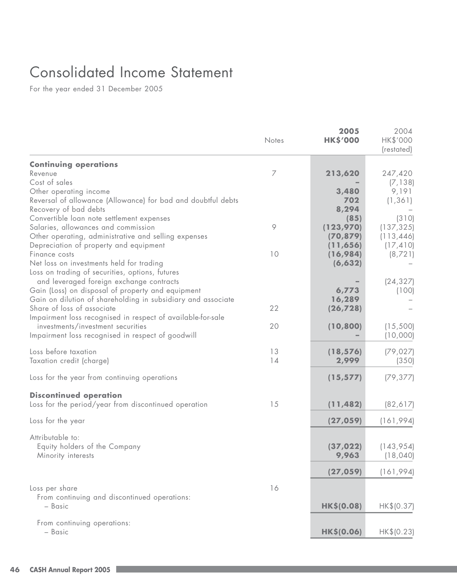# Consolidated Income Statement

|                                                                                                                                                                                             | Notes    | 2005<br><b>HK\$'000</b>                      | 2004<br>HK\$'000<br>(restated)                 |
|---------------------------------------------------------------------------------------------------------------------------------------------------------------------------------------------|----------|----------------------------------------------|------------------------------------------------|
| <b>Continuing operations</b><br>Revenue<br>Cost of sales                                                                                                                                    | 7        | 213,620                                      | 247,420<br>(7, 138)                            |
| Other operating income<br>Reversal of allowance (Allowance) for bad and doubtful debts<br>Recovery of bad debts                                                                             |          | 3,480<br>702<br>8,294                        | 9,191<br>(1, 361)                              |
| Convertible loan note settlement expenses<br>Salaries, allowances and commission<br>Other operating, administrative and selling expenses<br>Depreciation of property and equipment          | 9        | (85)<br>(123, 970)<br>(70, 879)<br>(11, 656) | (310)<br>(137, 325)<br>(113, 446)<br>(17, 410) |
| Finance costs<br>Net loss on investments held for trading<br>Loss on trading of securities, options, futures                                                                                | 10       | (16,984)<br>(6, 632)                         | (8,721)                                        |
| and leveraged foreign exchange contracts<br>Gain (Loss) on disposal of property and equipment<br>Gain on dilution of shareholding in subsidiary and associate<br>Share of loss of associate | 22       | 6,773<br>16,289<br>(26, 728)                 | (24, 327)<br>(100)                             |
| Impairment loss recognised in respect of available-for-sale<br>investments/investment securities<br>Impairment loss recognised in respect of goodwill                                       | 20       | (10, 800)                                    | (15,500)<br>(10,000)                           |
| Loss before taxation<br>Taxation credit (charge)                                                                                                                                            | 13<br>14 | (18, 576)<br>2,999                           | (79, 027)<br>(350)                             |
| Loss for the year from continuing operations                                                                                                                                                |          | (15, 577)                                    | (79, 377)                                      |
| <b>Discontinued operation</b><br>Loss for the period/year from discontinued operation                                                                                                       | 15       | (11, 482)                                    | (82, 617)                                      |
| Loss for the year                                                                                                                                                                           |          | (27, 059)                                    | (161,994)                                      |
| Attributable to:<br>Equity holders of the Company<br>Minority interests                                                                                                                     |          | (37, 022)<br>9,963                           | (143, 954)<br>(18,040)                         |
|                                                                                                                                                                                             |          | (27, 059)                                    | (161,994)                                      |
| Loss per share<br>From continuing and discontinued operations:<br>- Basic                                                                                                                   | 16       | HK\$(0.08)                                   | HK\$(0.37)                                     |
| From continuing operations:<br>- Basic                                                                                                                                                      |          | HK\$(0.06)                                   | HK\$(0.23)                                     |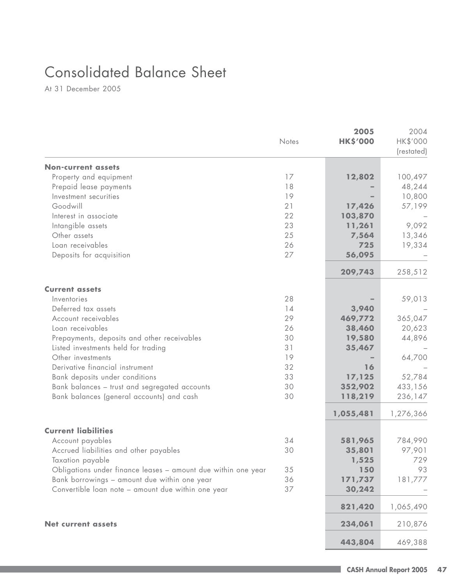# Consolidated Balance Sheet

At 31 December 2005

|                                                               | Notes | 2005<br><b>HK\$'000</b> | 2004<br>HK\$'000<br>(restated) |
|---------------------------------------------------------------|-------|-------------------------|--------------------------------|
| <b>Non-current assets</b>                                     |       |                         |                                |
| Property and equipment                                        | 17    | 12,802                  | 100,497                        |
| Prepaid lease payments                                        | 18    |                         | 48,244                         |
| Investment securities                                         | 19    |                         | 10,800                         |
| Goodwill                                                      | 21    | 17,426                  | 57,199                         |
| Interest in associate                                         | 22    | 103,870                 |                                |
| Intangible assets                                             | 23    | 11,261                  | 9,092                          |
| Other assets                                                  | 25    | 7,564                   | 13,346                         |
| Loan receivables                                              | 26    | 725                     | 19,334                         |
| Deposits for acquisition                                      | 27    | 56,095                  |                                |
|                                                               |       | 209,743                 | 258,512                        |
| <b>Current assets</b>                                         |       |                         |                                |
| Inventories                                                   | 28    |                         | 59,013                         |
| Deferred tax assets                                           | 14    | 3,940                   |                                |
| Account receivables                                           | 29    | 469,772                 | 365,047                        |
| Loan receivables                                              | 26    | 38,460                  | 20,623                         |
| Prepayments, deposits and other receivables                   | 30    | 19,580                  | 44,896                         |
| Listed investments held for trading                           | 31    | 35,467                  |                                |
| Other investments                                             | 19    |                         | 64,700                         |
| Derivative financial instrument                               | 32    | 16                      |                                |
| Bank deposits under conditions                                | 33    | 17,125                  | 52,784                         |
| Bank balances - trust and segregated accounts                 | 30    | 352,902                 | 433,156                        |
| Bank balances (general accounts) and cash                     | 30    | 118,219                 | 236,147                        |
|                                                               |       | 1,055,481               | 1,276,366                      |
| <b>Current liabilities</b>                                    |       |                         |                                |
| Account payables                                              | 34    | 581,965                 | 784,990                        |
| Accrued liabilities and other payables                        | 30    | 35,801                  | 97,901                         |
| Taxation payable                                              |       | 1,525                   | 729                            |
| Obligations under finance leases - amount due within one year | 35    | 150                     | 93                             |
| Bank borrowings - amount due within one year                  | 36    | 171,737                 | 181,777                        |
| Convertible loan note - amount due within one year            | 37    | 30,242                  |                                |
|                                                               |       | 821,420                 | 1,065,490                      |
| <b>Net current assets</b>                                     |       | 234,061                 | 210,876                        |
|                                                               |       | 443,804                 | 469,388                        |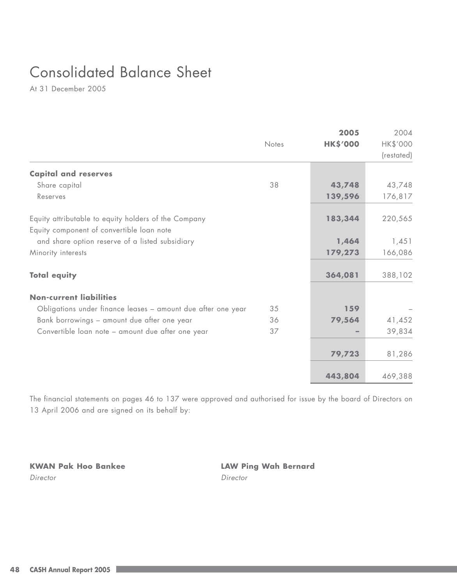# Consolidated Balance Sheet

At 31 December 2005

|                                                                                                   |              | 2005            | 2004       |
|---------------------------------------------------------------------------------------------------|--------------|-----------------|------------|
|                                                                                                   | <b>Notes</b> | <b>HK\$'000</b> | HK\$'000   |
|                                                                                                   |              |                 | (restated) |
| <b>Capital and reserves</b>                                                                       |              |                 |            |
| Share capital                                                                                     | 38           | 43,748          | 43,748     |
| Reserves                                                                                          |              | 139,596         | 176,817    |
| Equity attributable to equity holders of the Company<br>Equity component of convertible loan note |              | 183,344         | 220,565    |
| and share option reserve of a listed subsidiary                                                   |              | 1,464           | 1,451      |
| Minority interests                                                                                |              | 179,273         | 166,086    |
| <b>Total equity</b>                                                                               |              | 364,081         | 388,102    |
| <b>Non-current liabilities</b>                                                                    |              |                 |            |
| Obligations under finance leases - amount due after one year                                      | 35           | 159             |            |
| Bank borrowings - amount due after one year                                                       | 36           | 79,564          | 41,452     |
| Convertible loan note - amount due after one year                                                 | 37           |                 | 39,834     |
|                                                                                                   |              | 79,723          | 81,286     |
|                                                                                                   |              | 443,804         | 469,388    |

The financial statements on pages 46 to 137 were approved and authorised for issue by the board of Directors on 13 April 2006 and are signed on its behalf by:

Director Director

KWAN Pak Hoo Bankee **LAW Ping Wah Bernard**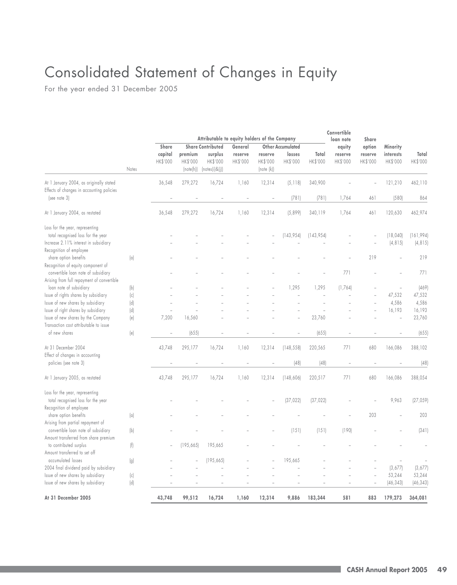# Consolidated Statement of Changes in Equity

For the year ended 31 December 2005

| <b>Share Contributed</b><br>Share<br>General<br><b>Other Accumulated</b><br>option<br>equity<br>Minority<br>capital<br>losses<br>premium<br>surplus<br>reserve<br>reserve<br>Total<br>reserve<br>reserve<br>interests<br>Total<br>HK\$'000<br>HK\$'000<br>HK\$'000<br>HK\$'000<br>HK\$'000<br>HK\$'000<br>HK\$'000<br>HK\$'000<br>HK\$'000<br>HK\$'000<br>HK\$'000<br>(note(h))<br>$[notes[i]$ & $[i]]$<br>[note (k)]<br>Notes<br>At 1 January 2004, as originally stated<br>36,548<br>279,272<br>16,724<br>1,160<br>12,314<br>340,900<br>121,210<br>462,110<br>(5, 118)<br>Effects of changes in accounting policies<br>1,764<br>(580)<br>864<br>(see note 3)<br>(781)<br>(781)<br>461<br>$\overline{\phantom{0}}$<br>36,548<br>279,272<br>16,724<br>12,314<br>461<br>120,630<br>462,974<br>At 1 January 2004, as restated<br>1,160<br>(5,899)<br>340,119<br>1,764<br>Loss for the year, representing<br>(161, 994)<br>total recognised loss for the year<br>(143, 954)<br>(18, 040)<br>(143, 954)<br>(4, 815)<br>Increase 2.11% interest in subsidiary<br>(4, 815)<br>÷<br>Recognition of employee<br>219<br>share option benefits<br>219<br>$(\alpha)$<br>Recognition of equity component of<br>convertible loan note of subsidiary<br>771<br>771<br>Arising from full repayment of convertible<br>loan note of subsidiary<br>(469)<br>1,295<br>1,295<br>(1,764)<br>(b)<br>47,532<br>47,532<br>Issue of rights shares by subsidiary<br>(c)<br>$\overline{a}$<br>Issue of new shares by subsidiary<br>4,586<br>4,586<br>(d)<br>Issue of right shares by subsidiary<br>16,193<br>(d)<br>16,193<br>Issue of new shares by the Company<br>23,760<br>(e)<br>7,200<br>16,560<br>23,760<br>Transaction cost attributable to issue<br>of new shares<br>(6.55)<br>(6.55)<br>(e)<br>(655)<br>$\overline{\phantom{a}}$<br>At 31 December 2004<br>43,748<br>295,177<br>16,724<br>12,314<br>(148, 558)<br>220,565<br>771<br>680<br>166,086<br>388,102<br>1,160<br>Effect of changes in accounting<br>policies (see note 3)<br>(48)<br>(48)<br>(48)<br>$\qquad \qquad -$<br>÷<br>43,748<br>295,177<br>16,724<br>12,314<br>(148,606)<br>771<br>166,086<br>388,054<br>At 1 January 2005, as restated<br>1,160<br>220,517<br>680<br>Loss for the year, representing<br>total recognised loss for the year<br>(27, 059)<br>(37, 022)<br>(37, 022)<br>9,963<br>Recognition of employee<br>share option benefits<br>203<br>203<br>(a)<br>Arising from partial repayment of<br>convertible loan note of subsidiary<br>(341)<br>(b)<br>(151)<br>(190)<br>(151)<br>Amount transferred from share premium<br>to contributed surplus<br>(f)<br>(195, 665)<br>195,665<br>Amount transferred to set off<br>accumulated losses<br>(195, 665)<br>195,665<br>(g)<br>2004 final dividend paid by subsidiary<br>(3,677)<br>(3,677)<br>Issue of new shares by subsidiary<br>53,244<br>53,244<br> c <br>(46, 343)<br>Issue of new shares by subsidiary<br>(d)<br>(46, 343)<br>L<br>At 31 December 2005<br>43,748<br>179,273<br>364,081<br>99,512<br>16,724<br>1,160<br>12,314<br>9,886<br>183,344<br>581<br>883 |  |  | Attributable to equity holders of the Company |  |  | Convertible<br>loan note | <b>Share</b> |  |  |
|----------------------------------------------------------------------------------------------------------------------------------------------------------------------------------------------------------------------------------------------------------------------------------------------------------------------------------------------------------------------------------------------------------------------------------------------------------------------------------------------------------------------------------------------------------------------------------------------------------------------------------------------------------------------------------------------------------------------------------------------------------------------------------------------------------------------------------------------------------------------------------------------------------------------------------------------------------------------------------------------------------------------------------------------------------------------------------------------------------------------------------------------------------------------------------------------------------------------------------------------------------------------------------------------------------------------------------------------------------------------------------------------------------------------------------------------------------------------------------------------------------------------------------------------------------------------------------------------------------------------------------------------------------------------------------------------------------------------------------------------------------------------------------------------------------------------------------------------------------------------------------------------------------------------------------------------------------------------------------------------------------------------------------------------------------------------------------------------------------------------------------------------------------------------------------------------------------------------------------------------------------------------------------------------------------------------------------------------------------------------------------------------------------------------------------------------------------------------------------------------------------------------------------------------------------------------------------------------------------------------------------------------------------------------------------------------------------------------------------------------------------------------------------------------------------------------------------------------------------------------------------------------------------------------------------------------------------------------------------------------------------------------------------------------------------------------------------|--|--|-----------------------------------------------|--|--|--------------------------|--------------|--|--|
|                                                                                                                                                                                                                                                                                                                                                                                                                                                                                                                                                                                                                                                                                                                                                                                                                                                                                                                                                                                                                                                                                                                                                                                                                                                                                                                                                                                                                                                                                                                                                                                                                                                                                                                                                                                                                                                                                                                                                                                                                                                                                                                                                                                                                                                                                                                                                                                                                                                                                                                                                                                                                                                                                                                                                                                                                                                                                                                                                                                                                                                                                  |  |  |                                               |  |  |                          |              |  |  |
|                                                                                                                                                                                                                                                                                                                                                                                                                                                                                                                                                                                                                                                                                                                                                                                                                                                                                                                                                                                                                                                                                                                                                                                                                                                                                                                                                                                                                                                                                                                                                                                                                                                                                                                                                                                                                                                                                                                                                                                                                                                                                                                                                                                                                                                                                                                                                                                                                                                                                                                                                                                                                                                                                                                                                                                                                                                                                                                                                                                                                                                                                  |  |  |                                               |  |  |                          |              |  |  |
|                                                                                                                                                                                                                                                                                                                                                                                                                                                                                                                                                                                                                                                                                                                                                                                                                                                                                                                                                                                                                                                                                                                                                                                                                                                                                                                                                                                                                                                                                                                                                                                                                                                                                                                                                                                                                                                                                                                                                                                                                                                                                                                                                                                                                                                                                                                                                                                                                                                                                                                                                                                                                                                                                                                                                                                                                                                                                                                                                                                                                                                                                  |  |  |                                               |  |  |                          |              |  |  |
|                                                                                                                                                                                                                                                                                                                                                                                                                                                                                                                                                                                                                                                                                                                                                                                                                                                                                                                                                                                                                                                                                                                                                                                                                                                                                                                                                                                                                                                                                                                                                                                                                                                                                                                                                                                                                                                                                                                                                                                                                                                                                                                                                                                                                                                                                                                                                                                                                                                                                                                                                                                                                                                                                                                                                                                                                                                                                                                                                                                                                                                                                  |  |  |                                               |  |  |                          |              |  |  |
|                                                                                                                                                                                                                                                                                                                                                                                                                                                                                                                                                                                                                                                                                                                                                                                                                                                                                                                                                                                                                                                                                                                                                                                                                                                                                                                                                                                                                                                                                                                                                                                                                                                                                                                                                                                                                                                                                                                                                                                                                                                                                                                                                                                                                                                                                                                                                                                                                                                                                                                                                                                                                                                                                                                                                                                                                                                                                                                                                                                                                                                                                  |  |  |                                               |  |  |                          |              |  |  |
|                                                                                                                                                                                                                                                                                                                                                                                                                                                                                                                                                                                                                                                                                                                                                                                                                                                                                                                                                                                                                                                                                                                                                                                                                                                                                                                                                                                                                                                                                                                                                                                                                                                                                                                                                                                                                                                                                                                                                                                                                                                                                                                                                                                                                                                                                                                                                                                                                                                                                                                                                                                                                                                                                                                                                                                                                                                                                                                                                                                                                                                                                  |  |  |                                               |  |  |                          |              |  |  |
|                                                                                                                                                                                                                                                                                                                                                                                                                                                                                                                                                                                                                                                                                                                                                                                                                                                                                                                                                                                                                                                                                                                                                                                                                                                                                                                                                                                                                                                                                                                                                                                                                                                                                                                                                                                                                                                                                                                                                                                                                                                                                                                                                                                                                                                                                                                                                                                                                                                                                                                                                                                                                                                                                                                                                                                                                                                                                                                                                                                                                                                                                  |  |  |                                               |  |  |                          |              |  |  |
|                                                                                                                                                                                                                                                                                                                                                                                                                                                                                                                                                                                                                                                                                                                                                                                                                                                                                                                                                                                                                                                                                                                                                                                                                                                                                                                                                                                                                                                                                                                                                                                                                                                                                                                                                                                                                                                                                                                                                                                                                                                                                                                                                                                                                                                                                                                                                                                                                                                                                                                                                                                                                                                                                                                                                                                                                                                                                                                                                                                                                                                                                  |  |  |                                               |  |  |                          |              |  |  |
|                                                                                                                                                                                                                                                                                                                                                                                                                                                                                                                                                                                                                                                                                                                                                                                                                                                                                                                                                                                                                                                                                                                                                                                                                                                                                                                                                                                                                                                                                                                                                                                                                                                                                                                                                                                                                                                                                                                                                                                                                                                                                                                                                                                                                                                                                                                                                                                                                                                                                                                                                                                                                                                                                                                                                                                                                                                                                                                                                                                                                                                                                  |  |  |                                               |  |  |                          |              |  |  |
|                                                                                                                                                                                                                                                                                                                                                                                                                                                                                                                                                                                                                                                                                                                                                                                                                                                                                                                                                                                                                                                                                                                                                                                                                                                                                                                                                                                                                                                                                                                                                                                                                                                                                                                                                                                                                                                                                                                                                                                                                                                                                                                                                                                                                                                                                                                                                                                                                                                                                                                                                                                                                                                                                                                                                                                                                                                                                                                                                                                                                                                                                  |  |  |                                               |  |  |                          |              |  |  |
|                                                                                                                                                                                                                                                                                                                                                                                                                                                                                                                                                                                                                                                                                                                                                                                                                                                                                                                                                                                                                                                                                                                                                                                                                                                                                                                                                                                                                                                                                                                                                                                                                                                                                                                                                                                                                                                                                                                                                                                                                                                                                                                                                                                                                                                                                                                                                                                                                                                                                                                                                                                                                                                                                                                                                                                                                                                                                                                                                                                                                                                                                  |  |  |                                               |  |  |                          |              |  |  |
|                                                                                                                                                                                                                                                                                                                                                                                                                                                                                                                                                                                                                                                                                                                                                                                                                                                                                                                                                                                                                                                                                                                                                                                                                                                                                                                                                                                                                                                                                                                                                                                                                                                                                                                                                                                                                                                                                                                                                                                                                                                                                                                                                                                                                                                                                                                                                                                                                                                                                                                                                                                                                                                                                                                                                                                                                                                                                                                                                                                                                                                                                  |  |  |                                               |  |  |                          |              |  |  |
|                                                                                                                                                                                                                                                                                                                                                                                                                                                                                                                                                                                                                                                                                                                                                                                                                                                                                                                                                                                                                                                                                                                                                                                                                                                                                                                                                                                                                                                                                                                                                                                                                                                                                                                                                                                                                                                                                                                                                                                                                                                                                                                                                                                                                                                                                                                                                                                                                                                                                                                                                                                                                                                                                                                                                                                                                                                                                                                                                                                                                                                                                  |  |  |                                               |  |  |                          |              |  |  |
|                                                                                                                                                                                                                                                                                                                                                                                                                                                                                                                                                                                                                                                                                                                                                                                                                                                                                                                                                                                                                                                                                                                                                                                                                                                                                                                                                                                                                                                                                                                                                                                                                                                                                                                                                                                                                                                                                                                                                                                                                                                                                                                                                                                                                                                                                                                                                                                                                                                                                                                                                                                                                                                                                                                                                                                                                                                                                                                                                                                                                                                                                  |  |  |                                               |  |  |                          |              |  |  |
|                                                                                                                                                                                                                                                                                                                                                                                                                                                                                                                                                                                                                                                                                                                                                                                                                                                                                                                                                                                                                                                                                                                                                                                                                                                                                                                                                                                                                                                                                                                                                                                                                                                                                                                                                                                                                                                                                                                                                                                                                                                                                                                                                                                                                                                                                                                                                                                                                                                                                                                                                                                                                                                                                                                                                                                                                                                                                                                                                                                                                                                                                  |  |  |                                               |  |  |                          |              |  |  |
|                                                                                                                                                                                                                                                                                                                                                                                                                                                                                                                                                                                                                                                                                                                                                                                                                                                                                                                                                                                                                                                                                                                                                                                                                                                                                                                                                                                                                                                                                                                                                                                                                                                                                                                                                                                                                                                                                                                                                                                                                                                                                                                                                                                                                                                                                                                                                                                                                                                                                                                                                                                                                                                                                                                                                                                                                                                                                                                                                                                                                                                                                  |  |  |                                               |  |  |                          |              |  |  |
|                                                                                                                                                                                                                                                                                                                                                                                                                                                                                                                                                                                                                                                                                                                                                                                                                                                                                                                                                                                                                                                                                                                                                                                                                                                                                                                                                                                                                                                                                                                                                                                                                                                                                                                                                                                                                                                                                                                                                                                                                                                                                                                                                                                                                                                                                                                                                                                                                                                                                                                                                                                                                                                                                                                                                                                                                                                                                                                                                                                                                                                                                  |  |  |                                               |  |  |                          |              |  |  |
|                                                                                                                                                                                                                                                                                                                                                                                                                                                                                                                                                                                                                                                                                                                                                                                                                                                                                                                                                                                                                                                                                                                                                                                                                                                                                                                                                                                                                                                                                                                                                                                                                                                                                                                                                                                                                                                                                                                                                                                                                                                                                                                                                                                                                                                                                                                                                                                                                                                                                                                                                                                                                                                                                                                                                                                                                                                                                                                                                                                                                                                                                  |  |  |                                               |  |  |                          |              |  |  |
|                                                                                                                                                                                                                                                                                                                                                                                                                                                                                                                                                                                                                                                                                                                                                                                                                                                                                                                                                                                                                                                                                                                                                                                                                                                                                                                                                                                                                                                                                                                                                                                                                                                                                                                                                                                                                                                                                                                                                                                                                                                                                                                                                                                                                                                                                                                                                                                                                                                                                                                                                                                                                                                                                                                                                                                                                                                                                                                                                                                                                                                                                  |  |  |                                               |  |  |                          |              |  |  |
|                                                                                                                                                                                                                                                                                                                                                                                                                                                                                                                                                                                                                                                                                                                                                                                                                                                                                                                                                                                                                                                                                                                                                                                                                                                                                                                                                                                                                                                                                                                                                                                                                                                                                                                                                                                                                                                                                                                                                                                                                                                                                                                                                                                                                                                                                                                                                                                                                                                                                                                                                                                                                                                                                                                                                                                                                                                                                                                                                                                                                                                                                  |  |  |                                               |  |  |                          |              |  |  |
|                                                                                                                                                                                                                                                                                                                                                                                                                                                                                                                                                                                                                                                                                                                                                                                                                                                                                                                                                                                                                                                                                                                                                                                                                                                                                                                                                                                                                                                                                                                                                                                                                                                                                                                                                                                                                                                                                                                                                                                                                                                                                                                                                                                                                                                                                                                                                                                                                                                                                                                                                                                                                                                                                                                                                                                                                                                                                                                                                                                                                                                                                  |  |  |                                               |  |  |                          |              |  |  |
|                                                                                                                                                                                                                                                                                                                                                                                                                                                                                                                                                                                                                                                                                                                                                                                                                                                                                                                                                                                                                                                                                                                                                                                                                                                                                                                                                                                                                                                                                                                                                                                                                                                                                                                                                                                                                                                                                                                                                                                                                                                                                                                                                                                                                                                                                                                                                                                                                                                                                                                                                                                                                                                                                                                                                                                                                                                                                                                                                                                                                                                                                  |  |  |                                               |  |  |                          |              |  |  |
|                                                                                                                                                                                                                                                                                                                                                                                                                                                                                                                                                                                                                                                                                                                                                                                                                                                                                                                                                                                                                                                                                                                                                                                                                                                                                                                                                                                                                                                                                                                                                                                                                                                                                                                                                                                                                                                                                                                                                                                                                                                                                                                                                                                                                                                                                                                                                                                                                                                                                                                                                                                                                                                                                                                                                                                                                                                                                                                                                                                                                                                                                  |  |  |                                               |  |  |                          |              |  |  |
|                                                                                                                                                                                                                                                                                                                                                                                                                                                                                                                                                                                                                                                                                                                                                                                                                                                                                                                                                                                                                                                                                                                                                                                                                                                                                                                                                                                                                                                                                                                                                                                                                                                                                                                                                                                                                                                                                                                                                                                                                                                                                                                                                                                                                                                                                                                                                                                                                                                                                                                                                                                                                                                                                                                                                                                                                                                                                                                                                                                                                                                                                  |  |  |                                               |  |  |                          |              |  |  |
|                                                                                                                                                                                                                                                                                                                                                                                                                                                                                                                                                                                                                                                                                                                                                                                                                                                                                                                                                                                                                                                                                                                                                                                                                                                                                                                                                                                                                                                                                                                                                                                                                                                                                                                                                                                                                                                                                                                                                                                                                                                                                                                                                                                                                                                                                                                                                                                                                                                                                                                                                                                                                                                                                                                                                                                                                                                                                                                                                                                                                                                                                  |  |  |                                               |  |  |                          |              |  |  |
|                                                                                                                                                                                                                                                                                                                                                                                                                                                                                                                                                                                                                                                                                                                                                                                                                                                                                                                                                                                                                                                                                                                                                                                                                                                                                                                                                                                                                                                                                                                                                                                                                                                                                                                                                                                                                                                                                                                                                                                                                                                                                                                                                                                                                                                                                                                                                                                                                                                                                                                                                                                                                                                                                                                                                                                                                                                                                                                                                                                                                                                                                  |  |  |                                               |  |  |                          |              |  |  |
|                                                                                                                                                                                                                                                                                                                                                                                                                                                                                                                                                                                                                                                                                                                                                                                                                                                                                                                                                                                                                                                                                                                                                                                                                                                                                                                                                                                                                                                                                                                                                                                                                                                                                                                                                                                                                                                                                                                                                                                                                                                                                                                                                                                                                                                                                                                                                                                                                                                                                                                                                                                                                                                                                                                                                                                                                                                                                                                                                                                                                                                                                  |  |  |                                               |  |  |                          |              |  |  |
|                                                                                                                                                                                                                                                                                                                                                                                                                                                                                                                                                                                                                                                                                                                                                                                                                                                                                                                                                                                                                                                                                                                                                                                                                                                                                                                                                                                                                                                                                                                                                                                                                                                                                                                                                                                                                                                                                                                                                                                                                                                                                                                                                                                                                                                                                                                                                                                                                                                                                                                                                                                                                                                                                                                                                                                                                                                                                                                                                                                                                                                                                  |  |  |                                               |  |  |                          |              |  |  |
|                                                                                                                                                                                                                                                                                                                                                                                                                                                                                                                                                                                                                                                                                                                                                                                                                                                                                                                                                                                                                                                                                                                                                                                                                                                                                                                                                                                                                                                                                                                                                                                                                                                                                                                                                                                                                                                                                                                                                                                                                                                                                                                                                                                                                                                                                                                                                                                                                                                                                                                                                                                                                                                                                                                                                                                                                                                                                                                                                                                                                                                                                  |  |  |                                               |  |  |                          |              |  |  |
|                                                                                                                                                                                                                                                                                                                                                                                                                                                                                                                                                                                                                                                                                                                                                                                                                                                                                                                                                                                                                                                                                                                                                                                                                                                                                                                                                                                                                                                                                                                                                                                                                                                                                                                                                                                                                                                                                                                                                                                                                                                                                                                                                                                                                                                                                                                                                                                                                                                                                                                                                                                                                                                                                                                                                                                                                                                                                                                                                                                                                                                                                  |  |  |                                               |  |  |                          |              |  |  |
|                                                                                                                                                                                                                                                                                                                                                                                                                                                                                                                                                                                                                                                                                                                                                                                                                                                                                                                                                                                                                                                                                                                                                                                                                                                                                                                                                                                                                                                                                                                                                                                                                                                                                                                                                                                                                                                                                                                                                                                                                                                                                                                                                                                                                                                                                                                                                                                                                                                                                                                                                                                                                                                                                                                                                                                                                                                                                                                                                                                                                                                                                  |  |  |                                               |  |  |                          |              |  |  |
|                                                                                                                                                                                                                                                                                                                                                                                                                                                                                                                                                                                                                                                                                                                                                                                                                                                                                                                                                                                                                                                                                                                                                                                                                                                                                                                                                                                                                                                                                                                                                                                                                                                                                                                                                                                                                                                                                                                                                                                                                                                                                                                                                                                                                                                                                                                                                                                                                                                                                                                                                                                                                                                                                                                                                                                                                                                                                                                                                                                                                                                                                  |  |  |                                               |  |  |                          |              |  |  |
|                                                                                                                                                                                                                                                                                                                                                                                                                                                                                                                                                                                                                                                                                                                                                                                                                                                                                                                                                                                                                                                                                                                                                                                                                                                                                                                                                                                                                                                                                                                                                                                                                                                                                                                                                                                                                                                                                                                                                                                                                                                                                                                                                                                                                                                                                                                                                                                                                                                                                                                                                                                                                                                                                                                                                                                                                                                                                                                                                                                                                                                                                  |  |  |                                               |  |  |                          |              |  |  |
|                                                                                                                                                                                                                                                                                                                                                                                                                                                                                                                                                                                                                                                                                                                                                                                                                                                                                                                                                                                                                                                                                                                                                                                                                                                                                                                                                                                                                                                                                                                                                                                                                                                                                                                                                                                                                                                                                                                                                                                                                                                                                                                                                                                                                                                                                                                                                                                                                                                                                                                                                                                                                                                                                                                                                                                                                                                                                                                                                                                                                                                                                  |  |  |                                               |  |  |                          |              |  |  |
|                                                                                                                                                                                                                                                                                                                                                                                                                                                                                                                                                                                                                                                                                                                                                                                                                                                                                                                                                                                                                                                                                                                                                                                                                                                                                                                                                                                                                                                                                                                                                                                                                                                                                                                                                                                                                                                                                                                                                                                                                                                                                                                                                                                                                                                                                                                                                                                                                                                                                                                                                                                                                                                                                                                                                                                                                                                                                                                                                                                                                                                                                  |  |  |                                               |  |  |                          |              |  |  |
|                                                                                                                                                                                                                                                                                                                                                                                                                                                                                                                                                                                                                                                                                                                                                                                                                                                                                                                                                                                                                                                                                                                                                                                                                                                                                                                                                                                                                                                                                                                                                                                                                                                                                                                                                                                                                                                                                                                                                                                                                                                                                                                                                                                                                                                                                                                                                                                                                                                                                                                                                                                                                                                                                                                                                                                                                                                                                                                                                                                                                                                                                  |  |  |                                               |  |  |                          |              |  |  |
|                                                                                                                                                                                                                                                                                                                                                                                                                                                                                                                                                                                                                                                                                                                                                                                                                                                                                                                                                                                                                                                                                                                                                                                                                                                                                                                                                                                                                                                                                                                                                                                                                                                                                                                                                                                                                                                                                                                                                                                                                                                                                                                                                                                                                                                                                                                                                                                                                                                                                                                                                                                                                                                                                                                                                                                                                                                                                                                                                                                                                                                                                  |  |  |                                               |  |  |                          |              |  |  |
|                                                                                                                                                                                                                                                                                                                                                                                                                                                                                                                                                                                                                                                                                                                                                                                                                                                                                                                                                                                                                                                                                                                                                                                                                                                                                                                                                                                                                                                                                                                                                                                                                                                                                                                                                                                                                                                                                                                                                                                                                                                                                                                                                                                                                                                                                                                                                                                                                                                                                                                                                                                                                                                                                                                                                                                                                                                                                                                                                                                                                                                                                  |  |  |                                               |  |  |                          |              |  |  |
|                                                                                                                                                                                                                                                                                                                                                                                                                                                                                                                                                                                                                                                                                                                                                                                                                                                                                                                                                                                                                                                                                                                                                                                                                                                                                                                                                                                                                                                                                                                                                                                                                                                                                                                                                                                                                                                                                                                                                                                                                                                                                                                                                                                                                                                                                                                                                                                                                                                                                                                                                                                                                                                                                                                                                                                                                                                                                                                                                                                                                                                                                  |  |  |                                               |  |  |                          |              |  |  |
|                                                                                                                                                                                                                                                                                                                                                                                                                                                                                                                                                                                                                                                                                                                                                                                                                                                                                                                                                                                                                                                                                                                                                                                                                                                                                                                                                                                                                                                                                                                                                                                                                                                                                                                                                                                                                                                                                                                                                                                                                                                                                                                                                                                                                                                                                                                                                                                                                                                                                                                                                                                                                                                                                                                                                                                                                                                                                                                                                                                                                                                                                  |  |  |                                               |  |  |                          |              |  |  |
|                                                                                                                                                                                                                                                                                                                                                                                                                                                                                                                                                                                                                                                                                                                                                                                                                                                                                                                                                                                                                                                                                                                                                                                                                                                                                                                                                                                                                                                                                                                                                                                                                                                                                                                                                                                                                                                                                                                                                                                                                                                                                                                                                                                                                                                                                                                                                                                                                                                                                                                                                                                                                                                                                                                                                                                                                                                                                                                                                                                                                                                                                  |  |  |                                               |  |  |                          |              |  |  |

and the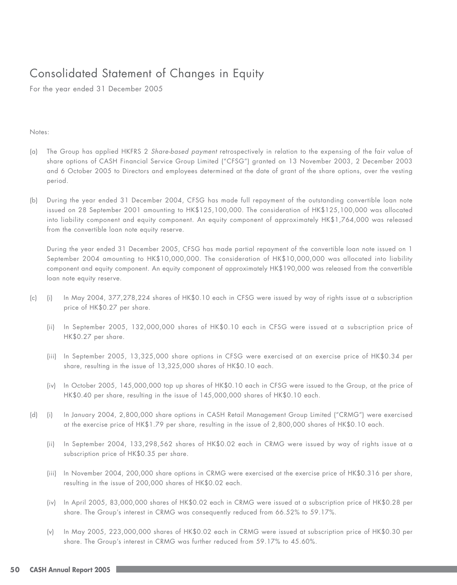# Consolidated Statement of Changes in Equity

For the year ended 31 December 2005

#### Notes:

- (a) The Group has applied HKFRS 2 Share-based payment retrospectively in relation to the expensing of the fair value of share options of CASH Financial Service Group Limited ("CFSG") granted on 13 November 2003, 2 December 2003 and 6 October 2005 to Directors and employees determined at the date of grant of the share options, over the vesting period.
- (b) During the year ended 31 December 2004, CFSG has made full repayment of the outstanding convertible loan note issued on 28 September 2001 amounting to HK\$125,100,000. The consideration of HK\$125,100,000 was allocated into liability component and equity component. An equity component of approximately HK\$1,764,000 was released from the convertible loan note equity reserve.

During the year ended 31 December 2005, CFSG has made partial repayment of the convertible loan note issued on 1 September 2004 amounting to HK\$10,000,000. The consideration of HK\$10,000,000 was allocated into liability component and equity component. An equity component of approximately HK\$190,000 was released from the convertible loan note equity reserve.

- (c) (i) In May 2004, 377,278,224 shares of HK\$0.10 each in CFSG were issued by way of rights issue at a subscription price of HK\$0.27 per share.
	- (ii) In September 2005, 132,000,000 shares of HK\$0.10 each in CFSG were issued at a subscription price of HK\$0.27 per share.
	- (iii) In September 2005, 13,325,000 share options in CFSG were exercised at an exercise price of HK\$0.34 per share, resulting in the issue of 13,325,000 shares of HK\$0.10 each.
	- (iv) In October 2005, 145,000,000 top up shares of HK\$0.10 each in CFSG were issued to the Group, at the price of HK\$0.40 per share, resulting in the issue of 145,000,000 shares of HK\$0.10 each.
- (d) (i) In January 2004, 2,800,000 share options in CASH Retail Management Group Limited ("CRMG") were exercised at the exercise price of HK\$1.79 per share, resulting in the issue of 2,800,000 shares of HK\$0.10 each.
	- (ii) In September 2004, 133,298,562 shares of HK\$0.02 each in CRMG were issued by way of rights issue at a subscription price of HK\$0.35 per share.
	- (iii) In November 2004, 200,000 share options in CRMG were exercised at the exercise price of HK\$0.316 per share, resulting in the issue of 200,000 shares of HK\$0.02 each.
	- (iv) In April 2005, 83,000,000 shares of HK\$0.02 each in CRMG were issued at a subscription price of HK\$0.28 per share. The Group's interest in CRMG was consequently reduced from 66.52% to 59.17%.
	- (v) In May 2005, 223,000,000 shares of HK\$0.02 each in CRMG were issued at subscription price of HK\$0.30 per share. The Group's interest in CRMG was further reduced from 59.17% to 45.60%.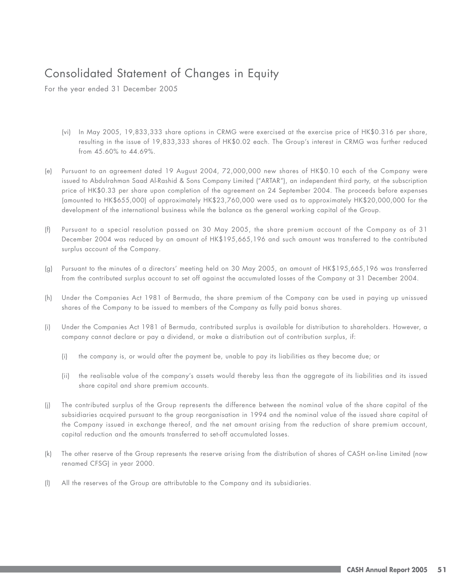# Consolidated Statement of Changes in Equity

- (vi) In May 2005, 19,833,333 share options in CRMG were exercised at the exercise price of HK\$0.316 per share, resulting in the issue of 19,833,333 shares of HK\$0.02 each. The Group's interest in CRMG was further reduced from 45.60% to 44.69%.
- (e) Pursuant to an agreement dated 19 August 2004, 72,000,000 new shares of HK\$0.10 each of the Company were issued to Abdulrahman Saad Al-Rashid & Sons Company Limited ("ARTAR"), an independent third party, at the subscription price of HK\$0.33 per share upon completion of the agreement on 24 September 2004. The proceeds before expenses (amounted to HK\$655,000) of approximately HK\$23,760,000 were used as to approximately HK\$20,000,000 for the development of the international business while the balance as the general working capital of the Group.
- (f) Pursuant to a special resolution passed on 30 May 2005, the share premium account of the Company as of 31 December 2004 was reduced by an amount of HK\$195,665,196 and such amount was transferred to the contributed surplus account of the Company.
- (g) Pursuant to the minutes of a directors' meeting held on 30 May 2005, an amount of HK\$195,665,196 was transferred from the contributed surplus account to set off against the accumulated losses of the Company at 31 December 2004.
- (h) Under the Companies Act 1981 of Bermuda, the share premium of the Company can be used in paying up unissued shares of the Company to be issued to members of the Company as fully paid bonus shares.
- (i) Under the Companies Act 1981 of Bermuda, contributed surplus is available for distribution to shareholders. However, a company cannot declare or pay a dividend, or make a distribution out of contribution surplus, if:
	- (i) the company is, or would after the payment be, unable to pay its liabilities as they become due; or
	- (ii) the realisable value of the company's assets would thereby less than the aggregate of its liabilities and its issued share capital and share premium accounts.
- (j) The contributed surplus of the Group represents the difference between the nominal value of the share capital of the subsidiaries acquired pursuant to the group reorganisation in 1994 and the nominal value of the issued share capital of the Company issued in exchange thereof, and the net amount arising from the reduction of share premium account, capital reduction and the amounts transferred to set-off accumulated losses.
- (k) The other reserve of the Group represents the reserve arising from the distribution of shares of CASH on-line Limited (now renamed CFSG) in year 2000.
- (l) All the reserves of the Group are attributable to the Company and its subsidiaries.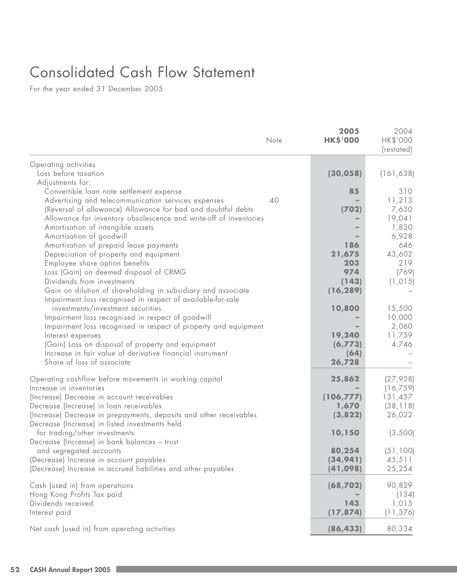# Consolidated Cash Flow Statement

|                                                                                                                                                                                                                                                                                                                                                                                                                                                                                                                                                                                                                                                                                                                                                                                                                                                                                                                                                                                          | Note | 2005<br><b>HK\$'000</b>                                                                                                | 2004<br>HK\$'000<br>(restated)                                                                                                                  |
|------------------------------------------------------------------------------------------------------------------------------------------------------------------------------------------------------------------------------------------------------------------------------------------------------------------------------------------------------------------------------------------------------------------------------------------------------------------------------------------------------------------------------------------------------------------------------------------------------------------------------------------------------------------------------------------------------------------------------------------------------------------------------------------------------------------------------------------------------------------------------------------------------------------------------------------------------------------------------------------|------|------------------------------------------------------------------------------------------------------------------------|-------------------------------------------------------------------------------------------------------------------------------------------------|
| Operating activities<br>Loss before taxation                                                                                                                                                                                                                                                                                                                                                                                                                                                                                                                                                                                                                                                                                                                                                                                                                                                                                                                                             |      | (30, 058)                                                                                                              | (161, 638)                                                                                                                                      |
| Adjustments for:<br>Convertible loan note settlement expense<br>Advertising and telecommunication services expenses<br>(Reversal of allowance) Allowance for bad and doubtful debts<br>Allowance for inventory obsolescence and write-off of inventories<br>Amortisation of intangible assets<br>Amortisation of goodwill<br>Amortisation of prepaid lease payments<br>Depreciation of property and equipment<br>Employee share option benefits<br>Loss (Gain) on deemed disposal of CRMG<br>Dividends from investments<br>Gain on dilution of shareholding in subsidiary and associate<br>Impairment loss recognised in respect of available-for-sale<br>investments/investment securities<br>Impairment loss recognised in respect of goodwill<br>Impairment loss recognised in respect of property and equipment<br>Interest expenses<br>(Gain) Loss on disposal of property and equipment<br>Increase in fair value of derivative financial instrument<br>Share of loss of associate | 40   | 85<br>(702)<br>186<br>21,675<br>203<br>974<br>(143)<br>(16, 289)<br>10,800<br>19,240<br>(6,773)<br>(64)<br>26,728      | 310<br>11,213<br>7,630<br>19,041<br>1,830<br>6,928<br>646<br>43,602<br>219<br>(769)<br>(1, 015)<br>15,500<br>10,000<br>2,060<br>11,759<br>4,746 |
| Operating cashflow before movements in working capital<br>Increase in inventories<br>(Increase) Decrease in account receivables<br>Decrease (Increase) in loan receivables<br>(Increase) Decrease in prepayments, deposits and other receivables<br>Decrease (Increase) in listed investments held<br>for trading/other investments<br>Decrease (Increase) in bank balances - trust<br>and segregated accounts<br>(Decrease) Increase in account payables<br>(Decrease) Increase in accrued liabilities and other payables<br>Cash (used in) from operations<br>Hong Kong Profits Tax paid<br>Dividends received<br>Interest paid                                                                                                                                                                                                                                                                                                                                                        |      | 25,862<br>(106, 777)<br>1,670<br>(3,822)<br>10,150<br>80,254<br>(34, 941)<br>(41,098)<br>(68, 702)<br>143<br>(17, 874) | (27,938)<br>(16,759)<br>131,457<br>(38, 118)<br>26,022<br>(3,500)<br>(51, 100)<br>45,511<br>25,254<br>90,829<br>(134)<br>1,015<br>(11,376)      |
| Net cash (used in) from operating activities                                                                                                                                                                                                                                                                                                                                                                                                                                                                                                                                                                                                                                                                                                                                                                                                                                                                                                                                             |      | (86, 433)                                                                                                              | 80,334                                                                                                                                          |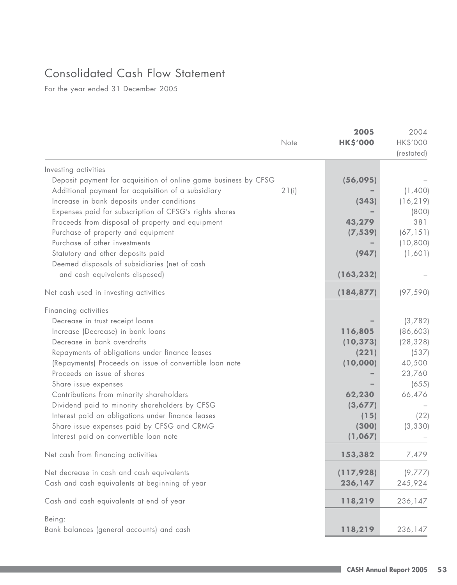# Consolidated Cash Flow Statement

|                                                                 | Note  | 2005<br><b>HK\$'000</b> | 2004<br>HK\$'000<br>(restated) |
|-----------------------------------------------------------------|-------|-------------------------|--------------------------------|
| Investing activities                                            |       |                         |                                |
| Deposit payment for acquisition of online game business by CFSG |       | (56, 095)               |                                |
| Additional payment for acquisition of a subsidiary              | 21(i) |                         | (1,400)                        |
| Increase in bank deposits under conditions                      |       | (343)                   | (16, 219)                      |
| Expenses paid for subscription of CFSG's rights shares          |       |                         | (800)                          |
| Proceeds from disposal of property and equipment                |       | 43,279                  | 381                            |
| Purchase of property and equipment                              |       | (7, 539)                | (67, 151)                      |
| Purchase of other investments                                   |       |                         | (10, 800)                      |
| Statutory and other deposits paid                               |       | (947)                   | (1,601)                        |
| Deemed disposals of subsidiaries (net of cash                   |       |                         |                                |
| and cash equivalents disposed)                                  |       | (163, 232)              |                                |
| Net cash used in investing activities                           |       | (184, 877)              | (97, 590)                      |
| Financing activities                                            |       |                         |                                |
| Decrease in trust receipt loans                                 |       |                         | (3,782)                        |
| Increase (Decrease) in bank loans                               |       | 116,805                 | (86, 603)                      |
| Decrease in bank overdrafts                                     |       | (10, 373)               | (28, 328)                      |
| Repayments of obligations under finance leases                  |       | (221)                   | (537)                          |
| (Repayments) Proceeds on issue of convertible loan note         |       | (10,000)                | 40,500                         |
| Proceeds on issue of shares                                     |       |                         | 23,760                         |
| Share issue expenses                                            |       |                         | (655)                          |
| Contributions from minority shareholders                        |       | 62,230                  | 66,476                         |
| Dividend paid to minority shareholders by CFSG                  |       | (3,677)                 |                                |
| Interest paid on obligations under finance leases               |       | (15)                    | (22)                           |
| Share issue expenses paid by CFSG and CRMG                      |       | (300)                   | (3, 330)                       |
| Interest paid on convertible loan note                          |       | (1,067)                 |                                |
| Net cash from financing activities                              |       | 153,382                 | 7,479                          |
| Net decrease in cash and cash equivalents                       |       | (117, 928)              | (9,777)                        |
| Cash and cash equivalents at beginning of year                  |       | 236,147                 | 245,924                        |
|                                                                 |       |                         |                                |
| Cash and cash equivalents at end of year                        |       | 118,219                 | 236,147                        |
| Being:                                                          |       |                         |                                |
| Bank balances (general accounts) and cash                       |       | 118,219                 | 236,147                        |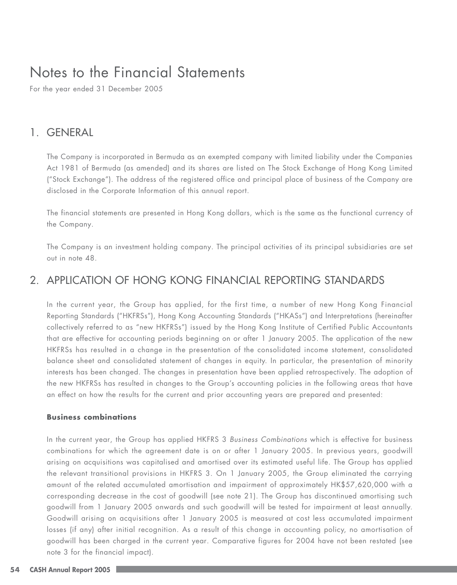For the year ended 31 December 2005

### 1. GENERAL

The Company is incorporated in Bermuda as an exempted company with limited liability under the Companies Act 1981 of Bermuda (as amended) and its shares are listed on The Stock Exchange of Hong Kong Limited ("Stock Exchange"). The address of the registered office and principal place of business of the Company are disclosed in the Corporate Information of this annual report.

The financial statements are presented in Hong Kong dollars, which is the same as the functional currency of the Company.

The Company is an investment holding company. The principal activities of its principal subsidiaries are set out in note 48.

### 2. APPLICATION OF HONG KONG FINANCIAL REPORTING STANDARDS

In the current year, the Group has applied, for the first time, a number of new Hong Kong Financial Reporting Standards ("HKFRSs"), Hong Kong Accounting Standards ("HKASs") and Interpretations (hereinafter collectively referred to as "new HKFRSs") issued by the Hong Kong Institute of Certified Public Accountants that are effective for accounting periods beginning on or after 1 January 2005. The application of the new HKFRSs has resulted in a change in the presentation of the consolidated income statement, consolidated balance sheet and consolidated statement of changes in equity. In particular, the presentation of minority interests has been changed. The changes in presentation have been applied retrospectively. The adoption of the new HKFRSs has resulted in changes to the Group's accounting policies in the following areas that have an effect on how the results for the current and prior accounting years are prepared and presented:

### **Business combinations**

In the current year, the Group has applied HKFRS 3 Business Combinations which is effective for business combinations for which the agreement date is on or after 1 January 2005. In previous years, goodwill arising on acquisitions was capitalised and amortised over its estimated useful life. The Group has applied the relevant transitional provisions in HKFRS 3. On 1 January 2005, the Group eliminated the carrying amount of the related accumulated amortisation and impairment of approximately HK\$57,620,000 with a corresponding decrease in the cost of goodwill (see note 21). The Group has discontinued amortising such goodwill from 1 January 2005 onwards and such goodwill will be tested for impairment at least annually. Goodwill arising on acquisitions after 1 January 2005 is measured at cost less accumulated impairment losses (if any) after initial recognition. As a result of this change in accounting policy, no amortisation of goodwill has been charged in the current year. Comparative figures for 2004 have not been restated (see note 3 for the financial impact).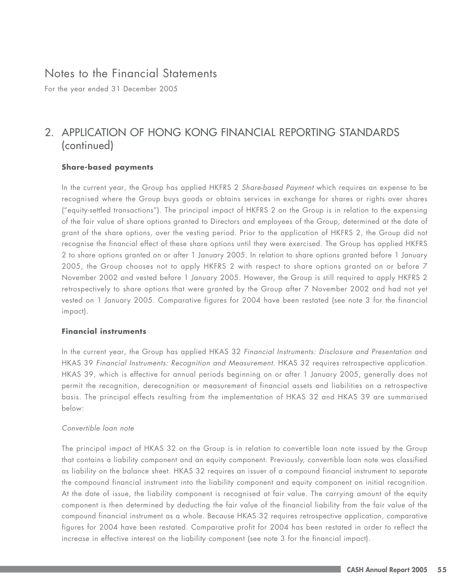For the year ended 31 December 2005

### 2. APPLICATION OF HONG KONG FINANCIAL REPORTING STANDARDS (continued)

### **Share-based payments**

In the current year, the Group has applied HKFRS 2 Share-based Payment which requires an expense to be recognised where the Group buys goods or obtains services in exchange for shares or rights over shares ("equity-settled transactions"). The principal impact of HKFRS 2 on the Group is in relation to the expensing of the fair value of share options granted to Directors and employees of the Group, determined at the date of grant of the share options, over the vesting period. Prior to the application of HKFRS 2, the Group did not recognise the financial effect of these share options until they were exercised. The Group has applied HKFRS 2 to share options granted on or after 1 January 2005. In relation to share options granted before 1 January 2005, the Group chooses not to apply HKFRS 2 with respect to share options granted on or before 7 November 2002 and vested before 1 January 2005. However, the Group is still required to apply HKFRS 2 retrospectively to share options that were granted by the Group after 7 November 2002 and had not yet vested on 1 January 2005. Comparative figures for 2004 have been restated (see note 3 for the financial impact).

#### **Financial instruments**

In the current year, the Group has applied HKAS 32 Financial Instruments: Disclosure and Presentation and HKAS 39 Financial Instruments: Recognition and Measurement. HKAS 32 requires retrospective application. HKAS 39, which is effective for annual periods beginning on or after 1 January 2005, generally does not permit the recognition, derecognition or measurement of financial assets and liabilities on a retrospective basis. The principal effects resulting from the implementation of HKAS 32 and HKAS 39 are summarised below:

### Convertible loan note

The principal impact of HKAS 32 on the Group is in relation to convertible loan note issued by the Group that contains a liability component and an equity component. Previously, convertible loan note was classified as liability on the balance sheet. HKAS 32 requires an issuer of a compound financial instrument to separate the compound financial instrument into the liability component and equity component on initial recognition. At the date of issue, the liability component is recognised at fair value. The carrying amount of the equity component is then determined by deducting the fair value of the financial liability from the fair value of the compound financial instrument as a whole. Because HKAS 32 requires retrospective application, comparative figures for 2004 have been restated. Comparative profit for 2004 has been restated in order to reflect the increase in effective interest on the liability component (see note 3 for the financial impact).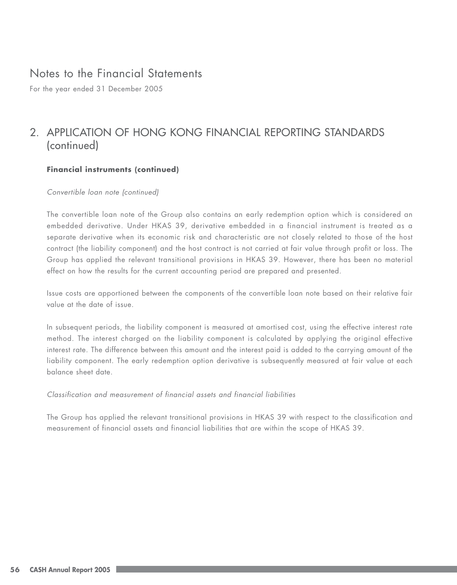For the year ended 31 December 2005

### 2. APPLICATION OF HONG KONG FINANCIAL REPORTING STANDARDS (continued)

### **Financial instruments (continued)**

### Convertible loan note (continued)

The convertible loan note of the Group also contains an early redemption option which is considered an embedded derivative. Under HKAS 39, derivative embedded in a financial instrument is treated as a separate derivative when its economic risk and characteristic are not closely related to those of the host contract (the liability component) and the host contract is not carried at fair value through profit or loss. The Group has applied the relevant transitional provisions in HKAS 39. However, there has been no material effect on how the results for the current accounting period are prepared and presented.

Issue costs are apportioned between the components of the convertible loan note based on their relative fair value at the date of issue.

In subsequent periods, the liability component is measured at amortised cost, using the effective interest rate method. The interest charged on the liability component is calculated by applying the original effective interest rate. The difference between this amount and the interest paid is added to the carrying amount of the liability component. The early redemption option derivative is subsequently measured at fair value at each balance sheet date.

### Classification and measurement of financial assets and financial liabilities

The Group has applied the relevant transitional provisions in HKAS 39 with respect to the classification and measurement of financial assets and financial liabilities that are within the scope of HKAS 39.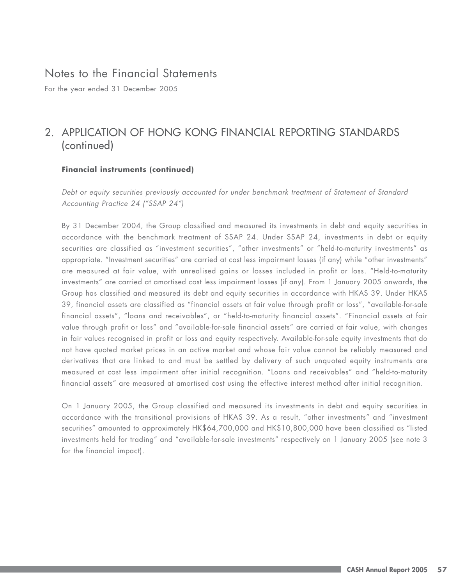For the year ended 31 December 2005

### 2. APPLICATION OF HONG KONG FINANCIAL REPORTING STANDARDS (continued)

### **Financial instruments (continued)**

Debt or equity securities previously accounted for under benchmark treatment of Statement of Standard Accounting Practice 24 ("SSAP 24")

By 31 December 2004, the Group classified and measured its investments in debt and equity securities in accordance with the benchmark treatment of SSAP 24. Under SSAP 24, investments in debt or equity securities are classified as "investment securities", "other investments" or "held-to-maturity investments" as appropriate. "Investment securities" are carried at cost less impairment losses (if any) while "other investments" are measured at fair value, with unrealised gains or losses included in profit or loss. "Held-to-maturity investments" are carried at amortised cost less impairment losses (if any). From 1 January 2005 onwards, the Group has classified and measured its debt and equity securities in accordance with HKAS 39. Under HKAS 39, financial assets are classified as "financial assets at fair value through profit or loss", "available-for-sale financial assets", "loans and receivables", or "held-to-maturity financial assets". "Financial assets at fair value through profit or loss" and "available-for-sale financial assets" are carried at fair value, with changes in fair values recognised in profit or loss and equity respectively. Available-for-sale equity investments that do not have quoted market prices in an active market and whose fair value cannot be reliably measured and derivatives that are linked to and must be settled by delivery of such unquoted equity instruments are measured at cost less impairment after initial recognition. "Loans and receivables" and "held-to-maturity financial assets" are measured at amortised cost using the effective interest method after initial recognition.

On 1 January 2005, the Group classified and measured its investments in debt and equity securities in accordance with the transitional provisions of HKAS 39. As a result, "other investments" and "investment securities" amounted to approximately HK\$64,700,000 and HK\$10,800,000 have been classified as "listed investments held for trading" and "available-for-sale investments" respectively on 1 January 2005 (see note 3 for the financial impact).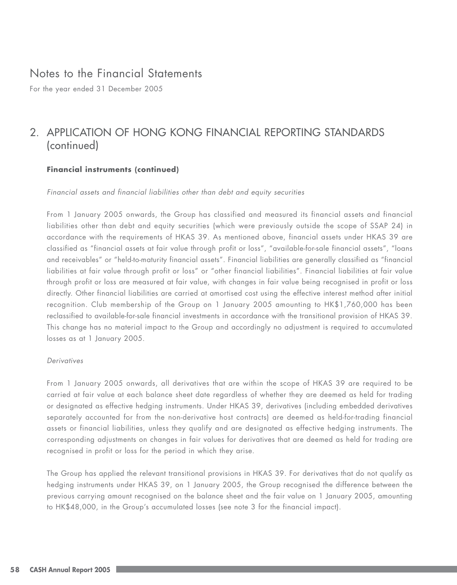For the year ended 31 December 2005

### 2. APPLICATION OF HONG KONG FINANCIAL REPORTING STANDARDS (continued)

### **Financial instruments (continued)**

#### Financial assets and financial liabilities other than debt and equity securities

From 1 January 2005 onwards, the Group has classified and measured its financial assets and financial liabilities other than debt and equity securities (which were previously outside the scope of SSAP 24) in accordance with the requirements of HKAS 39. As mentioned above, financial assets under HKAS 39 are classified as "financial assets at fair value through profit or loss", "available-for-sale financial assets", "loans and receivables" or "held-to-maturity financial assets". Financial liabilities are generally classified as "financial liabilities at fair value through profit or loss" or "other financial liabilities". Financial liabilities at fair value through profit or loss are measured at fair value, with changes in fair value being recognised in profit or loss directly. Other financial liabilities are carried at amortised cost using the effective interest method after initial recognition. Club membership of the Group on 1 January 2005 amounting to HK\$1,760,000 has been reclassified to available-for-sale financial investments in accordance with the transitional provision of HKAS 39. This change has no material impact to the Group and accordingly no adjustment is required to accumulated losses as at 1 January 2005.

#### **Derivatives**

From 1 January 2005 onwards, all derivatives that are within the scope of HKAS 39 are required to be carried at fair value at each balance sheet date regardless of whether they are deemed as held for trading or designated as effective hedging instruments. Under HKAS 39, derivatives (including embedded derivatives separately accounted for from the non-derivative host contracts) are deemed as held-for-trading financial assets or financial liabilities, unless they qualify and are designated as effective hedging instruments. The corresponding adjustments on changes in fair values for derivatives that are deemed as held for trading are recognised in profit or loss for the period in which they arise.

The Group has applied the relevant transitional provisions in HKAS 39. For derivatives that do not qualify as hedging instruments under HKAS 39, on 1 January 2005, the Group recognised the difference between the previous carrying amount recognised on the balance sheet and the fair value on 1 January 2005, amounting to HK\$48,000, in the Group's accumulated losses (see note 3 for the financial impact).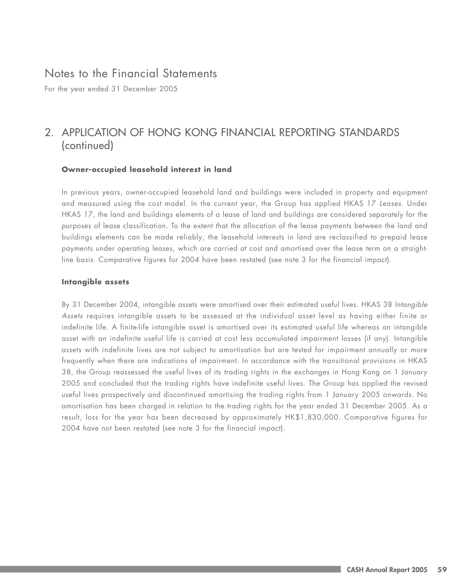For the year ended 31 December 2005

### 2. APPLICATION OF HONG KONG FINANCIAL REPORTING STANDARDS (continued)

#### **Owner-occupied leasehold interest in land**

In previous years, owner-occupied leasehold land and buildings were included in property and equipment and measured using the cost model. In the current year, the Group has applied HKAS 17 Leases. Under HKAS 17, the land and buildings elements of a lease of land and buildings are considered separately for the purposes of lease classification. To the extent that the allocation of the lease payments between the land and buildings elements can be made reliably, the leasehold interests in land are reclassified to prepaid lease payments under operating leases, which are carried at cost and amortised over the lease term on a straightline basis. Comparative figures for 2004 have been restated (see note 3 for the financial impact).

#### **Intangible assets**

By 31 December 2004, intangible assets were amortised over their estimated useful lives. HKAS 38 Intangible Assets requires intangible assets to be assessed at the individual asset level as having either finite or indefinite life. A finite-life intangible asset is amortised over its estimated useful life whereas an intangible asset with an indefinite useful life is carried at cost less accumulated impairment losses (if any). Intangible assets with indefinite lives are not subject to amortisation but are tested for impairment annually or more frequently when there are indications of impairment. In accordance with the transitional provisions in HKAS 38, the Group reassessed the useful lives of its trading rights in the exchanges in Hong Kong on 1 January 2005 and concluded that the trading rights have indefinite useful lives. The Group has applied the revised useful lives prospectively and discontinued amortising the trading rights from 1 January 2005 onwards. No amortisation has been charged in relation to the trading rights for the year ended 31 December 2005. As a result, loss for the year has been decreased by approximately HK\$1,830,000. Comparative figures for 2004 have not been restated (see note 3 for the financial impact).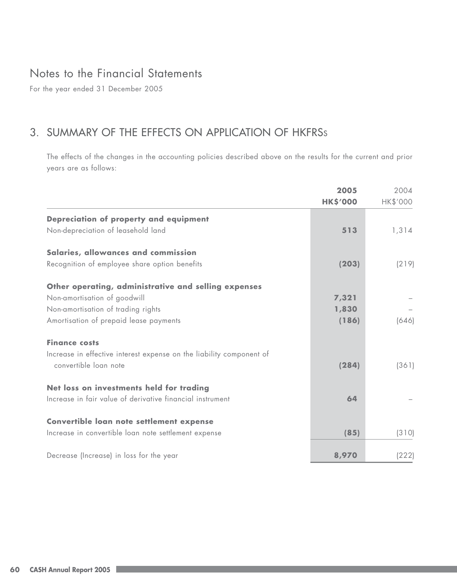For the year ended 31 December 2005

# 3. SUMMARY OF THE EFFECTS ON APPLICATION OF HKFRSS

The effects of the changes in the accounting policies described above on the results for the current and prior years are as follows:

|                                                                      | 2005<br><b>HK\$'000</b> | 2004<br>HK\$'000 |
|----------------------------------------------------------------------|-------------------------|------------------|
| Depreciation of property and equipment                               |                         |                  |
| Non-depreciation of leasehold land                                   | 513                     | 1,314            |
| Salaries, allowances and commission                                  |                         |                  |
| Recognition of employee share option benefits                        | (203)                   | (219)            |
| Other operating, administrative and selling expenses                 |                         |                  |
| Non-amortisation of goodwill                                         | 7,321                   |                  |
| Non-amortisation of trading rights                                   | 1,830                   |                  |
| Amortisation of prepaid lease payments                               | (186)                   | (646)            |
| <b>Finance costs</b>                                                 |                         |                  |
| Increase in effective interest expense on the liability component of |                         |                  |
| convertible loan note                                                | (284)                   | (361)            |
| Net loss on investments held for trading                             |                         |                  |
| Increase in fair value of derivative financial instrument            | 64                      |                  |
| Convertible loan note settlement expense                             |                         |                  |
| Increase in convertible loan note settlement expense                 | (85)                    | (310)            |
| Decrease (Increase) in loss for the year                             | 8,970                   | (222)            |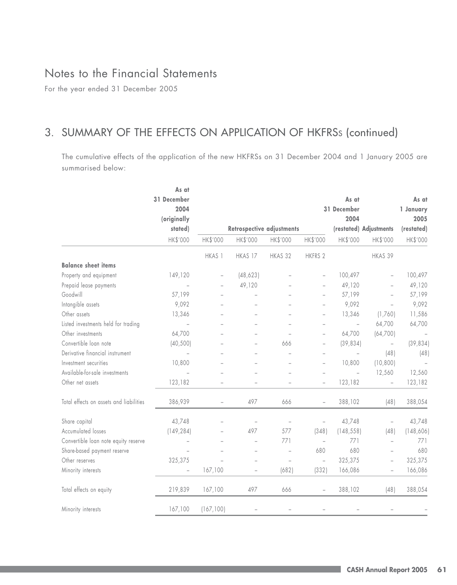For the year ended 31 December 2005

# 3. SUMMARY OF THE EFFECTS ON APPLICATION OF HKFRSS (continued)

The cumulative effects of the application of the new HKFRSs on 31 December 2004 and 1 January 2005 are summarised below:

|                                         | As at                    |                           |                                                                           |                          |                          |                          |                          |                          |
|-----------------------------------------|--------------------------|---------------------------|---------------------------------------------------------------------------|--------------------------|--------------------------|--------------------------|--------------------------|--------------------------|
|                                         | 31 December              |                           |                                                                           |                          |                          | As at                    |                          | As at                    |
|                                         | 2004                     |                           |                                                                           |                          |                          | 31 December              |                          | 1 January                |
|                                         | (originally              |                           |                                                                           |                          |                          | 2004                     |                          | 2005                     |
|                                         | stated)                  | Retrospective adjustments |                                                                           |                          |                          | (restated) Adjustments   | (restated)               |                          |
|                                         | HK\$'000                 | HK\$'000                  | HK\$'000                                                                  | HK\$'000                 | HK\$'000                 | HK\$'000                 | HK\$'000                 | HK\$'000                 |
|                                         |                          | HKAS 1                    | HKAS 17                                                                   | HKAS 32                  | HKFRS 2                  |                          | HKAS 39                  |                          |
| <b>Balance sheet items</b>              |                          |                           |                                                                           |                          |                          |                          |                          |                          |
| Property and equipment                  | 149,120                  |                           | (48, 623)                                                                 |                          |                          | 100,497                  |                          | 100,497                  |
| Prepaid lease payments                  |                          |                           | 49,120                                                                    |                          | $\overline{\phantom{0}}$ | 49,120                   |                          | 49,120                   |
| Goodwill                                | 57,199                   |                           | $\overline{\phantom{0}}$                                                  |                          |                          | 57,199                   |                          | 57,199                   |
| Intangible assets                       | 9,092                    |                           |                                                                           |                          |                          | 9,092                    |                          | 9,092                    |
| Other assets                            | 13,346                   |                           |                                                                           |                          | $\overline{\phantom{0}}$ | 13,346                   | (1,760)                  | 11,586                   |
| Listed investments held for trading     |                          |                           |                                                                           |                          | $\overline{a}$           |                          | 64,700                   | 64,700                   |
| Other investments                       | 64,700                   |                           |                                                                           |                          | $\overline{\phantom{0}}$ | 64,700                   | (64, 700)                |                          |
| Convertible loan note                   | (40, 500)                |                           |                                                                           | 666                      | $\overline{\phantom{0}}$ | (39, 834)                | $\overline{\phantom{a}}$ | (39, 834)                |
| Derivative financial instrument         |                          |                           |                                                                           |                          |                          | $\overline{\phantom{0}}$ | (48)                     | (48)                     |
| Investment securities                   | 10,800                   |                           |                                                                           |                          | $\overline{\phantom{0}}$ | 10,800                   | (10, 800)                | $\overline{\phantom{a}}$ |
| Available-for-sale investments          |                          |                           |                                                                           |                          | $\overline{\phantom{0}}$ | $\overline{\phantom{a}}$ | 12,560                   | 12,560                   |
| Other net assets                        | 123,182                  |                           |                                                                           |                          | $\overline{\phantom{a}}$ | 123,182                  | $\overline{\phantom{0}}$ | 123,182                  |
| Total effects on assets and liabilities | 386,939                  |                           | 497                                                                       | 666                      |                          | 388,102                  | (48)                     | 388,054                  |
| Share capital                           | 43,748                   |                           | $\hspace{1.0cm} \rule{1.5cm}{0.15cm} \hspace{1.0cm} \rule{1.5cm}{0.15cm}$ |                          | $\qquad \qquad -$        | 43,748                   | $\qquad \qquad -$        | 43,748                   |
| Accumulated losses                      | (149, 284)               |                           | 497                                                                       | 577                      | (348)                    | (148, 558)               | (48)                     | (148,606)                |
| Convertible loan note equity reserve    |                          |                           |                                                                           | 771                      | $\overline{\phantom{a}}$ | 771                      | $\overline{\phantom{0}}$ | 771                      |
| Share-based payment reserve             |                          |                           |                                                                           | $\overline{\phantom{0}}$ | 680                      | 680                      |                          | 680                      |
| Other reserves                          | 325,375                  |                           |                                                                           | $\overline{a}$           | $\overline{\phantom{0}}$ | 325,375                  | $\overline{\phantom{0}}$ | 325,375                  |
| Minority interests                      | $\overline{\phantom{0}}$ | 167,100                   | $\overline{\phantom{0}}$                                                  | (682)                    | (332)                    | 166,086                  | $\overline{\phantom{0}}$ | 166,086                  |
|                                         |                          |                           |                                                                           |                          |                          |                          |                          |                          |
| Total effects on equity                 | 219,839                  | 167,100                   | 497                                                                       | 666                      |                          | 388,102                  | (48)                     | 388,054                  |
| Minority interests                      | 167,100                  | (167, 100)                |                                                                           |                          |                          |                          |                          |                          |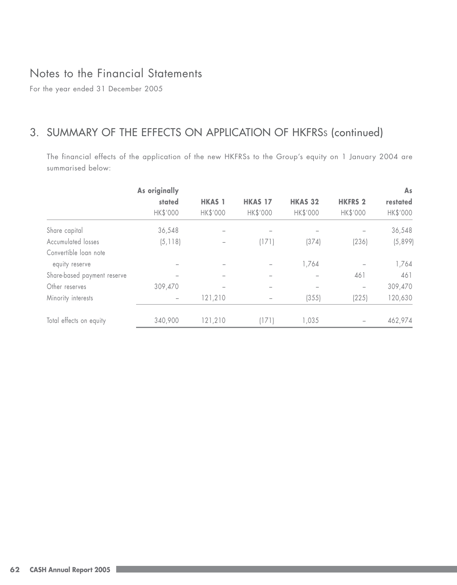For the year ended 31 December 2005

# 3. SUMMARY OF THE EFFECTS ON APPLICATION OF HKFRSS (continued)

The financial effects of the application of the new HKFRSs to the Group's equity on 1 January 2004 are summarised below:

|                             | As originally |               |                |                |                | As       |
|-----------------------------|---------------|---------------|----------------|----------------|----------------|----------|
|                             | stated        | <b>HKAS 1</b> | <b>HKAS 17</b> | <b>HKAS 32</b> | <b>HKFRS 2</b> | restated |
|                             | HK\$'000      | HK\$'000      | HK\$'000       | HK\$'000       | HK\$'000       | HK\$'000 |
| Share capital               | 36,548        |               |                |                |                | 36,548   |
| Accumulated losses          | (5, 118)      |               | (171)          | (374)          | (236)          | (5,899)  |
| Convertible loan note       |               |               |                |                |                |          |
| equity reserve              |               |               |                | 1,764          |                | 1,764    |
| Share-based payment reserve |               |               |                |                | 461            | 461      |
| Other reserves              | 309,470       |               |                |                |                | 309,470  |
| Minority interests          |               | 121,210       |                | (355)          | (225)          | 120,630  |
| Total effects on equity     | 340,900       | 121,210       | (171)          | 1,035          |                | 462,974  |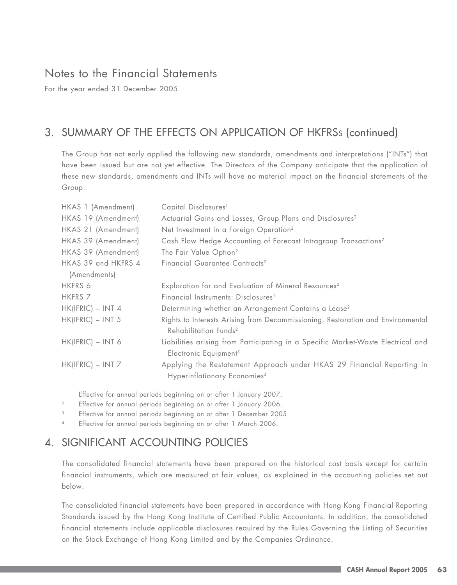For the year ended 31 December 2005

### 3. SUMMARY OF THE EFFECTS ON APPLICATION OF HKFRSS (continued)

The Group has not early applied the following new standards, amendments and interpretations ("INTs") that have been issued but are not yet effective. The Directors of the Company anticipate that the application of these new standards, amendments and INTs will have no material impact on the financial statements of the Group.

| HKAS 1 (Amendment)  | Capital Disclosures <sup>1</sup>                                                                                      |
|---------------------|-----------------------------------------------------------------------------------------------------------------------|
| HKAS 19 (Amendment) | Actuarial Gains and Losses, Group Plans and Disclosures <sup>2</sup>                                                  |
| HKAS 21 (Amendment) | Net Investment in a Foreign Operation <sup>2</sup>                                                                    |
| HKAS 39 (Amendment) | Cash Flow Hedge Accounting of Forecast Intragroup Transactions <sup>2</sup>                                           |
| HKAS 39 (Amendment) | The Fair Value Option <sup>2</sup>                                                                                    |
| HKAS 39 and HKFRS 4 | Financial Guarantee Contracts <sup>2</sup>                                                                            |
| (Amendments)        |                                                                                                                       |
| HKFRS 6             | Exploration for and Evaluation of Mineral Resources <sup>2</sup>                                                      |
| HKFRS 7             | Financial Instruments: Disclosures <sup>1</sup>                                                                       |
| $HK(IFRIC) - INT 4$ | Determining whether an Arrangement Contains a Lease <sup>2</sup>                                                      |
| $HK(IFRIC) - INT 5$ | Rights to Interests Arising from Decommissioning, Restoration and Environmental<br>Rehabilitation Funds <sup>2</sup>  |
| $HK(IFRIC) - INT 6$ | Liabilities arising from Participating in a Specific Market-Waste Electrical and<br>Electronic Equipment <sup>3</sup> |
| $HK(IFRIC) - INT 7$ | Applying the Restatement Approach under HKAS 29 Financial Reporting in<br>Hyperinflationary Economies <sup>4</sup>    |

- <sup>1</sup> Effective for annual periods beginning on or after 1 January 2007.
- <sup>2</sup> Effective for annual periods beginning on or after 1 January 2006.
- <sup>3</sup> Effective for annual periods beginning on or after 1 December 2005.
- <sup>4</sup> Effective for annual periods beginning on or after 1 March 2006.

### 4. SIGNIFICANT ACCOUNTING POLICIES

The consolidated financial statements have been prepared on the historical cost basis except for certain financial instruments, which are measured at fair values, as explained in the accounting policies set out below.

The consolidated financial statements have been prepared in accordance with Hong Kong Financial Reporting Standards issued by the Hong Kong Institute of Certified Public Accountants. In addition, the consolidated financial statements include applicable disclosures required by the Rules Governing the Listing of Securities on the Stock Exchange of Hong Kong Limited and by the Companies Ordinance.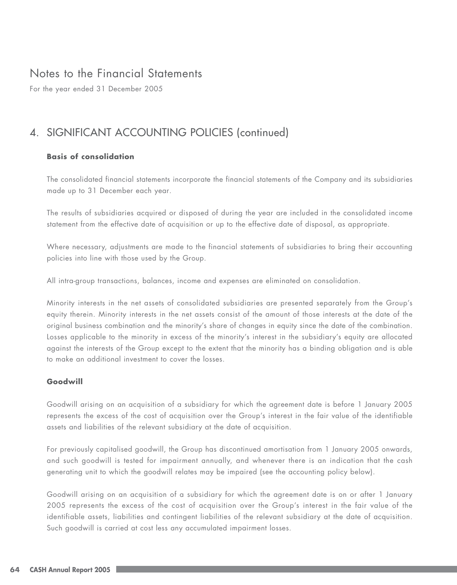For the year ended 31 December 2005

# 4. SIGNIFICANT ACCOUNTING POLICIES (continued)

### **Basis of consolidation**

The consolidated financial statements incorporate the financial statements of the Company and its subsidiaries made up to 31 December each year.

The results of subsidiaries acquired or disposed of during the year are included in the consolidated income statement from the effective date of acquisition or up to the effective date of disposal, as appropriate.

Where necessary, adjustments are made to the financial statements of subsidiaries to bring their accounting policies into line with those used by the Group.

All intra-group transactions, balances, income and expenses are eliminated on consolidation.

Minority interests in the net assets of consolidated subsidiaries are presented separately from the Group's equity therein. Minority interests in the net assets consist of the amount of those interests at the date of the original business combination and the minority's share of changes in equity since the date of the combination. Losses applicable to the minority in excess of the minority's interest in the subsidiary's equity are allocated against the interests of the Group except to the extent that the minority has a binding obligation and is able to make an additional investment to cover the losses.

#### **Goodwill**

Goodwill arising on an acquisition of a subsidiary for which the agreement date is before 1 January 2005 represents the excess of the cost of acquisition over the Group's interest in the fair value of the identifiable assets and liabilities of the relevant subsidiary at the date of acquisition.

For previously capitalised goodwill, the Group has discontinued amortisation from 1 January 2005 onwards, and such goodwill is tested for impairment annually, and whenever there is an indication that the cash generating unit to which the goodwill relates may be impaired (see the accounting policy below).

Goodwill arising on an acquisition of a subsidiary for which the agreement date is on or after 1 January 2005 represents the excess of the cost of acquisition over the Group's interest in the fair value of the identifiable assets, liabilities and contingent liabilities of the relevant subsidiary at the date of acquisition. Such goodwill is carried at cost less any accumulated impairment losses.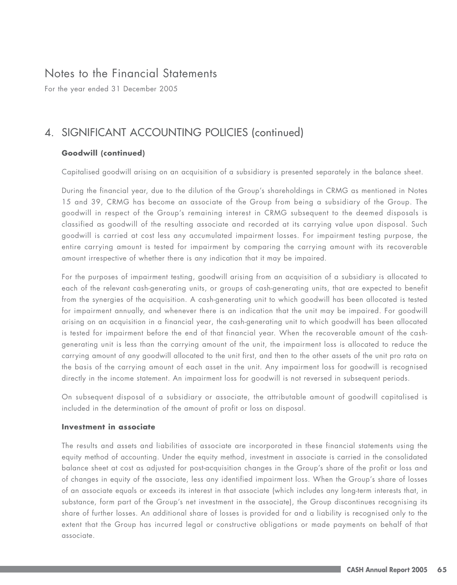For the year ended 31 December 2005

# 4. SIGNIFICANT ACCOUNTING POLICIES (continued)

### **Goodwill (continued)**

Capitalised goodwill arising on an acquisition of a subsidiary is presented separately in the balance sheet.

During the financial year, due to the dilution of the Group's shareholdings in CRMG as mentioned in Notes 15 and 39, CRMG has become an associate of the Group from being a subsidiary of the Group. The goodwill in respect of the Group's remaining interest in CRMG subsequent to the deemed disposals is classified as goodwill of the resulting associate and recorded at its carrying value upon disposal. Such goodwill is carried at cost less any accumulated impairment losses. For impairment testing purpose, the entire carrying amount is tested for impairment by comparing the carrying amount with its recoverable amount irrespective of whether there is any indication that it may be impaired.

For the purposes of impairment testing, goodwill arising from an acquisition of a subsidiary is allocated to each of the relevant cash-generating units, or groups of cash-generating units, that are expected to benefit from the synergies of the acquisition. A cash-generating unit to which goodwill has been allocated is tested for impairment annually, and whenever there is an indication that the unit may be impaired. For goodwill arising on an acquisition in a financial year, the cash-generating unit to which goodwill has been allocated is tested for impairment before the end of that financial year. When the recoverable amount of the cashgenerating unit is less than the carrying amount of the unit, the impairment loss is allocated to reduce the carrying amount of any goodwill allocated to the unit first, and then to the other assets of the unit pro rata on the basis of the carrying amount of each asset in the unit. Any impairment loss for goodwill is recognised directly in the income statement. An impairment loss for goodwill is not reversed in subsequent periods.

On subsequent disposal of a subsidiary or associate, the attributable amount of goodwill capitalised is included in the determination of the amount of profit or loss on disposal.

### **Investment in associate**

The results and assets and liabilities of associate are incorporated in these financial statements using the equity method of accounting. Under the equity method, investment in associate is carried in the consolidated balance sheet at cost as adjusted for post-acquisition changes in the Group's share of the profit or loss and of changes in equity of the associate, less any identified impairment loss. When the Group's share of losses of an associate equals or exceeds its interest in that associate (which includes any long-term interests that, in substance, form part of the Group's net investment in the associate), the Group discontinues recognising its share of further losses. An additional share of losses is provided for and a liability is recognised only to the extent that the Group has incurred legal or constructive obligations or made payments on behalf of that associate.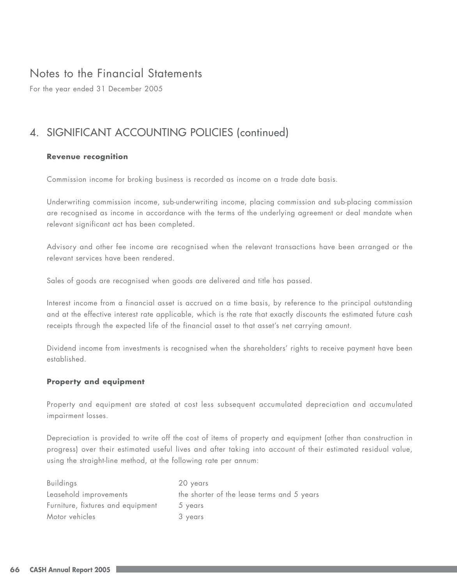For the year ended 31 December 2005

# 4. SIGNIFICANT ACCOUNTING POLICIES (continued)

### **Revenue recognition**

Commission income for broking business is recorded as income on a trade date basis.

Underwriting commission income, sub-underwriting income, placing commission and sub-placing commission are recognised as income in accordance with the terms of the underlying agreement or deal mandate when relevant significant act has been completed.

Advisory and other fee income are recognised when the relevant transactions have been arranged or the relevant services have been rendered.

Sales of goods are recognised when goods are delivered and title has passed.

Interest income from a financial asset is accrued on a time basis, by reference to the principal outstanding and at the effective interest rate applicable, which is the rate that exactly discounts the estimated future cash receipts through the expected life of the financial asset to that asset's net carrying amount.

Dividend income from investments is recognised when the shareholders' rights to receive payment have been established.

### **Property and equipment**

Property and equipment are stated at cost less subsequent accumulated depreciation and accumulated impairment losses.

Depreciation is provided to write off the cost of items of property and equipment (other than construction in progress) over their estimated useful lives and after taking into account of their estimated residual value, using the straight-line method, at the following rate per annum:

| <b>Buildings</b>                  | 20 years                                   |
|-----------------------------------|--------------------------------------------|
| Leasehold improvements            | the shorter of the lease terms and 5 years |
| Furniture, fixtures and equipment | 5 years                                    |
| Motor vehicles                    | 3 years                                    |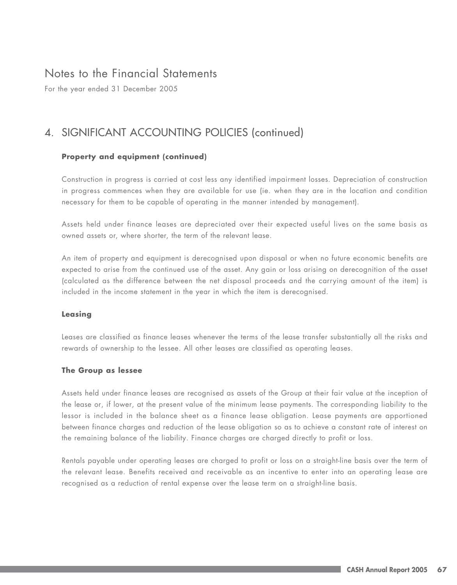For the year ended 31 December 2005

# 4. SIGNIFICANT ACCOUNTING POLICIES (continued)

### **Property and equipment (continued)**

Construction in progress is carried at cost less any identified impairment losses. Depreciation of construction in progress commences when they are available for use (ie. when they are in the location and condition necessary for them to be capable of operating in the manner intended by management).

Assets held under finance leases are depreciated over their expected useful lives on the same basis as owned assets or, where shorter, the term of the relevant lease.

An item of property and equipment is derecognised upon disposal or when no future economic benefits are expected to arise from the continued use of the asset. Any gain or loss arising on derecognition of the asset (calculated as the difference between the net disposal proceeds and the carrying amount of the item) is included in the income statement in the year in which the item is derecognised.

#### **Leasing**

Leases are classified as finance leases whenever the terms of the lease transfer substantially all the risks and rewards of ownership to the lessee. All other leases are classified as operating leases.

#### **The Group as lessee**

Assets held under finance leases are recognised as assets of the Group at their fair value at the inception of the lease or, if lower, at the present value of the minimum lease payments. The corresponding liability to the lessor is included in the balance sheet as a finance lease obligation. Lease payments are apportioned between finance charges and reduction of the lease obligation so as to achieve a constant rate of interest on the remaining balance of the liability. Finance charges are charged directly to profit or loss.

Rentals payable under operating leases are charged to profit or loss on a straight-line basis over the term of the relevant lease. Benefits received and receivable as an incentive to enter into an operating lease are recognised as a reduction of rental expense over the lease term on a straight-line basis.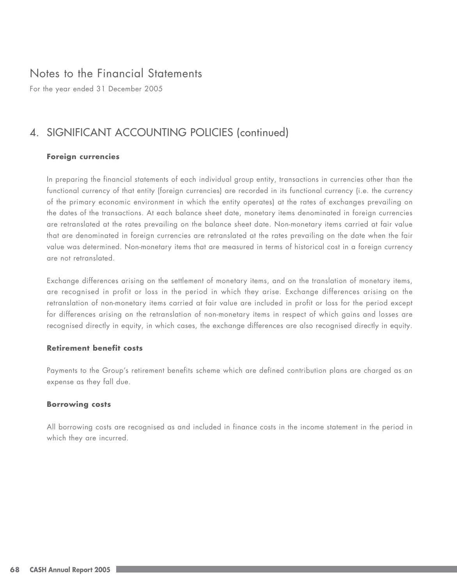For the year ended 31 December 2005

# 4. SIGNIFICANT ACCOUNTING POLICIES (continued)

### **Foreign currencies**

In preparing the financial statements of each individual group entity, transactions in currencies other than the functional currency of that entity (foreign currencies) are recorded in its functional currency (i.e. the currency of the primary economic environment in which the entity operates) at the rates of exchanges prevailing on the dates of the transactions. At each balance sheet date, monetary items denominated in foreign currencies are retranslated at the rates prevailing on the balance sheet date. Non-monetary items carried at fair value that are denominated in foreign currencies are retranslated at the rates prevailing on the date when the fair value was determined. Non-monetary items that are measured in terms of historical cost in a foreign currency are not retranslated.

Exchange differences arising on the settlement of monetary items, and on the translation of monetary items, are recognised in profit or loss in the period in which they arise. Exchange differences arising on the retranslation of non-monetary items carried at fair value are included in profit or loss for the period except for differences arising on the retranslation of non-monetary items in respect of which gains and losses are recognised directly in equity, in which cases, the exchange differences are also recognised directly in equity.

#### **Retirement benefit costs**

Payments to the Group's retirement benefits scheme which are defined contribution plans are charged as an expense as they fall due.

### **Borrowing costs**

All borrowing costs are recognised as and included in finance costs in the income statement in the period in which they are incurred.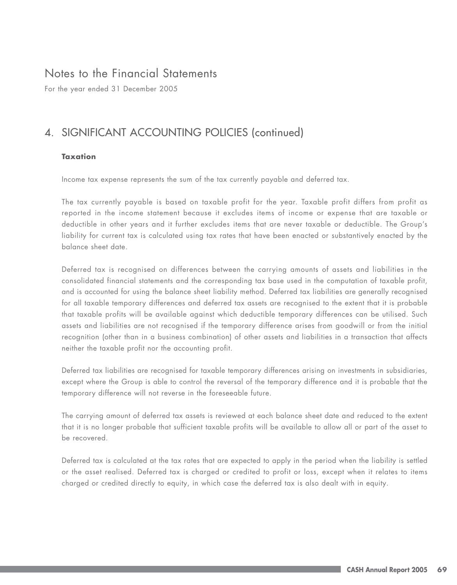For the year ended 31 December 2005

# 4. SIGNIFICANT ACCOUNTING POLICIES (continued)

### **Taxation**

Income tax expense represents the sum of the tax currently payable and deferred tax.

The tax currently payable is based on taxable profit for the year. Taxable profit differs from profit as reported in the income statement because it excludes items of income or expense that are taxable or deductible in other years and it further excludes items that are never taxable or deductible. The Group's liability for current tax is calculated using tax rates that have been enacted or substantively enacted by the balance sheet date.

Deferred tax is recognised on differences between the carrying amounts of assets and liabilities in the consolidated financial statements and the corresponding tax base used in the computation of taxable profit, and is accounted for using the balance sheet liability method. Deferred tax liabilities are generally recognised for all taxable temporary differences and deferred tax assets are recognised to the extent that it is probable that taxable profits will be available against which deductible temporary differences can be utilised. Such assets and liabilities are not recognised if the temporary difference arises from goodwill or from the initial recognition (other than in a business combination) of other assets and liabilities in a transaction that affects neither the taxable profit nor the accounting profit.

Deferred tax liabilities are recognised for taxable temporary differences arising on investments in subsidiaries, except where the Group is able to control the reversal of the temporary difference and it is probable that the temporary difference will not reverse in the foreseeable future.

The carrying amount of deferred tax assets is reviewed at each balance sheet date and reduced to the extent that it is no longer probable that sufficient taxable profits will be available to allow all or part of the asset to be recovered.

Deferred tax is calculated at the tax rates that are expected to apply in the period when the liability is settled or the asset realised. Deferred tax is charged or credited to profit or loss, except when it relates to items charged or credited directly to equity, in which case the deferred tax is also dealt with in equity.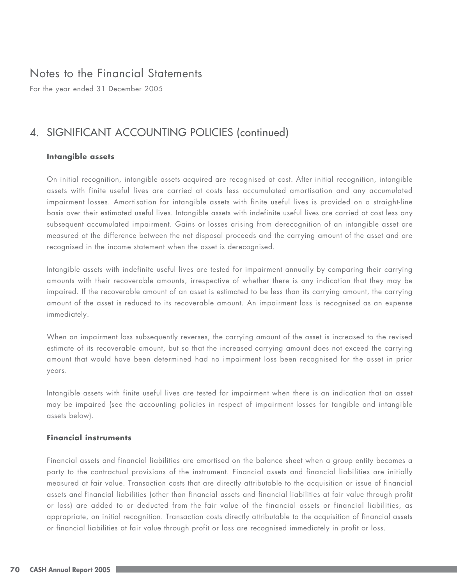For the year ended 31 December 2005

# 4. SIGNIFICANT ACCOUNTING POLICIES (continued)

### **Intangible assets**

On initial recognition, intangible assets acquired are recognised at cost. After initial recognition, intangible assets with finite useful lives are carried at costs less accumulated amortisation and any accumulated impairment losses. Amortisation for intangible assets with finite useful lives is provided on a straight-line basis over their estimated useful lives. Intangible assets with indefinite useful lives are carried at cost less any subsequent accumulated impairment. Gains or losses arising from derecognition of an intangible asset are measured at the difference between the net disposal proceeds and the carrying amount of the asset and are recognised in the income statement when the asset is derecognised.

Intangible assets with indefinite useful lives are tested for impairment annually by comparing their carrying amounts with their recoverable amounts, irrespective of whether there is any indication that they may be impaired. If the recoverable amount of an asset is estimated to be less than its carrying amount, the carrying amount of the asset is reduced to its recoverable amount. An impairment loss is recognised as an expense immediately.

When an impairment loss subsequently reverses, the carrying amount of the asset is increased to the revised estimate of its recoverable amount, but so that the increased carrying amount does not exceed the carrying amount that would have been determined had no impairment loss been recognised for the asset in prior years.

Intangible assets with finite useful lives are tested for impairment when there is an indication that an asset may be impaired (see the accounting policies in respect of impairment losses for tangible and intangible assets below).

### **Financial instruments**

Financial assets and financial liabilities are amortised on the balance sheet when a group entity becomes a party to the contractual provisions of the instrument. Financial assets and financial liabilities are initially measured at fair value. Transaction costs that are directly attributable to the acquisition or issue of financial assets and financial liabilities (other than financial assets and financial liabilities at fair value through profit or loss) are added to or deducted from the fair value of the financial assets or financial liabilities, as appropriate, on initial recognition. Transaction costs directly attributable to the acquisition of financial assets or financial liabilities at fair value through profit or loss are recognised immediately in profit or loss.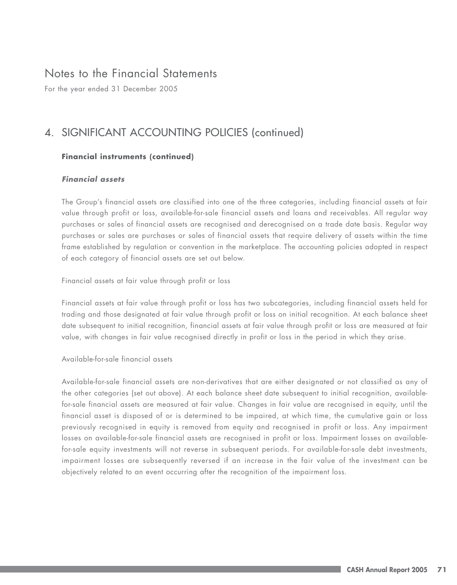For the year ended 31 December 2005

# 4. SIGNIFICANT ACCOUNTING POLICIES (continued)

### **Financial instruments (continued)**

### **Financial assets**

The Group's financial assets are classified into one of the three categories, including financial assets at fair value through profit or loss, available-for-sale financial assets and loans and receivables. All regular way purchases or sales of financial assets are recognised and derecognised on a trade date basis. Regular way purchases or sales are purchases or sales of financial assets that require delivery of assets within the time frame established by regulation or convention in the marketplace. The accounting policies adopted in respect of each category of financial assets are set out below.

Financial assets at fair value through profit or loss

Financial assets at fair value through profit or loss has two subcategories, including financial assets held for trading and those designated at fair value through profit or loss on initial recognition. At each balance sheet date subsequent to initial recognition, financial assets at fair value through profit or loss are measured at fair value, with changes in fair value recognised directly in profit or loss in the period in which they arise.

### Available-for-sale financial assets

Available-for-sale financial assets are non-derivatives that are either designated or not classified as any of the other categories (set out above). At each balance sheet date subsequent to initial recognition, availablefor-sale financial assets are measured at fair value. Changes in fair value are recognised in equity, until the financial asset is disposed of or is determined to be impaired, at which time, the cumulative gain or loss previously recognised in equity is removed from equity and recognised in profit or loss. Any impairment losses on available-for-sale financial assets are recognised in profit or loss. Impairment losses on availablefor-sale equity investments will not reverse in subsequent periods. For available-for-sale debt investments, impairment losses are subsequently reversed if an increase in the fair value of the investment can be objectively related to an event occurring after the recognition of the impairment loss.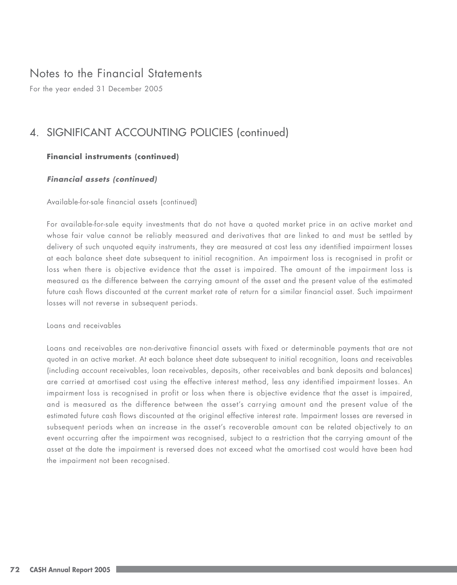For the year ended 31 December 2005

# 4. SIGNIFICANT ACCOUNTING POLICIES (continued)

### **Financial instruments (continued)**

### **Financial assets (continued)**

Available-for-sale financial assets (continued)

For available-for-sale equity investments that do not have a quoted market price in an active market and whose fair value cannot be reliably measured and derivatives that are linked to and must be settled by delivery of such unquoted equity instruments, they are measured at cost less any identified impairment losses at each balance sheet date subsequent to initial recognition. An impairment loss is recognised in profit or loss when there is objective evidence that the asset is impaired. The amount of the impairment loss is measured as the difference between the carrying amount of the asset and the present value of the estimated future cash flows discounted at the current market rate of return for a similar financial asset. Such impairment losses will not reverse in subsequent periods.

Loans and receivables

Loans and receivables are non-derivative financial assets with fixed or determinable payments that are not quoted in an active market. At each balance sheet date subsequent to initial recognition, loans and receivables (including account receivables, loan receivables, deposits, other receivables and bank deposits and balances) are carried at amortised cost using the effective interest method, less any identified impairment losses. An impairment loss is recognised in profit or loss when there is objective evidence that the asset is impaired, and is measured as the difference between the asset's carrying amount and the present value of the estimated future cash flows discounted at the original effective interest rate. Impairment losses are reversed in subsequent periods when an increase in the asset's recoverable amount can be related objectively to an event occurring after the impairment was recognised, subject to a restriction that the carrying amount of the asset at the date the impairment is reversed does not exceed what the amortised cost would have been had the impairment not been recognised.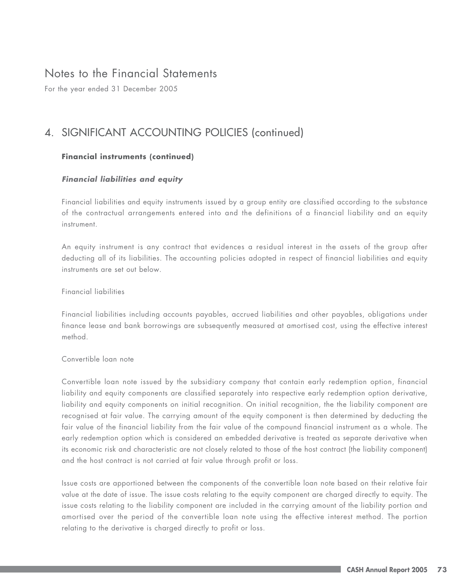For the year ended 31 December 2005

# 4. SIGNIFICANT ACCOUNTING POLICIES (continued)

### **Financial instruments (continued)**

### **Financial liabilities and equity**

Financial liabilities and equity instruments issued by a group entity are classified according to the substance of the contractual arrangements entered into and the definitions of a financial liability and an equity instrument.

An equity instrument is any contract that evidences a residual interest in the assets of the group after deducting all of its liabilities. The accounting policies adopted in respect of financial liabilities and equity instruments are set out below.

### Financial liabilities

Financial liabilities including accounts payables, accrued liabilities and other payables, obligations under finance lease and bank borrowings are subsequently measured at amortised cost, using the effective interest method.

### Convertible loan note

Convertible loan note issued by the subsidiary company that contain early redemption option, financial liability and equity components are classified separately into respective early redemption option derivative, liability and equity components on initial recognition. On initial recognition, the the liability component are recognised at fair value. The carrying amount of the equity component is then determined by deducting the fair value of the financial liability from the fair value of the compound financial instrument as a whole. The early redemption option which is considered an embedded derivative is treated as separate derivative when its economic risk and characteristic are not closely related to those of the host contract (the liability component) and the host contract is not carried at fair value through profit or loss.

Issue costs are apportioned between the components of the convertible loan note based on their relative fair value at the date of issue. The issue costs relating to the equity component are charged directly to equity. The issue costs relating to the liability component are included in the carrying amount of the liability portion and amortised over the period of the convertible loan note using the effective interest method. The portion relating to the derivative is charged directly to profit or loss.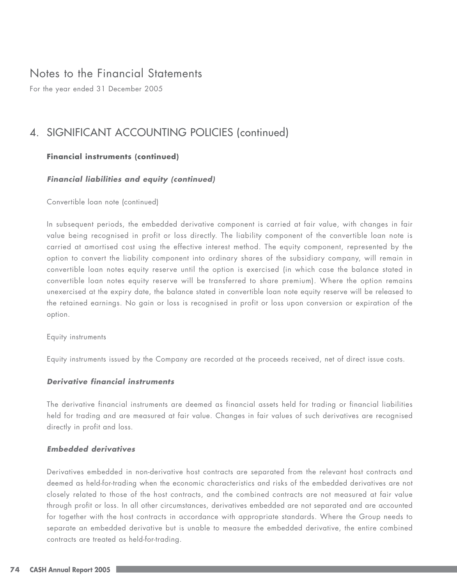For the year ended 31 December 2005

## 4. SIGNIFICANT ACCOUNTING POLICIES (continued)

### **Financial instruments (continued)**

### **Financial liabilities and equity (continued)**

Convertible loan note (continued)

In subsequent periods, the embedded derivative component is carried at fair value, with changes in fair value being recognised in profit or loss directly. The liability component of the convertible loan note is carried at amortised cost using the effective interest method. The equity component, represented by the option to convert the liability component into ordinary shares of the subsidiary company, will remain in convertible loan notes equity reserve until the option is exercised (in which case the balance stated in convertible loan notes equity reserve will be transferred to share premium). Where the option remains unexercised at the expiry date, the balance stated in convertible loan note equity reserve will be released to the retained earnings. No gain or loss is recognised in profit or loss upon conversion or expiration of the option.

### Equity instruments

Equity instruments issued by the Company are recorded at the proceeds received, net of direct issue costs.

### **Derivative financial instruments**

The derivative financial instruments are deemed as financial assets held for trading or financial liabilities held for trading and are measured at fair value. Changes in fair values of such derivatives are recognised directly in profit and loss.

### **Embedded derivatives**

Derivatives embedded in non-derivative host contracts are separated from the relevant host contracts and deemed as held-for-trading when the economic characteristics and risks of the embedded derivatives are not closely related to those of the host contracts, and the combined contracts are not measured at fair value through profit or loss. In all other circumstances, derivatives embedded are not separated and are accounted for together with the host contracts in accordance with appropriate standards. Where the Group needs to separate an embedded derivative but is unable to measure the embedded derivative, the entire combined contracts are treated as held-for-trading.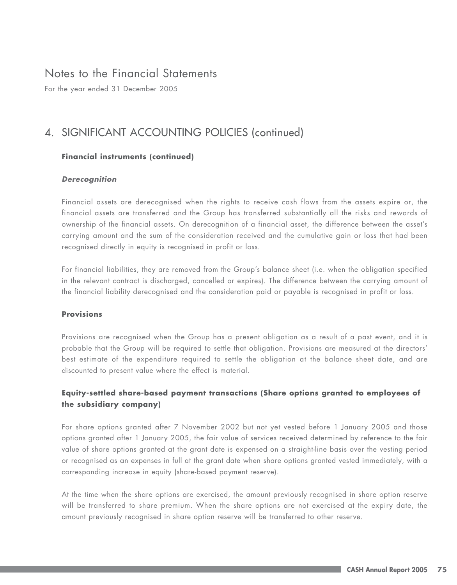For the year ended 31 December 2005

## 4. SIGNIFICANT ACCOUNTING POLICIES (continued)

### **Financial instruments (continued)**

### **Derecognition**

Financial assets are derecognised when the rights to receive cash flows from the assets expire or, the financial assets are transferred and the Group has transferred substantially all the risks and rewards of ownership of the financial assets. On derecognition of a financial asset, the difference between the asset's carrying amount and the sum of the consideration received and the cumulative gain or loss that had been recognised directly in equity is recognised in profit or loss.

For financial liabilities, they are removed from the Group's balance sheet (i.e. when the obligation specified in the relevant contract is discharged, cancelled or expires). The difference between the carrying amount of the financial liability derecognised and the consideration paid or payable is recognised in profit or loss.

### **Provisions**

Provisions are recognised when the Group has a present obligation as a result of a past event, and it is probable that the Group will be required to settle that obligation. Provisions are measured at the directors' best estimate of the expenditure required to settle the obligation at the balance sheet date, and are discounted to present value where the effect is material.

### **Equity-settled share-based payment transactions (Share options granted to employees of the subsidiary company)**

For share options granted after 7 November 2002 but not yet vested before 1 January 2005 and those options granted after 1 January 2005, the fair value of services received determined by reference to the fair value of share options granted at the grant date is expensed on a straight-line basis over the vesting period or recognised as an expenses in full at the grant date when share options granted vested immediately, with a corresponding increase in equity (share-based payment reserve).

At the time when the share options are exercised, the amount previously recognised in share option reserve will be transferred to share premium. When the share options are not exercised at the expiry date, the amount previously recognised in share option reserve will be transferred to other reserve.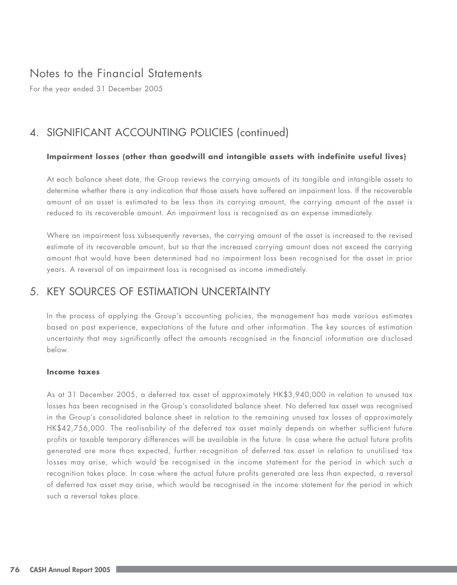For the year ended 31 December 2005

# 4. SIGNIFICANT ACCOUNTING POLICIES (continued)

### **Impairment losses (other than goodwill and intangible assets with indefinite useful lives)**

At each balance sheet date, the Group reviews the carrying amounts of its tangible and intangible assets to determine whether there is any indication that those assets have suffered an impairment loss. If the recoverable amount of an asset is estimated to be less than its carrying amount, the carrying amount of the asset is reduced to its recoverable amount. An impairment loss is recognised as an expense immediately.

Where an impairment loss subsequently reverses, the carrying amount of the asset is increased to the revised estimate of its recoverable amount, but so that the increased carrying amount does not exceed the carrying amount that would have been determined had no impairment loss been recognised for the asset in prior years. A reversal of an impairment loss is recognised as income immediately.

## 5. KEY SOURCES OF ESTIMATION UNCERTAINTY

In the process of applying the Group's accounting policies, the management has made various estimates based on past experience, expectations of the future and other information. The key sources of estimation uncertainty that may significantly affect the amounts recognised in the financial information are disclosed below.

### **Income taxes**

As at 31 December 2005, a deferred tax asset of approximately HK\$3,940,000 in relation to unused tax losses has been recognised in the Group's consolidated balance sheet. No deferred tax asset was recognised in the Group's consolidated balance sheet in relation to the remaining unused tax losses of approximately HK\$42,756,000. The realisability of the deferred tax asset mainly depends on whether sufficient future profits or taxable temporary differences will be available in the future. In case where the actual future profits generated are more than expected, further recognition of deferred tax asset in relation to unutilised tax losses may arise, which would be recognised in the income statement for the period in which such a recognition takes place. In case where the actual future profits generated are less than expected, a reversal of deferred tax asset may arise, which would be recognised in the income statement for the period in which such a reversal takes place.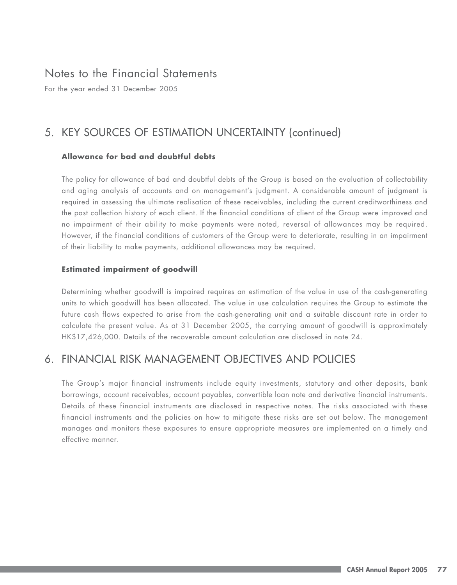For the year ended 31 December 2005

# 5. KEY SOURCES OF ESTIMATION UNCERTAINTY (continued)

### **Allowance for bad and doubtful debts**

The policy for allowance of bad and doubtful debts of the Group is based on the evaluation of collectability and aging analysis of accounts and on management's judgment. A considerable amount of judgment is required in assessing the ultimate realisation of these receivables, including the current creditworthiness and the past collection history of each client. If the financial conditions of client of the Group were improved and no impairment of their ability to make payments were noted, reversal of allowances may be required. However, if the financial conditions of customers of the Group were to deteriorate, resulting in an impairment of their liability to make payments, additional allowances may be required.

### **Estimated impairment of goodwill**

Determining whether goodwill is impaired requires an estimation of the value in use of the cash-generating units to which goodwill has been allocated. The value in use calculation requires the Group to estimate the future cash flows expected to arise from the cash-generating unit and a suitable discount rate in order to calculate the present value. As at 31 December 2005, the carrying amount of goodwill is approximately HK\$17,426,000. Details of the recoverable amount calculation are disclosed in note 24.

## 6. FINANCIAL RISK MANAGEMENT OBJECTIVES AND POLICIES

The Group's major financial instruments include equity investments, statutory and other deposits, bank borrowings, account receivables, account payables, convertible loan note and derivative financial instruments. Details of these financial instruments are disclosed in respective notes. The risks associated with these financial instruments and the policies on how to mitigate these risks are set out below. The management manages and monitors these exposures to ensure appropriate measures are implemented on a timely and effective manner.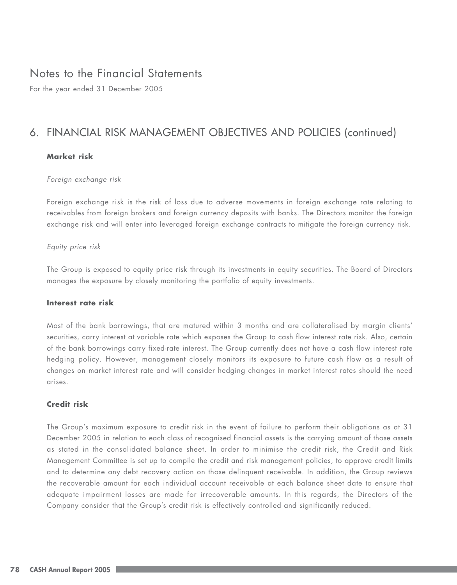For the year ended 31 December 2005

## 6. FINANCIAL RISK MANAGEMENT OBJECTIVES AND POLICIES (continued)

### **Market risk**

### Foreign exchange risk

Foreign exchange risk is the risk of loss due to adverse movements in foreign exchange rate relating to receivables from foreign brokers and foreign currency deposits with banks. The Directors monitor the foreign exchange risk and will enter into leveraged foreign exchange contracts to mitigate the foreign currency risk.

### Equity price risk

The Group is exposed to equity price risk through its investments in equity securities. The Board of Directors manages the exposure by closely monitoring the portfolio of equity investments.

### **Interest rate risk**

Most of the bank borrowings, that are matured within 3 months and are collateralised by margin clients' securities, carry interest at variable rate which exposes the Group to cash flow interest rate risk. Also, certain of the bank borrowings carry fixed-rate interest. The Group currently does not have a cash flow interest rate hedging policy. However, management closely monitors its exposure to future cash flow as a result of changes on market interest rate and will consider hedging changes in market interest rates should the need arises.

### **Credit risk**

The Group's maximum exposure to credit risk in the event of failure to perform their obligations as at 31 December 2005 in relation to each class of recognised financial assets is the carrying amount of those assets as stated in the consolidated balance sheet. In order to minimise the credit risk, the Credit and Risk Management Committee is set up to compile the credit and risk management policies, to approve credit limits and to determine any debt recovery action on those delinquent receivable. In addition, the Group reviews the recoverable amount for each individual account receivable at each balance sheet date to ensure that adequate impairment losses are made for irrecoverable amounts. In this regards, the Directors of the Company consider that the Group's credit risk is effectively controlled and significantly reduced.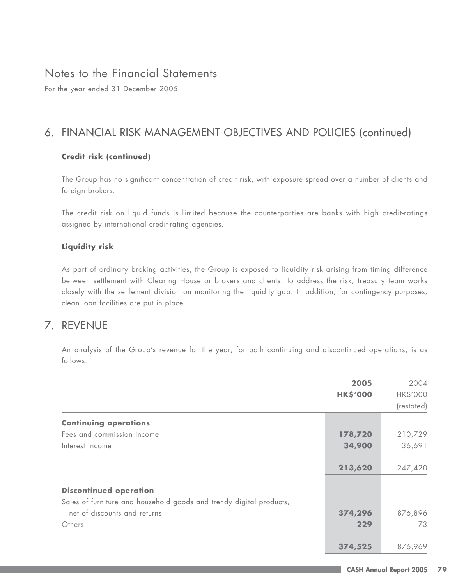For the year ended 31 December 2005

## 6. FINANCIAL RISK MANAGEMENT OBJECTIVES AND POLICIES (continued)

### **Credit risk (continued)**

The Group has no significant concentration of credit risk, with exposure spread over a number of clients and foreign brokers.

The credit risk on liquid funds is limited because the counterparties are banks with high credit-ratings assigned by international credit-rating agencies.

### **Liquidity risk**

As part of ordinary broking activities, the Group is exposed to liquidity risk arising from timing difference between settlement with Clearing House or brokers and clients. To address the risk, treasury team works closely with the settlement division on monitoring the liquidity gap. In addition, for contingency purposes, clean loan facilities are put in place.

### 7. REVENUE

An analysis of the Group's revenue for the year, for both continuing and discontinued operations, is as follows:

|                                                                     | 2005            | 2004       |
|---------------------------------------------------------------------|-----------------|------------|
|                                                                     | <b>HK\$'000</b> | HK\$'000   |
|                                                                     |                 | (restated) |
| <b>Continuing operations</b>                                        |                 |            |
| Fees and commission income                                          | 178,720         | 210,729    |
| Interest income                                                     | 34,900          | 36,691     |
|                                                                     |                 |            |
|                                                                     | 213,620         | 247,420    |
| <b>Discontinued operation</b>                                       |                 |            |
| Sales of furniture and household goods and trendy digital products, |                 |            |
| net of discounts and returns                                        | 374,296         | 876,896    |
| Others                                                              | 229             | 73         |
|                                                                     |                 |            |
|                                                                     | 374,525         | 876,969    |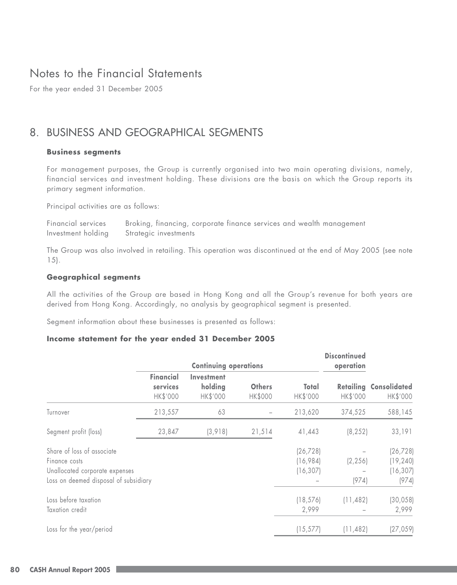For the year ended 31 December 2005

## 8. BUSINESS AND GEOGRAPHICAL SEGMENTS

#### **Business segments**

For management purposes, the Group is currently organised into two main operating divisions, namely, financial services and investment holding. These divisions are the basis on which the Group reports its primary segment information.

Principal activities are as follows:

Financial services Broking, financing, corporate finance services and wealth management Investment holding Strategic investments

The Group was also involved in retailing. This operation was discontinued at the end of May 2005 (see note 15).

### **Geographical segments**

All the activities of the Group are based in Hong Kong and all the Group's revenue for both years are derived from Hong Kong. Accordingly, no analysis by geographical segment is presented.

Segment information about these businesses is presented as follows:

### **Income statement for the year ended 31 December 2005**

|                                                                                                                        | <b>Discontinued</b><br><b>Continuing operations</b> |                                   |                                 |                                    |                   |                                              |
|------------------------------------------------------------------------------------------------------------------------|-----------------------------------------------------|-----------------------------------|---------------------------------|------------------------------------|-------------------|----------------------------------------------|
|                                                                                                                        | <b>Financial</b><br>services<br>HK\$'000            | Investment<br>holding<br>HK\$'000 | <b>Others</b><br><b>HK\$000</b> | Total<br>HK\$'000                  | HK\$'000          | <b>Retailing Consolidated</b><br>HK\$'000    |
| Turnover                                                                                                               | 213,557                                             | 63                                |                                 | 213,620                            | 374,525           | 588,145                                      |
| Segment profit (loss)                                                                                                  | 23,847                                              | (3, 918)                          | 21,514                          | 41,443                             | (8, 252)          | 33,191                                       |
| Share of loss of associate<br>Finance costs<br>Unallocated corporate expenses<br>Loss on deemed disposal of subsidiary |                                                     |                                   |                                 | (26, 728)<br>(16,984)<br>(16, 307) | (2, 256)<br>(974) | (26, 728)<br>(19, 240)<br>(16, 307)<br>(974) |
| Loss before taxation<br>Taxation credit                                                                                |                                                     |                                   |                                 | (18, 576)<br>2,999                 | (11, 482)         | (30, 058)<br>2,999                           |
| Loss for the year/period                                                                                               |                                                     |                                   |                                 | (15, 577)                          | (11, 482)         | (27, 059)                                    |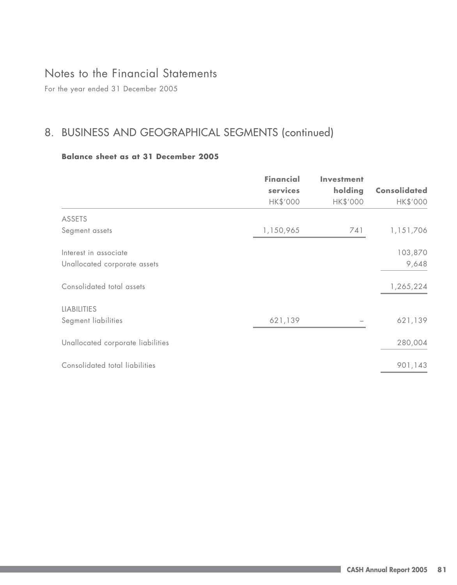For the year ended 31 December 2005

# 8. BUSINESS AND GEOGRAPHICAL SEGMENTS (continued)

### **Balance sheet as at 31 December 2005**

|                                   | <b>Financial</b><br>services | <b>Investment</b><br>holding | <b>Consolidated</b> |
|-----------------------------------|------------------------------|------------------------------|---------------------|
|                                   | HK\$'000                     | HK\$'000                     | HK\$'000            |
| <b>ASSETS</b>                     |                              |                              |                     |
| Segment assets                    | 1,150,965                    | 741                          | 1,151,706           |
| Interest in associate             |                              |                              | 103,870             |
| Unallocated corporate assets      |                              |                              | 9,648               |
| Consolidated total assets         |                              |                              | 1,265,224           |
| <b>LIABILITIES</b>                |                              |                              |                     |
| Segment liabilities               | 621,139                      |                              | 621,139             |
| Unallocated corporate liabilities |                              |                              | 280,004             |
| Consolidated total liabilities    |                              |                              | 901,143             |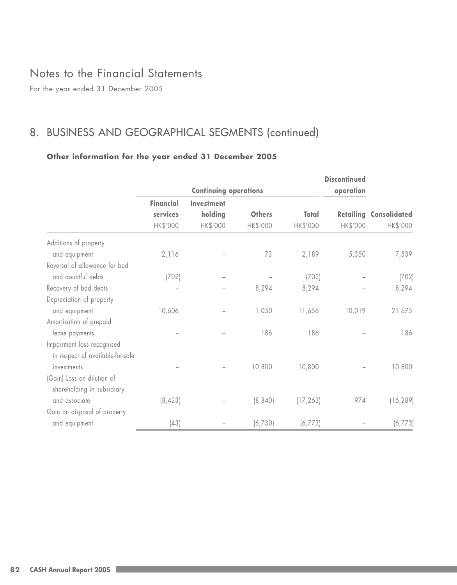For the year ended 31 December 2005

# 8. BUSINESS AND GEOGRAPHICAL SEGMENTS (continued)

### **Other information for the year ended 31 December 2005**

|                                  |                              |            |               |           | <b>Discontinued</b> |                               |
|----------------------------------|------------------------------|------------|---------------|-----------|---------------------|-------------------------------|
|                                  | <b>Continuing operations</b> |            |               | operation |                     |                               |
|                                  | <b>Financial</b>             | Investment |               |           |                     |                               |
|                                  | services                     | holding    | <b>Others</b> | Total     |                     | <b>Retailing Consolidated</b> |
|                                  | HK\$'000                     | HK\$'000   | HK\$'000      | HK\$'000  | HK\$'000            | HK\$'000                      |
| Additions of property            |                              |            |               |           |                     |                               |
| and equipment                    | 2,116                        |            | 73            | 2,189     | 5,350               | 7,539                         |
| Reversal of allowance for bad    |                              |            |               |           |                     |                               |
| and doubtful debts               | (702)                        |            |               | (702)     |                     | (702)                         |
| Recovery of bad debts            |                              |            | 8,294         | 8,294     |                     | 8,294                         |
| Depreciation of property         |                              |            |               |           |                     |                               |
| and equipment                    | 10,606                       |            | 1,050         | 11,656    | 10,019              | 21,675                        |
| Amortisation of prepaid          |                              |            |               |           |                     |                               |
| lease payments                   |                              |            | 186           | 186       |                     | 186                           |
| Impairment loss recognised       |                              |            |               |           |                     |                               |
| in respect of available-for-sale |                              |            |               |           |                     |                               |
| investments                      |                              |            | 10,800        | 10,800    |                     | 10,800                        |
| (Gain) Loss on dilution of       |                              |            |               |           |                     |                               |
| shareholding in subsidiary       |                              |            |               |           |                     |                               |
| and associate                    | (8, 423)                     |            | (8, 840)      | (17, 263) | 974                 | (16, 289)                     |
| Gain on disposal of property     |                              |            |               |           |                     |                               |
| and equipment                    | (43)                         |            | (6,730)       | (6, 773)  |                     | (6, 773)                      |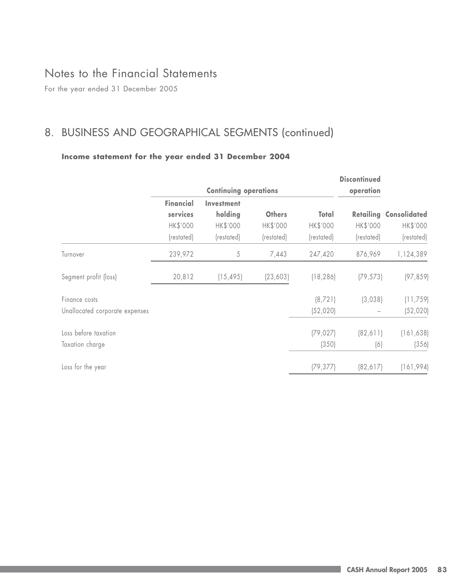For the year ended 31 December 2005

# 8. BUSINESS AND GEOGRAPHICAL SEGMENTS (continued)

### **Income statement for the year ended 31 December 2004**

|                                |                  | <b>Continuing operations</b> |               |            | <b>Discontinued</b><br>operation |                               |
|--------------------------------|------------------|------------------------------|---------------|------------|----------------------------------|-------------------------------|
|                                | <b>Financial</b> | Investment                   |               |            |                                  |                               |
|                                | services         | holding                      | <b>Others</b> | Total      |                                  | <b>Retailing Consolidated</b> |
|                                | HK\$'000         | HK\$'000                     | HK\$'000      | HK\$'000   | HK\$'000                         | HK\$'000                      |
|                                | (restated)       | (restated)                   | (restated)    | (restated) | (restated)                       | (restated)                    |
| Turnover                       | 239,972          | $\sqrt{5}$                   | 7,443         | 247,420    | 876,969                          | 1,124,389                     |
| Segment profit (loss)          | 20,812           | (15, 495)                    | (23, 603)     | (18, 286)  | (79, 573)                        | (97, 859)                     |
| Finance costs                  |                  |                              |               | (8, 721)   | (3,038)                          | (11, 759)                     |
| Unallocated corporate expenses |                  |                              |               | (52, 020)  |                                  | (52, 020)                     |
| Loss before taxation           |                  |                              |               | (79, 027)  | (82, 611)                        | (161, 638)                    |
| Taxation charge                |                  |                              |               | (350)      | (6)                              | (356)                         |
| Loss for the year              |                  |                              |               | (79, 377)  | (82, 617)                        | (161, 994)                    |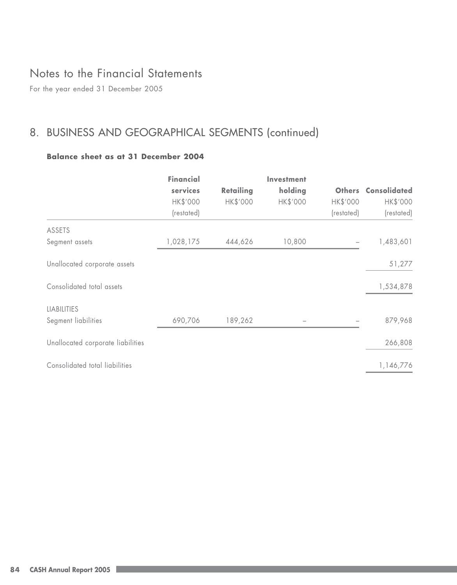For the year ended 31 December 2005

# 8. BUSINESS AND GEOGRAPHICAL SEGMENTS (continued)

### **Balance sheet as at 31 December 2004**

|                                   | <b>Financial</b> |                  | Investment |            |                            |
|-----------------------------------|------------------|------------------|------------|------------|----------------------------|
|                                   | services         | <b>Retailing</b> | holding    |            | <b>Others Consolidated</b> |
|                                   | HK\$'000         | HK\$'000         | HK\$'000   | HK\$'000   | HK\$'000                   |
|                                   | (restated)       |                  |            | (restated) | (restated)                 |
| ASSETS                            |                  |                  |            |            |                            |
| Segment assets                    | 1,028,175        | 444,626          | 10,800     |            | 1,483,601                  |
| Unallocated corporate assets      |                  |                  |            |            | 51,277                     |
| Consolidated total assets         |                  |                  |            |            | 1,534,878                  |
| <b>LIABILITIES</b>                |                  |                  |            |            |                            |
| Segment liabilities               | 690,706          | 189,262          |            |            | 879,968                    |
| Unallocated corporate liabilities |                  |                  |            |            | 266,808                    |
| Consolidated total liabilities    |                  |                  |            |            | 1,146,776                  |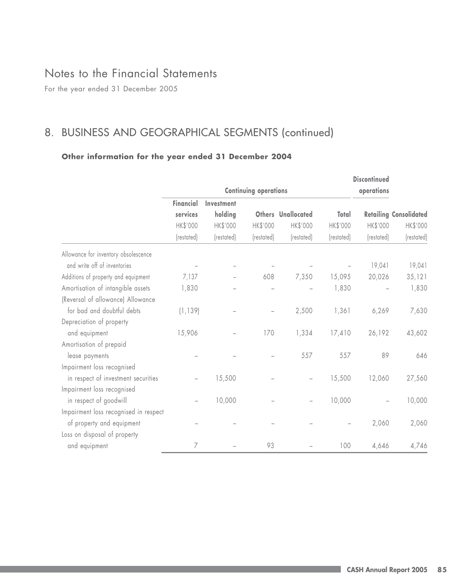For the year ended 31 December 2005

## 8. BUSINESS AND GEOGRAPHICAL SEGMENTS (continued)

### **Other information for the year ended 31 December 2004**

|                                       |                  |            |                          |                           |            | <b>Discontinued</b> |                               |
|---------------------------------------|------------------|------------|--------------------------|---------------------------|------------|---------------------|-------------------------------|
|                                       |                  | operations |                          |                           |            |                     |                               |
|                                       | <b>Financial</b> | Investment |                          |                           |            |                     |                               |
|                                       | services         | holding    |                          | <b>Others Unallocated</b> | Total      |                     | <b>Retailing Consolidated</b> |
|                                       | HK\$'000         | HK\$'000   | HK\$'000                 | HK\$'000                  | HK\$'000   | HK\$'000            | HK\$'000                      |
|                                       | (restated)       | (restated) | (restated)               | (restated)                | (restated) | (restated)          | (restated)                    |
| Allowance for inventory obsolescence  |                  |            |                          |                           |            |                     |                               |
| and write off of inventories          |                  |            |                          |                           |            | 19,041              | 19,041                        |
| Additions of property and equipment   | 7,137            |            | 608                      | 7,350                     | 15,095     | 20,026              | 35,121                        |
| Amortisation of intangible assets     | 1,830            |            | $\overline{\phantom{0}}$ |                           | 1,830      |                     | 1,830                         |
| (Reversal of allowance) Allowance     |                  |            |                          |                           |            |                     |                               |
| for bad and doubtful debts            | (1, 139)         |            |                          | 2,500                     | 1,361      | 6,269               | 7,630                         |
| Depreciation of property              |                  |            |                          |                           |            |                     |                               |
| and equipment                         | 15,906           |            | 170                      | 1,334                     | 17,410     | 26,192              | 43,602                        |
| Amortisation of prepaid               |                  |            |                          |                           |            |                     |                               |
| lease payments                        |                  |            |                          | 557                       | 557        | 89                  | 646                           |
| Impairment loss recognised            |                  |            |                          |                           |            |                     |                               |
| in respect of investment securities   |                  | 15,500     |                          |                           | 15,500     | 12,060              | 27,560                        |
| Impairment loss recognised            |                  |            |                          |                           |            |                     |                               |
| in respect of goodwill                |                  | 10,000     |                          |                           | 10,000     |                     | 10,000                        |
| Impairment loss recognised in respect |                  |            |                          |                           |            |                     |                               |
| of property and equipment             |                  |            |                          |                           |            | 2,060               | 2,060                         |
| Loss on disposal of property          |                  |            |                          |                           |            |                     |                               |
| and equipment                         | 7                |            | 93                       |                           | 100        | 4,646               | 4,746                         |

and the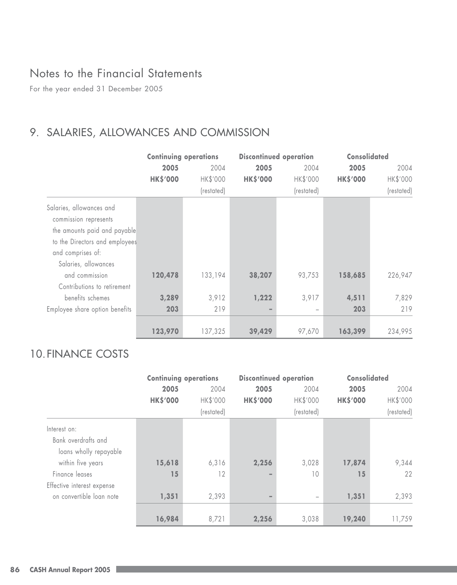For the year ended 31 December 2005

# 9. SALARIES, ALLOWANCES AND COMMISSION

|                                                                                                                                                                  | <b>Continuing operations</b> |            |                 | <b>Discontinued operation</b> | <b>Consolidated</b> |            |
|------------------------------------------------------------------------------------------------------------------------------------------------------------------|------------------------------|------------|-----------------|-------------------------------|---------------------|------------|
|                                                                                                                                                                  | 2005                         | 2004       |                 | 2004                          | 2005                | 2004       |
|                                                                                                                                                                  | <b>HK\$'000</b>              | HK\$'000   | <b>HK\$'000</b> | HK\$'000                      | <b>HK\$'000</b>     | HK\$'000   |
|                                                                                                                                                                  |                              | (restated) |                 | (restated)                    |                     | (restated) |
| Salaries, allowances and<br>commission represents<br>the amounts paid and payable<br>to the Directors and employees<br>and comprises of:<br>Salaries, allowances |                              |            |                 |                               |                     |            |
| and commission                                                                                                                                                   | 120,478                      | 133,194    | 38,207          | 93,753                        | 158,685             | 226,947    |
| Contributions to retirement                                                                                                                                      |                              |            |                 |                               |                     |            |
| benefits schemes                                                                                                                                                 | 3,289                        | 3,912      | 1,222           | 3,917                         | 4,511               | 7,829      |
| Employee share option benefits                                                                                                                                   | 203                          | 219        |                 | $\qquad \qquad -$             | 203                 | 219        |
|                                                                                                                                                                  | 123,970                      | 137,325    | 39,429          | 97,670                        | 163,399             | 234,995    |

# 10.FINANCE COSTS

|                            | <b>Continuing operations</b> |            |                 | <b>Discontinued operation</b> |                 | <b>Consolidated</b> |  |
|----------------------------|------------------------------|------------|-----------------|-------------------------------|-----------------|---------------------|--|
|                            | 2005                         | 2004       | 2005            | 2004                          | 2005            | 2004                |  |
|                            | <b>HK\$'000</b>              | HK\$'000   | <b>HK\$'000</b> | HK\$'000                      | <b>HK\$'000</b> | HK\$'000            |  |
|                            |                              | (restated) |                 | (restated)                    |                 | (restated)          |  |
| Interest on:               |                              |            |                 |                               |                 |                     |  |
| Bank overdrafts and        |                              |            |                 |                               |                 |                     |  |
| loans wholly repayable     |                              |            |                 |                               |                 |                     |  |
| within five years          | 15,618                       | 6,316      | 2,256           | 3,028                         | 17,874          | 9,344               |  |
| Finance leases             | 15                           | 12         | $\equiv$        | 10                            | 15              | 22                  |  |
| Effective interest expense |                              |            |                 |                               |                 |                     |  |
| on convertible loan note   | 1,351                        | 2,393      | $=$             | -                             | 1,351           | 2,393               |  |
|                            |                              |            |                 |                               |                 |                     |  |
|                            | 16,984                       | 8,721      | 2,256           | 3,038                         | 19,240          | 11,759              |  |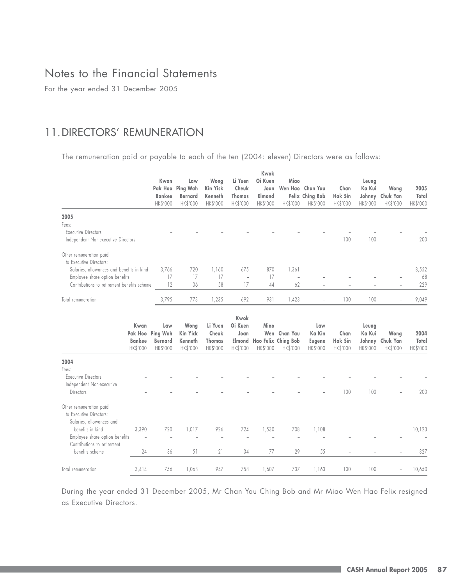For the year ended 31 December 2005

## 11.DIRECTORS' REMUNERATION

The remuneration paid or payable to each of the ten (2004: eleven) Directors were as follows:

l.

| 2005                                                                                                                                                                                                                                                                                                                                                                                                                                                          |                                   |
|---------------------------------------------------------------------------------------------------------------------------------------------------------------------------------------------------------------------------------------------------------------------------------------------------------------------------------------------------------------------------------------------------------------------------------------------------------------|-----------------------------------|
| Fees:                                                                                                                                                                                                                                                                                                                                                                                                                                                         |                                   |
| Executive Directors                                                                                                                                                                                                                                                                                                                                                                                                                                           |                                   |
| 100<br>100<br>Independent Non-executive Directors                                                                                                                                                                                                                                                                                                                                                                                                             | 200                               |
| Other remuneration paid<br>to Executive Directors:                                                                                                                                                                                                                                                                                                                                                                                                            |                                   |
| Salaries, allowances and benefits in kind<br>1,361<br>3,766<br>720<br>1,160<br>675<br>870                                                                                                                                                                                                                                                                                                                                                                     | 8,552                             |
| 17<br>Employee share option benefits<br>17<br>17<br>17<br>$\overline{\phantom{a}}$<br>L.                                                                                                                                                                                                                                                                                                                                                                      | 68                                |
| 12<br>58<br>17<br>44<br>Contributions to retirement benefits scheme<br>36<br>62<br>$\overline{\phantom{a}}$                                                                                                                                                                                                                                                                                                                                                   | 229                               |
| 3,795<br>773<br>692<br>100<br>100<br>Total remuneration<br>1,235<br>931<br>1,423                                                                                                                                                                                                                                                                                                                                                                              | 9,049                             |
| Kwok<br>Oi Kuen<br>Miao<br>Kwan<br>Li Yuen<br>Law<br>Wong<br>Law<br>Leung<br>Pak Hoo Ping Wah<br>Cheuk<br>Wen Chan Yau<br><b>Ka Kin</b><br>Ka Kui<br>Kin Yick<br>Joan<br>Chan<br><b>Bankee</b><br><b>Elmond Hao Felix Ching Bob</b><br>Hak Sin<br>Johnny Chuk Yan<br><b>Bernard</b><br>Kenneth<br>Thomas<br><b>Eugene</b><br>HK\$'000<br>HK\$'000<br>HK\$'000<br>HK\$'000<br>HK\$'000<br>HK\$'000<br>HK\$'000<br>HK\$'000<br>HK\$'000<br>HK\$'000<br>HK\$'000 | 2004<br>Wong<br>Total<br>HK\$'000 |
| 2004                                                                                                                                                                                                                                                                                                                                                                                                                                                          |                                   |
| Fees:                                                                                                                                                                                                                                                                                                                                                                                                                                                         |                                   |
| <b>Executive Directors</b>                                                                                                                                                                                                                                                                                                                                                                                                                                    |                                   |
| Independent Non-executive                                                                                                                                                                                                                                                                                                                                                                                                                                     |                                   |
| 100<br>100<br><b>Directors</b>                                                                                                                                                                                                                                                                                                                                                                                                                                | 200                               |
| Other remuneration paid<br>to Executive Directors:<br>Salaries, allowances and                                                                                                                                                                                                                                                                                                                                                                                |                                   |
| benefits in kind<br>3,390<br>720<br>1,017<br>926<br>724<br>1,530<br>708<br>1,108                                                                                                                                                                                                                                                                                                                                                                              | 10,123                            |
| Employee share option benefits<br>$\overline{\phantom{a}}$<br>٠<br>٠<br>٠                                                                                                                                                                                                                                                                                                                                                                                     |                                   |
| Contributions to retirement                                                                                                                                                                                                                                                                                                                                                                                                                                   |                                   |
| benefits scheme<br>29<br>24<br>36<br>51<br>21<br>34<br>77<br>55                                                                                                                                                                                                                                                                                                                                                                                               | 327                               |
| 947<br>3,414<br>756<br>758<br>1,607<br>737<br>100<br>100<br>Total remuneration<br>1,068<br>1,163                                                                                                                                                                                                                                                                                                                                                              | 10,650                            |

During the year ended 31 December 2005, Mr Chan Yau Ching Bob and Mr Miao Wen Hao Felix resigned as Executive Directors.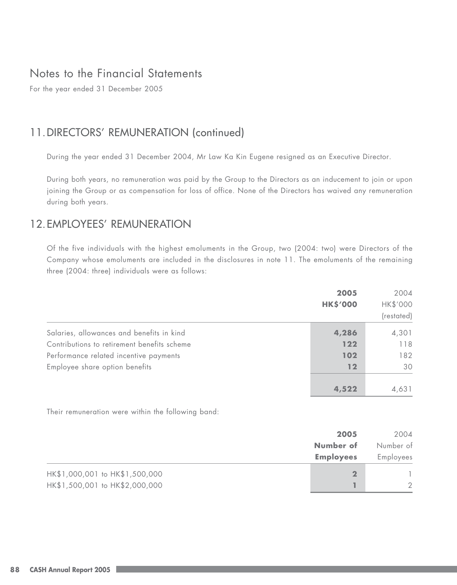For the year ended 31 December 2005

## 11.DIRECTORS' REMUNERATION (continued)

During the year ended 31 December 2004, Mr Law Ka Kin Eugene resigned as an Executive Director.

During both years, no remuneration was paid by the Group to the Directors as an inducement to join or upon joining the Group or as compensation for loss of office. None of the Directors has waived any remuneration during both years.

### 12.EMPLOYEES' REMUNERATION

Of the five individuals with the highest emoluments in the Group, two (2004: two) were Directors of the Company whose emoluments are included in the disclosures in note 11. The emoluments of the remaining three (2004: three) individuals were as follows:

|                                             | 2005            | 2004       |
|---------------------------------------------|-----------------|------------|
|                                             | <b>HK\$'000</b> | HK\$'000   |
|                                             |                 | (restated) |
| Salaries, allowances and benefits in kind   | 4,286           | 4,301      |
| Contributions to retirement benefits scheme | 122             | 118        |
| Performance related incentive payments      | 102             | 182        |
| Employee share option benefits              | 12              | 30         |
|                                             |                 |            |
|                                             | 4,522           | 4.631      |

Their remuneration were within the following band:

|                                | 2005             | 2004      |
|--------------------------------|------------------|-----------|
|                                | Number of        | Number of |
|                                | <b>Employees</b> | Employees |
| HK\$1,000,001 to HK\$1,500,000 | $\overline{2}$   |           |
| HK\$1,500,001 to HK\$2,000,000 |                  |           |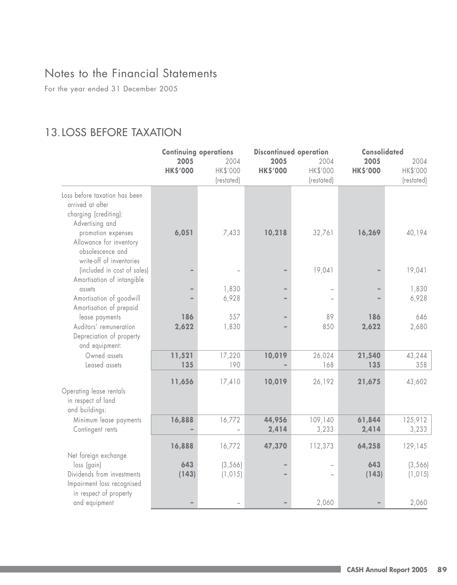For the year ended 31 December 2005

# 13.LOSS BEFORE TAXATION

|                                                      |                 | <b>Continuing operations</b> |                 | <b>Discontinued operation</b> | <b>Consolidated</b> |                        |
|------------------------------------------------------|-----------------|------------------------------|-----------------|-------------------------------|---------------------|------------------------|
|                                                      | 2005            | 2004                         | 2005            | 2004                          | 2005                | 2004                   |
|                                                      | <b>HK\$'000</b> | HK\$'000<br>(restated)       | <b>HK\$'000</b> | HK\$'000<br>(restated)        | <b>HK\$'000</b>     | HK\$'000<br>(restated) |
|                                                      |                 |                              |                 |                               |                     |                        |
| Loss before taxation has been                        |                 |                              |                 |                               |                     |                        |
| arrived at after                                     |                 |                              |                 |                               |                     |                        |
| charging (crediting):<br>Advertising and             |                 |                              |                 |                               |                     |                        |
| promotion expenses                                   | 6,051           | 7,433                        | 10,218          | 32,761                        | 16,269              | 40,194                 |
| Allowance for inventory                              |                 |                              |                 |                               |                     |                        |
| obsolescence and                                     |                 |                              |                 |                               |                     |                        |
| write-off of inventories                             |                 |                              |                 |                               |                     |                        |
| (included in cost of sales)                          |                 |                              |                 | 19,041                        |                     | 19,041                 |
| Amortisation of intangible                           |                 |                              |                 |                               |                     |                        |
| assets                                               |                 | 1,830                        |                 |                               |                     | 1,830                  |
| Amortisation of goodwill<br>Amortisation of prepaid  |                 | 6,928                        |                 |                               |                     | 6,928                  |
| lease payments                                       | 186             | 557                          |                 | 89                            | 186                 | 646                    |
| Auditors' remuneration                               | 2,622           | 1,830                        |                 | 850                           | 2,622               | 2,680                  |
| Depreciation of property                             |                 |                              |                 |                               |                     |                        |
| and equipment:                                       |                 |                              |                 |                               |                     |                        |
| Owned assets                                         | 11,521          | 17,220                       | 10,019          | 26,024                        | 21,540              | 43,244                 |
| Leased assets                                        | 135             | 190                          |                 | 168                           | 135                 | 358                    |
|                                                      | 11,656          | 17,410                       | 10,019          | 26,192                        | 21,675              | 43,602                 |
| Operating lease rentals                              |                 |                              |                 |                               |                     |                        |
| in respect of land                                   |                 |                              |                 |                               |                     |                        |
| and buildings:                                       |                 |                              |                 |                               |                     |                        |
| Minimum lease payments                               | 16,888          | 16,772                       | 44,956          | 109,140                       | 61,844              | 125,912                |
| Contingent rents                                     |                 |                              | 2,414           | 3,233                         | 2,414               | 3,233                  |
|                                                      | 16,888          | 16,772                       | 47,370          | 112,373                       | 64,258              | 129,145                |
| Net foreign exchange                                 |                 |                              |                 |                               |                     |                        |
| loss (gain)                                          | 643             | (3, 566)                     |                 |                               | 643                 | (3, 566)               |
| Dividends from investments                           | (143)           | (1, 015)                     |                 |                               | (143)               | (1, 015)               |
| Impairment loss recognised<br>in respect of property |                 |                              |                 |                               |                     |                        |
| and equipment                                        |                 |                              |                 | 2,060                         |                     | 2,060                  |
|                                                      |                 |                              |                 |                               |                     |                        |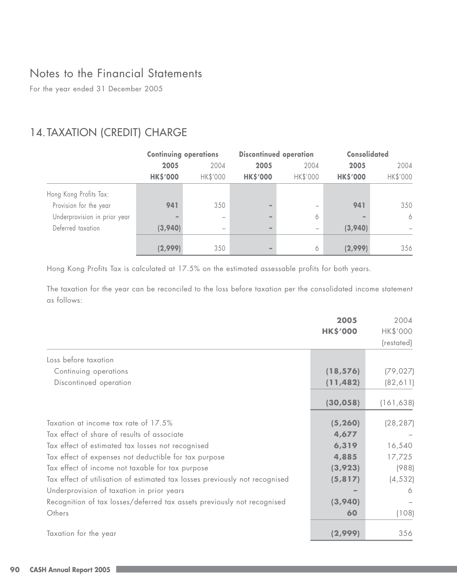For the year ended 31 December 2005

# 14.TAXATION (CREDIT) CHARGE

|                              | <b>Continuing operations</b> |                          |                 | <b>Discontinued operation</b> | <b>Consolidated</b> |          |
|------------------------------|------------------------------|--------------------------|-----------------|-------------------------------|---------------------|----------|
|                              | 2005                         | 2004                     | 2005            | 2004                          | 2005                | 2004     |
|                              | <b>HK\$'000</b>              | HK\$'000                 | <b>HK\$'000</b> | HK\$'000                      | <b>HK\$'000</b>     | HK\$'000 |
| Hong Kong Profits Tax:       |                              |                          |                 |                               |                     |          |
| Provision for the year       | 941                          | 350                      |                 |                               | 941                 | 350      |
| Underprovision in prior year | $\equiv$                     | $\overline{\phantom{0}}$ |                 | 6                             | $\equiv$            | 6        |
| Deferred taxation            | (3,940)                      | $\overline{\phantom{0}}$ | $\equiv$        |                               | (3,940)             |          |
|                              | (2,999)                      | 350                      | $=$             | 6                             | (2,999)             | 356      |

Hong Kong Profits Tax is calculated at 17.5% on the estimated assessable profits for both years.

The taxation for the year can be reconciled to the loss before taxation per the consolidated income statement as follows:

|                                                                             | 2005            | 2004       |
|-----------------------------------------------------------------------------|-----------------|------------|
|                                                                             | <b>HK\$'000</b> | HK\$'000   |
|                                                                             |                 | (restated) |
| Loss before taxation                                                        |                 |            |
| Continuing operations                                                       | (18, 576)       | (79, 027)  |
| Discontinued operation                                                      | (11, 482)       | (82, 611)  |
|                                                                             | (30, 058)       | (161, 638) |
| Taxation at income tax rate of 17.5%                                        | (5, 260)        | (28, 287)  |
| Tax effect of share of results of associate                                 | 4,677           |            |
| Tax effect of estimated tax losses not recognised                           | 6,319           | 16,540     |
| Tax effect of expenses not deductible for tax purpose                       | 4,885           | 17,725     |
| Tax effect of income not taxable for tax purpose                            | (3,923)         | (988)      |
| Tax effect of utilisation of estimated tax losses previously not recognised | (5, 817)        | (4, 532)   |
| Underprovision of taxation in prior years                                   |                 | 6          |
| Recognition of tax losses/deferred tax assets previously not recognised     | (3,940)         |            |
| Others                                                                      | 60              | (108)      |
| Taxation for the year                                                       | (2,999)         | 356        |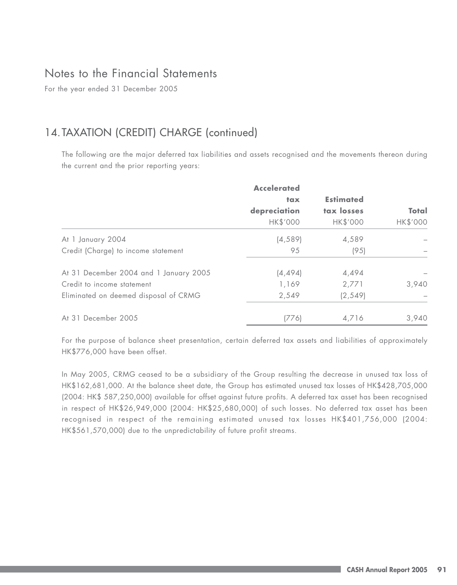For the year ended 31 December 2005

# 14.TAXATION (CREDIT) CHARGE (continued)

The following are the major deferred tax liabilities and assets recognised and the movements thereon during the current and the prior reporting years:

|                                        | <b>Accelerated</b> |                  |              |
|----------------------------------------|--------------------|------------------|--------------|
|                                        | tax                | <b>Estimated</b> |              |
|                                        | depreciation       | tax losses       | <b>Total</b> |
|                                        | HK\$'000           | HK\$'000         | HK\$'000     |
| At 1 January 2004                      | (4, 589)           | 4,589            |              |
| Credit (Charge) to income statement    | 95                 | (95)             |              |
| At 31 December 2004 and 1 January 2005 | (4, 494)           | 4,494            |              |
| Credit to income statement             | 1,169              | 2,771            | 3,940        |
| Eliminated on deemed disposal of CRMG  | 2,549              | (2, 549)         |              |
| At 31 December 2005                    | (776)              | 4,716            | 3,940        |

For the purpose of balance sheet presentation, certain deferred tax assets and liabilities of approximately HK\$776,000 have been offset.

In May 2005, CRMG ceased to be a subsidiary of the Group resulting the decrease in unused tax loss of HK\$162,681,000. At the balance sheet date, the Group has estimated unused tax losses of HK\$428,705,000 (2004: HK\$ 587,250,000) available for offset against future profits. A deferred tax asset has been recognised in respect of HK\$26,949,000 (2004: HK\$25,680,000) of such losses. No deferred tax asset has been recognised in respect of the remaining estimated unused tax losses HK\$401,756,000 (2004: HK\$561,570,000) due to the unpredictability of future profit streams.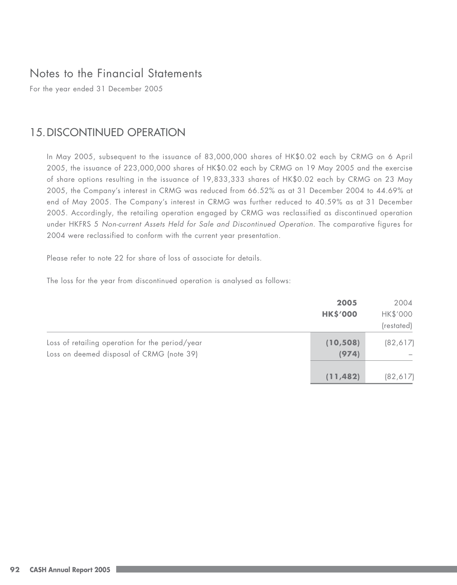For the year ended 31 December 2005

## 15.DISCONTINUED OPERATION

In May 2005, subsequent to the issuance of 83,000,000 shares of HK\$0.02 each by CRMG on 6 April 2005, the issuance of 223,000,000 shares of HK\$0.02 each by CRMG on 19 May 2005 and the exercise of share options resulting in the issuance of 19,833,333 shares of HK\$0.02 each by CRMG on 23 May 2005, the Company's interest in CRMG was reduced from 66.52% as at 31 December 2004 to 44.69% at end of May 2005. The Company's interest in CRMG was further reduced to 40.59% as at 31 December 2005. Accordingly, the retailing operation engaged by CRMG was reclassified as discontinued operation under HKFRS 5 Non-current Assets Held for Sale and Discontinued Operation. The comparative figures for 2004 were reclassified to conform with the current year presentation.

Please refer to note 22 for share of loss of associate for details.

The loss for the year from discontinued operation is analysed as follows:

|                                                 | 2005            | 2004       |
|-------------------------------------------------|-----------------|------------|
|                                                 | <b>HK\$'000</b> | HK\$'000   |
|                                                 |                 | (restated) |
| Loss of retailing operation for the period/year | (10, 508)       | (82, 617)  |
| Loss on deemed disposal of CRMG (note 39)       | (974)           |            |
|                                                 |                 |            |
|                                                 | (11, 482)       | (82, 617)  |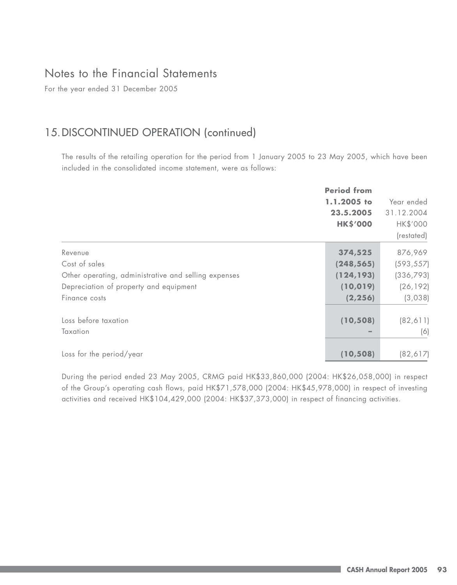For the year ended 31 December 2005

## 15.DISCONTINUED OPERATION (continued)

The results of the retailing operation for the period from 1 January 2005 to 23 May 2005, which have been included in the consolidated income statement, were as follows:

|                                                      | <b>Period from</b><br>1.1.2005 to<br>23.5.2005<br><b>HK\$'000</b> | Year ended<br>31.12.2004<br>HK\$'000<br>(restated) |
|------------------------------------------------------|-------------------------------------------------------------------|----------------------------------------------------|
| Revenue                                              | 374,525                                                           | 876,969                                            |
| Cost of sales                                        | (248, 565)                                                        | (593, 557)                                         |
| Other operating, administrative and selling expenses | (124, 193)                                                        | (336, 793)                                         |
| Depreciation of property and equipment               | (10, 019)                                                         | (26, 192)                                          |
| Finance costs                                        | (2, 256)                                                          | (3,038)                                            |
| Loss before taxation<br>Taxation                     | (10, 508)                                                         | (82, 611)<br>(6)                                   |
| Loss for the period/year                             | (10, 508)                                                         | (82, 617)                                          |

During the period ended 23 May 2005, CRMG paid HK\$33,860,000 (2004: HK\$26,058,000) in respect of the Group's operating cash flows, paid HK\$71,578,000 (2004: HK\$45,978,000) in respect of investing activities and received HK\$104,429,000 (2004: HK\$37,373,000) in respect of financing activities.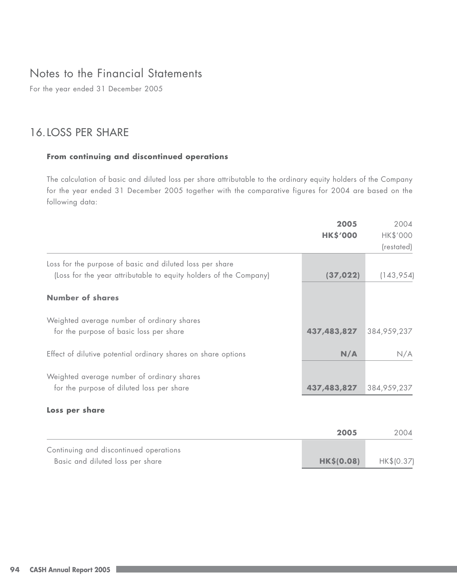For the year ended 31 December 2005

## 16.LOSS PER SHARE

### **From continuing and discontinued operations**

The calculation of basic and diluted loss per share attributable to the ordinary equity holders of the Company for the year ended 31 December 2005 together with the comparative figures for 2004 are based on the following data:

|                                                                   | 2005<br><b>HK\$'000</b> | 2004<br>HK\$'000 |
|-------------------------------------------------------------------|-------------------------|------------------|
|                                                                   |                         | (restated)       |
| Loss for the purpose of basic and diluted loss per share          |                         |                  |
| (Loss for the year attributable to equity holders of the Company) | (37, 022)               | (143, 954)       |
| <b>Number of shares</b>                                           |                         |                  |
| Weighted average number of ordinary shares                        |                         |                  |
| for the purpose of basic loss per share                           | 437,483,827             | 384,959,237      |
| Effect of dilutive potential ordinary shares on share options     | N/A                     | N/A              |
| Weighted average number of ordinary shares                        |                         |                  |
| for the purpose of diluted loss per share                         | 437,483,827             | 384,959,237      |
|                                                                   |                         |                  |

### **Loss per share**

|                                        | 2005              | 2004       |
|----------------------------------------|-------------------|------------|
| Continuing and discontinued operations |                   |            |
| Basic and diluted loss per share       | <b>HK\$(0.08)</b> | HK\$(0.37) |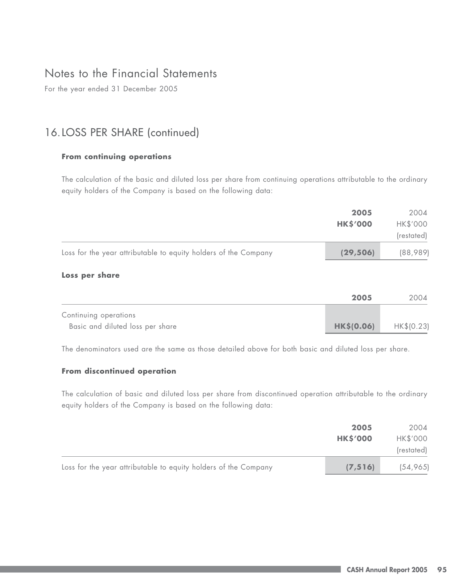For the year ended 31 December 2005

## 16.LOSS PER SHARE (continued)

### **From continuing operations**

The calculation of the basic and diluted loss per share from continuing operations attributable to the ordinary equity holders of the Company is based on the following data:

|                                                                 | 2005            | 2004       |
|-----------------------------------------------------------------|-----------------|------------|
|                                                                 | <b>HK\$'000</b> | HK\$'000   |
|                                                                 |                 | (restated) |
| Loss for the year attributable to equity holders of the Company | (29, 506)       | (88,989)   |
| Loss per share                                                  |                 |            |
|                                                                 | 2005            | 2004       |

| Continuing operations            |                   |            |
|----------------------------------|-------------------|------------|
| Basic and diluted loss per share | <b>HK\$(0.06)</b> | HK\$10.23] |

The denominators used are the same as those detailed above for both basic and diluted loss per share.

### **From discontinued operation**

The calculation of basic and diluted loss per share from discontinued operation attributable to the ordinary equity holders of the Company is based on the following data:

|                                                                 | 2005            | 2004       |
|-----------------------------------------------------------------|-----------------|------------|
|                                                                 | <b>HK\$'000</b> | HK\$'000   |
|                                                                 |                 | (restated) |
| Loss for the year attributable to equity holders of the Company | (7, 516)        | (54, 965)  |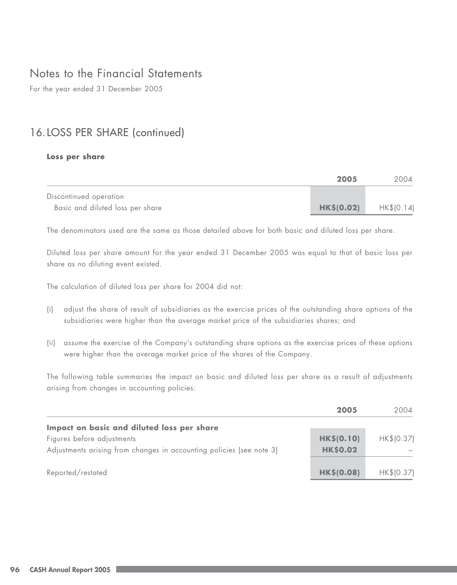For the year ended 31 December 2005

## 16.LOSS PER SHARE (continued)

### **Loss per share**

|                                  | 2005              | 2004      |
|----------------------------------|-------------------|-----------|
| Discontinued operation           |                   |           |
| Basic and diluted loss per share | <b>HK\$(0.02)</b> | HK\$10.14 |

The denominators used are the same as those detailed above for both basic and diluted loss per share.

Diluted loss per share amount for the year ended 31 December 2005 was equal to that of basic loss per share as no diluting event existed.

The calculation of diluted loss per share for 2004 did not:

- (i) adjust the share of result of subsidiaries as the exercise prices of the outstanding share options of the subsidiaries were higher than the average market price of the subsidiaries shares; and
- (ii) assume the exercise of the Company's outstanding share options as the exercise prices of these options were higher than the average market price of the shares of the Company.

The following table summaries the impact on basic and diluted loss per share as a result of adjustments arising from changes in accounting policies:

|                                                                                                    | 2005                                 | 2004      |
|----------------------------------------------------------------------------------------------------|--------------------------------------|-----------|
| Impact on basic and diluted loss per share                                                         |                                      |           |
| Figures before adjustments<br>Adjustments arising from changes in accounting policies (see note 3) | <b>HK\$(0.10)</b><br><b>HK\$0.02</b> | HK\$10.37 |
| Reported/restated                                                                                  | <b>HK\$(0.08)</b>                    | HK\$10.37 |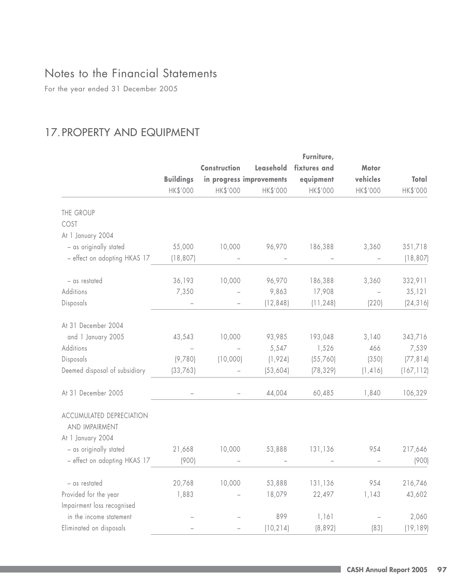For the year ended 31 December 2005

# 17.PROPERTY AND EQUIPMENT

|                                            |                  |                     |                          | Furniture,   |          |            |
|--------------------------------------------|------------------|---------------------|--------------------------|--------------|----------|------------|
|                                            |                  | <b>Construction</b> | Leasehold                | fixtures and | Motor    |            |
|                                            | <b>Buildings</b> |                     | in progress improvements | equipment    | vehicles | Total      |
|                                            | HK\$'000         | HK\$'000            | HK\$'000                 | HK\$'000     | HK\$'000 | HK\$'000   |
| THE GROUP                                  |                  |                     |                          |              |          |            |
| COST                                       |                  |                     |                          |              |          |            |
| At 1 January 2004                          |                  |                     |                          |              |          |            |
| - as originally stated                     | 55,000           | 10,000              | 96,970                   | 186,388      | 3,360    | 351,718    |
| - effect on adopting HKAS 17               | (18, 807)        |                     |                          |              |          | (18, 807)  |
| - as restated                              | 36,193           | 10,000              | 96,970                   | 186,388      | 3,360    | 332,911    |
| <b>Additions</b>                           | 7,350            |                     | 9,863                    | 17,908       |          | 35,121     |
| Disposals                                  |                  |                     | (12, 848)                | (11, 248)    | (220)    | (24, 316)  |
| At 31 December 2004                        |                  |                     |                          |              |          |            |
| and 1 January 2005                         | 43,543           | 10,000              | 93,985                   | 193,048      | 3,140    | 343,716    |
| <b>Additions</b>                           |                  |                     | 5,547                    | 1,526        | 466      | 7,539      |
| Disposals                                  | (9,780)          | (10,000)            | (1,924)                  | (55,760)     | (350)    | (77, 814)  |
| Deemed disposal of subsidiary              | (33, 763)        |                     | (53,604)                 | (78, 329)    | (1, 416) | (167, 112) |
| At 31 December 2005                        |                  |                     | 44,004                   | 60,485       | 1,840    | 106,329    |
| ACCUMULATED DEPRECIATION<br>AND IMPAIRMENT |                  |                     |                          |              |          |            |
| At 1 January 2004                          |                  |                     |                          |              |          |            |
| - as originally stated                     | 21,668           | 10,000              | 53,888                   | 131,136      | 954      | 217,646    |
| - effect on adopting HKAS 17               | (900)            |                     |                          |              |          | (900)      |
| - as restated                              | 20,768           | 10,000              | 53,888                   | 131,136      | 954      | 216,746    |
| Provided for the year                      | 1,883            |                     | 18,079                   | 22,497       | 1,143    | 43,602     |
| Impairment loss recognised                 |                  |                     |                          |              |          |            |
| in the income statement                    |                  |                     | 899                      | 1,161        |          | 2,060      |
| Eliminated on disposals                    |                  |                     | (10, 214)                | (8, 892)     | (83)     | (19, 189)  |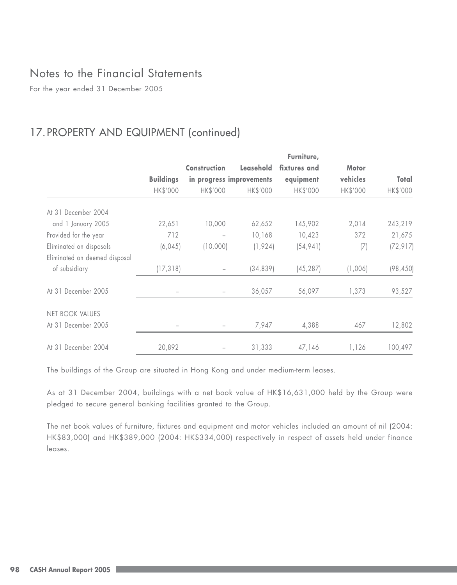For the year ended 31 December 2005

## 17.PROPERTY AND EQUIPMENT (continued)

|                               |                  |                          |           | Furniture,   |              |           |
|-------------------------------|------------------|--------------------------|-----------|--------------|--------------|-----------|
|                               |                  | <b>Construction</b>      | Leasehold | fixtures and | <b>Motor</b> |           |
|                               | <b>Buildings</b> | in progress improvements |           | equipment    | vehicles     | Total     |
|                               | HK\$'000         | HK\$'000                 | HK\$'000  | HK\$'000     | HK\$'000     | HK\$'000  |
| At 31 December 2004           |                  |                          |           |              |              |           |
| and 1 January 2005            | 22,651           | 10,000                   | 62,652    | 145,902      | 2,014        | 243,219   |
| Provided for the year         | 712              | -                        | 10,168    | 10,423       | 372          | 21,675    |
| Eliminated on disposals       | (6,045)          | (10,000)                 | (1, 924)  | (54, 941)    | (7)          | (72, 917) |
| Eliminated on deemed disposal |                  |                          |           |              |              |           |
| of subsidiary                 | (17, 318)        |                          | (34, 839) | (45, 287)    | (1,006)      | (98, 450) |
| At 31 December 2005           |                  |                          | 36,057    | 56,097       | 1,373        | 93,527    |
| NET BOOK VALUES               |                  |                          |           |              |              |           |
| At 31 December 2005           |                  |                          | 7,947     | 4,388        | 467          | 12,802    |
| At 31 December 2004           | 20,892           |                          | 31,333    | 47,146       | 1,126        | 100,497   |

The buildings of the Group are situated in Hong Kong and under medium-term leases.

As at 31 December 2004, buildings with a net book value of HK\$16,631,000 held by the Group were pledged to secure general banking facilities granted to the Group.

The net book values of furniture, fixtures and equipment and motor vehicles included an amount of nil (2004: HK\$83,000) and HK\$389,000 (2004: HK\$334,000) respectively in respect of assets held under finance leases.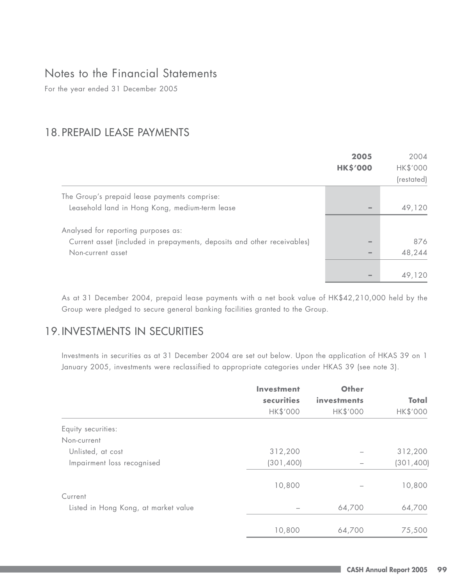For the year ended 31 December 2005

## 18.PREPAID LEASE PAYMENTS

|                                                                         | 2005<br><b>HK\$'000</b> | 2004<br>HK\$'000<br>(restated) |
|-------------------------------------------------------------------------|-------------------------|--------------------------------|
| The Group's prepaid lease payments comprise:                            |                         |                                |
| Leasehold land in Hong Kong, medium-term lease                          |                         | 49,120                         |
| Analysed for reporting purposes as:                                     |                         |                                |
| Current asset (included in prepayments, deposits and other receivables) | $\equiv$                | 876                            |
| Non-current asset                                                       |                         | 48,244                         |
|                                                                         |                         | 49.120                         |

As at 31 December 2004, prepaid lease payments with a net book value of HK\$42,210,000 held by the Group were pledged to secure general banking facilities granted to the Group.

## 19.INVESTMENTS IN SECURITIES

Investments in securities as at 31 December 2004 are set out below. Upon the application of HKAS 39 on 1 January 2005, investments were reclassified to appropriate categories under HKAS 39 (see note 3).

|                                      | <b>Investment</b><br>securities<br>HK\$'000 | <b>Other</b><br>investments<br>HK\$'000 | Total<br>HK\$'000 |
|--------------------------------------|---------------------------------------------|-----------------------------------------|-------------------|
| Equity securities:                   |                                             |                                         |                   |
| Non-current                          |                                             |                                         |                   |
| Unlisted, at cost                    | 312,200                                     |                                         | 312,200           |
| Impairment loss recognised           | (301, 400)                                  |                                         | (301, 400)        |
|                                      | 10,800                                      |                                         | 10,800            |
| Current                              |                                             |                                         |                   |
| Listed in Hong Kong, at market value |                                             | 64,700                                  | 64,700            |
|                                      | 10,800                                      | 64,700                                  | 75,500            |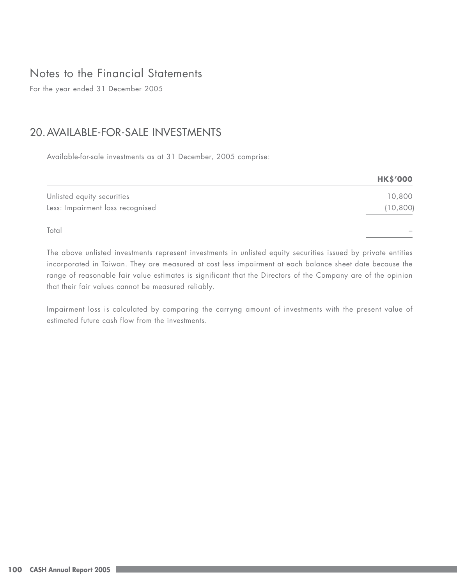For the year ended 31 December 2005

## 20.AVAILABLE-FOR-SALE INVESTMENTS

Available-for-sale investments as at 31 December, 2005 comprise:

|                                  | <b>HK\$'000</b> |
|----------------------------------|-----------------|
| Unlisted equity securities       | 10,800          |
| Less: Impairment loss recognised | (10, 800)       |
|                                  |                 |

Total –

The above unlisted investments represent investments in unlisted equity securities issued by private entities incorporated in Taiwan. They are measured at cost less impairment at each balance sheet date because the range of reasonable fair value estimates is significant that the Directors of the Company are of the opinion that their fair values cannot be measured reliably.

Impairment loss is calculated by comparing the carryng amount of investments with the present value of estimated future cash flow from the investments.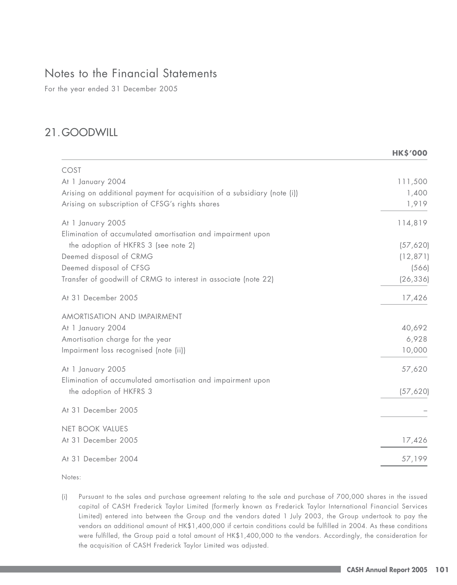For the year ended 31 December 2005

## 21.GOODWILL

|                                                                          | TINY VVV  |
|--------------------------------------------------------------------------|-----------|
| COST                                                                     |           |
| At 1 January 2004                                                        | 111,500   |
| Arising on additional payment for acquisition of a subsidiary (note (i)) | 1,400     |
| Arising on subscription of CFSG's rights shares                          | 1,919     |
| At 1 January 2005                                                        | 114,819   |
| Elimination of accumulated amortisation and impairment upon              |           |
| the adoption of HKFRS 3 (see note 2)                                     | (57,620)  |
| Deemed disposal of CRMG                                                  | (12, 871) |
| Deemed disposal of CFSG                                                  | (566)     |
| Transfer of goodwill of CRMG to interest in associate (note 22)          | (26, 336) |
| At 31 December 2005                                                      | 17,426    |
| <b>AMORTISATION AND IMPAIRMENT</b>                                       |           |
| At 1 January 2004                                                        | 40,692    |
| Amortisation charge for the year                                         | 6,928     |
| Impairment loss recognised (note (ii))                                   | 10,000    |
| At 1 January 2005                                                        | 57,620    |
| Elimination of accumulated amortisation and impairment upon              |           |
| the adoption of HKFRS 3                                                  | (57,620)  |
| At 31 December 2005                                                      |           |
| <b>NET BOOK VALUES</b>                                                   |           |
| At 31 December 2005                                                      | 17,426    |
| At 31 December 2004                                                      | 57,199    |
|                                                                          |           |

Notes:

(i) Pursuant to the sales and purchase agreement relating to the sale and purchase of 700,000 shares in the issued capital of CASH Frederick Taylor Limited (formerly known as Frederick Taylor International Financial Services Limited) entered into between the Group and the vendors dated 1 July 2003, the Group undertook to pay the vendors an additional amount of HK\$1,400,000 if certain conditions could be fulfilled in 2004. As these conditions were fulfilled, the Group paid a total amount of HK\$1,400,000 to the vendors. Accordingly, the consideration for the acquisition of CASH Frederick Taylor Limited was adjusted.

**HK\$'000**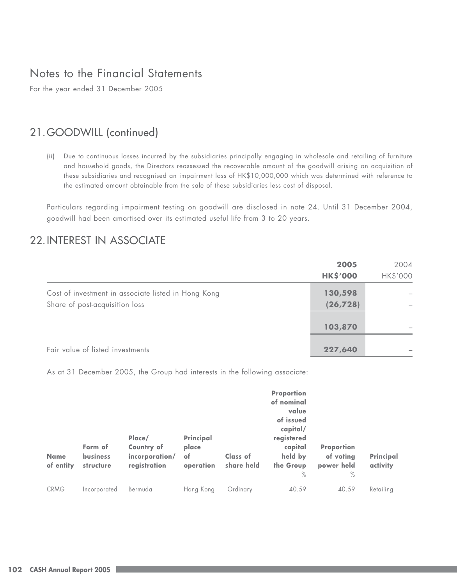For the year ended 31 December 2005

## 21.GOODWILL (continued)

(ii) Due to continuous losses incurred by the subsidiaries principally engaging in wholesale and retailing of furniture and household goods, the Directors reassessed the recoverable amount of the goodwill arising on acquisition of these subsidiaries and recognised an impairment loss of HK\$10,000,000 which was determined with reference to the estimated amount obtainable from the sale of these subsidiaries less cost of disposal.

Particulars regarding impairment testing on goodwill are disclosed in note 24. Until 31 December 2004, goodwill had been amortised over its estimated useful life from 3 to 20 years.

## 22.INTEREST IN ASSOCIATE

|                                                                                       | 2005<br><b>HK\$'000</b> | 2004<br>HK\$'000 |
|---------------------------------------------------------------------------------------|-------------------------|------------------|
| Cost of investment in associate listed in Hong Kong<br>Share of post-acquisition loss | 130,598<br>(26, 728)    |                  |
|                                                                                       | 103,870                 |                  |
| Fair value of listed investments                                                      | 227,640                 |                  |

As at 31 December 2005, the Group had interests in the following associate:

| <b>Name</b><br>of entity | Form of<br><b>business</b><br>structure | Place/<br>Country of<br>incorporation/<br>registration | Principal<br>place<br>of<br>operation | Class of<br>share held | <b>Proportion</b><br>of nominal<br>value<br>of issued<br>capital/<br>registered<br>capital<br>held by<br>the Group<br>$\%$ | <b>Proportion</b><br>of voting<br>power held<br>$\%$ | Principal<br>activity |
|--------------------------|-----------------------------------------|--------------------------------------------------------|---------------------------------------|------------------------|----------------------------------------------------------------------------------------------------------------------------|------------------------------------------------------|-----------------------|
| <b>CRMG</b>              | Incorporated                            | Bermuda                                                | Hong Kong                             | Ordinary               | 40.59                                                                                                                      | 40.59                                                | Retailing             |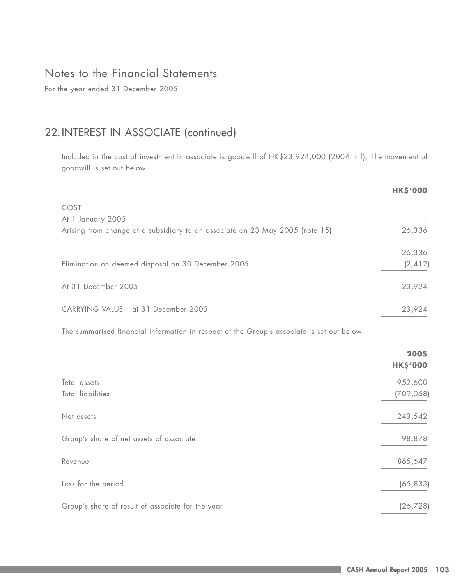For the year ended 31 December 2005

# 22.INTEREST IN ASSOCIATE (continued)

Included in the cost of investment in associate is goodwill of HK\$23,924,000 (2004: nil). The movement of goodwill is set out below:

|                                                                              | <b>HK\$'000</b> |
|------------------------------------------------------------------------------|-----------------|
| COST                                                                         |                 |
| At 1 January 2005                                                            |                 |
| Arising from change of a subsidiary to an associate on 23 May 2005 (note 15) | 26,336          |
|                                                                              | 26,336          |
| Elimination on deemed disposal on 30 December 2005                           | (2, 412)        |
| At 31 December 2005                                                          | 23,924          |
| CARRYING VALUE - at 31 December 2005                                         | 23,924          |

The summarised financial information in respect of the Group's associate is set out below:

|                                                   | 2005<br><b>HK\$'000</b> |
|---------------------------------------------------|-------------------------|
| Total assets<br><b>Total liabilities</b>          | 952,600<br>(709, 058)   |
| Net assets                                        | 243,542                 |
| Group's share of net assets of associate          | 98,878                  |
| Revenue                                           | 865,647                 |
| Loss for the period                               | (65, 833)               |
| Group's share of result of associate for the year | (26, 728)               |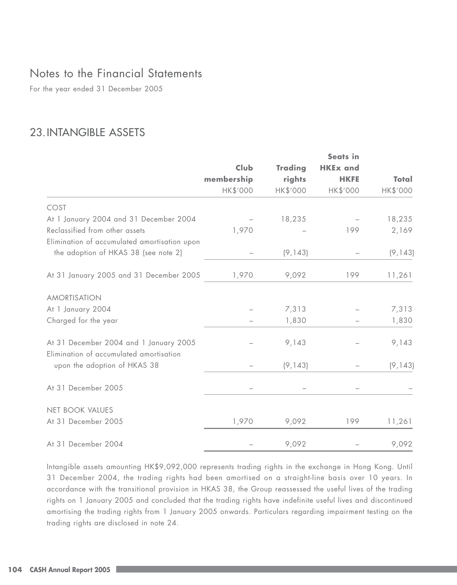For the year ended 31 December 2005

## 23.INTANGIBLE ASSETS

|                                                                                   | Club<br>membership<br>HK\$'000 | <b>Trading</b><br>rights<br>HK\$'000 | <b>Seats in</b><br><b>HKEx and</b><br><b>HKFE</b><br>HK\$'000 | <b>Total</b><br>HK\$'000 |
|-----------------------------------------------------------------------------------|--------------------------------|--------------------------------------|---------------------------------------------------------------|--------------------------|
| COST                                                                              |                                |                                      |                                                               |                          |
| At 1 January 2004 and 31 December 2004                                            |                                | 18,235                               |                                                               | 18,235                   |
| Reclassified from other assets                                                    | 1,970                          |                                      | 199                                                           | 2,169                    |
| Elimination of accumulated amortisation upon                                      |                                |                                      |                                                               |                          |
| the adoption of HKAS 38 (see note 2)                                              |                                | (9, 143)                             |                                                               | (9, 143)                 |
| At 31 January 2005 and 31 December 2005                                           | 1,970                          | 9,092                                | 199                                                           | 11,261                   |
| <b>AMORTISATION</b>                                                               |                                |                                      |                                                               |                          |
| At 1 January 2004                                                                 |                                | 7,313                                |                                                               | 7,313                    |
| Charged for the year                                                              |                                | 1,830                                |                                                               | 1,830                    |
| At 31 December 2004 and 1 January 2005<br>Elimination of accumulated amortisation |                                | 9,143                                |                                                               | 9,143                    |
| upon the adoption of HKAS 38                                                      |                                | (9, 143)                             |                                                               | (9, 143)                 |
| At 31 December 2005                                                               |                                |                                      |                                                               |                          |
| <b>NET BOOK VALUES</b>                                                            |                                |                                      |                                                               |                          |
| At 31 December 2005                                                               | 1,970                          | 9,092                                | 199                                                           | 11,261                   |
| At 31 December 2004                                                               |                                | 9,092                                |                                                               | 9,092                    |

Intangible assets amounting HK\$9,092,000 represents trading rights in the exchange in Hong Kong. Until 31 December 2004, the trading rights had been amortised on a straight-line basis over 10 years. In accordance with the transitional provision in HKAS 38, the Group reassessed the useful lives of the trading rights on 1 January 2005 and concluded that the trading rights have indefinite useful lives and discontinued amortising the trading rights from 1 January 2005 onwards. Particulars regarding impairment testing on the trading rights are disclosed in note 24.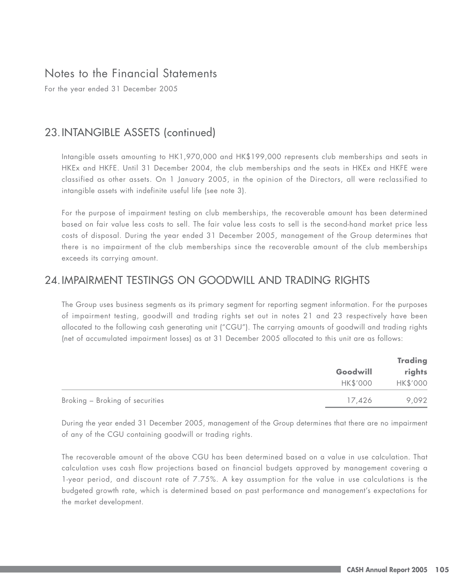For the year ended 31 December 2005

## 23.INTANGIBLE ASSETS (continued)

Intangible assets amounting to HK1,970,000 and HK\$199,000 represents club memberships and seats in HKEx and HKFE. Until 31 December 2004, the club memberships and the seats in HKEx and HKFE were classified as other assets. On 1 January 2005, in the opinion of the Directors, all were reclassified to intangible assets with indefinite useful life (see note 3).

For the purpose of impairment testing on club memberships, the recoverable amount has been determined based on fair value less costs to sell. The fair value less costs to sell is the second-hand market price less costs of disposal. During the year ended 31 December 2005, management of the Group determines that there is no impairment of the club memberships since the recoverable amount of the club memberships exceeds its carrying amount.

## 24.IMPAIRMENT TESTINGS ON GOODWILL AND TRADING RIGHTS

The Group uses business segments as its primary segment for reporting segment information. For the purposes of impairment testing, goodwill and trading rights set out in notes 21 and 23 respectively have been allocated to the following cash generating unit ("CGU"). The carrying amounts of goodwill and trading rights (net of accumulated impairment losses) as at 31 December 2005 allocated to this unit are as follows:

|                                 |          | <b>Trading</b>     |
|---------------------------------|----------|--------------------|
|                                 | Goodwill | rights<br>HK\$'000 |
|                                 | HK\$'000 |                    |
| Broking - Broking of securities | 17.426   | 9,092              |

During the year ended 31 December 2005, management of the Group determines that there are no impairment of any of the CGU containing goodwill or trading rights.

The recoverable amount of the above CGU has been determined based on a value in use calculation. That calculation uses cash flow projections based on financial budgets approved by management covering a 1-year period, and discount rate of 7.75%. A key assumption for the value in use calculations is the budgeted growth rate, which is determined based on past performance and management's expectations for the market development.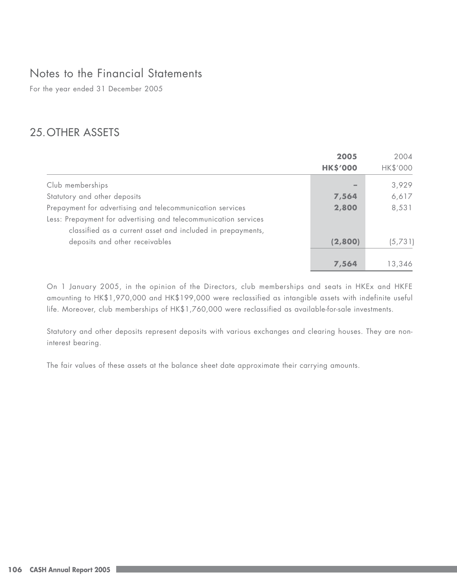For the year ended 31 December 2005

## 25.OTHER ASSETS

|                                                                                                                               | 2005            | 2004<br>HK\$'000 |
|-------------------------------------------------------------------------------------------------------------------------------|-----------------|------------------|
|                                                                                                                               | <b>HK\$'000</b> |                  |
| Club memberships                                                                                                              |                 | 3,929            |
| Statutory and other deposits                                                                                                  | 7,564           | 6,617            |
| Prepayment for advertising and telecommunication services                                                                     | 2,800           | 8,531            |
| Less: Prepayment for advertising and telecommunication services<br>classified as a current asset and included in prepayments, |                 |                  |
| deposits and other receivables                                                                                                | (2,800)         | (5,731)          |
|                                                                                                                               |                 |                  |
|                                                                                                                               | 7,564           | 13,346           |

On 1 January 2005, in the opinion of the Directors, club memberships and seats in HKEx and HKFE amounting to HK\$1,970,000 and HK\$199,000 were reclassified as intangible assets with indefinite useful life. Moreover, club memberships of HK\$1,760,000 were reclassified as available-for-sale investments.

Statutory and other deposits represent deposits with various exchanges and clearing houses. They are noninterest bearing.

The fair values of these assets at the balance sheet date approximate their carrying amounts.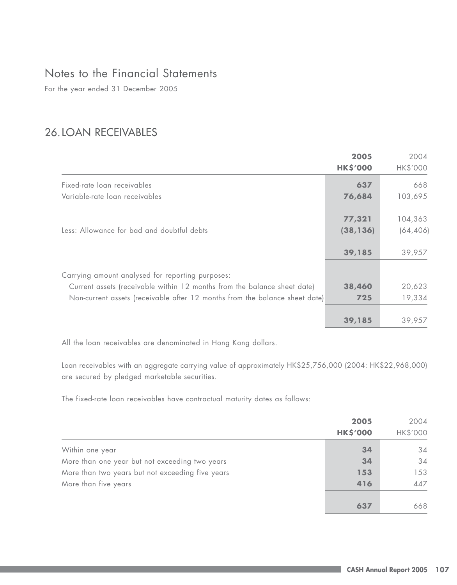For the year ended 31 December 2005

## 26.LOAN RECEIVABLES

|                                                                             | 2005            | 2004      |
|-----------------------------------------------------------------------------|-----------------|-----------|
|                                                                             | <b>HK\$'000</b> | HK\$'000  |
| Fixed-rate loan receivables                                                 | 637             | 668       |
| Variable-rate loan receivables                                              | 76,684          | 103,695   |
|                                                                             |                 |           |
|                                                                             | 77,321          | 104,363   |
| Less: Allowance for bad and doubtful debts                                  | (38, 136)       | (64, 406) |
|                                                                             |                 |           |
|                                                                             | 39,185          | 39,957    |
| Carrying amount analysed for reporting purposes:                            |                 |           |
| Current assets (receivable within 12 months from the balance sheet date)    | 38,460          | 20,623    |
| Non-current assets (receivable after 12 months from the balance sheet date) | 725             | 19,334    |
|                                                                             |                 |           |
|                                                                             | 39,185          | 39,957    |

All the loan receivables are denominated in Hong Kong dollars.

Loan receivables with an aggregate carrying value of approximately HK\$25,756,000 (2004: HK\$22,968,000) are secured by pledged marketable securities.

The fixed-rate loan receivables have contractual maturity dates as follows:

| 2005 | 2004<br>HK\$'000                   |
|------|------------------------------------|
|      | 34                                 |
|      |                                    |
|      | 34                                 |
| 153  | 153                                |
| 416  | 447                                |
|      | 668                                |
|      | <b>HK\$'000</b><br>34<br>34<br>637 |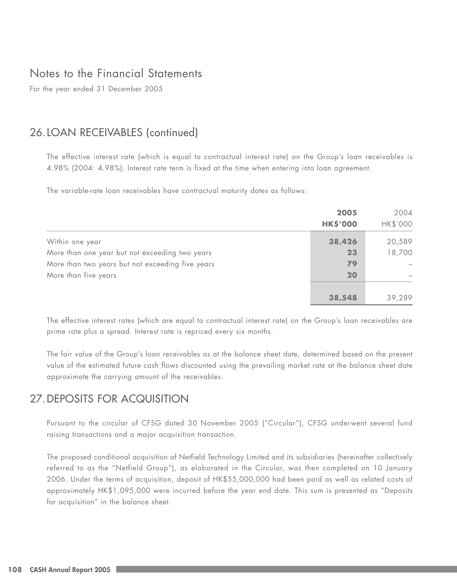For the year ended 31 December 2005

### 26.LOAN RECEIVABLES (continued)

The effective interest rate (which is equal to contractual interest rate) on the Group's loan receivables is 4.98% (2004: 4.98%). Interest rate term is fixed at the time when entering into loan agreement.

The variable-rate loan receivables have contractual maturity dates as follows:

|                                                  | 2005            | 2004     |
|--------------------------------------------------|-----------------|----------|
|                                                  | <b>HK\$'000</b> | HK\$'000 |
| Within one year                                  | 38,426          | 20,589   |
| More than one year but not exceeding two years   | 23              | 18,700   |
| More than two years but not exceeding five years | 79              |          |
| More than five years                             | 20              |          |
|                                                  |                 |          |
|                                                  | 38,548          | 39,289   |

The effective interest rates (which are equal to contractual interest rate) on the Group's loan receivables are prime rate plus a spread. Interest rate is repriced every six months.

The fair value of the Group's loan receivables as at the balance sheet date, determined based on the present value of the estimated future cash flows discounted using the prevailing market rate at the balance sheet date approximate the carrying amount of the receivables.

# 27.DEPOSITS FOR ACQUISITION

Pursuant to the circular of CFSG dated 30 November 2005 ("Circular"), CFSG underwent several fund raising transactions and a major acquisition transaction.

The proposed conditional acquisition of Netfield Technology Limited and its subsidiaries (hereinafter collectively referred to as the "Netfield Group"), as elaborated in the Circular, was then completed on 10 January 2006. Under the terms of acquisition, deposit of HK\$55,000,000 had been paid as well as related costs of approximately HK\$1,095,000 were incurred before the year end date. This sum is presented as "Deposits for acquisition" in the balance sheet.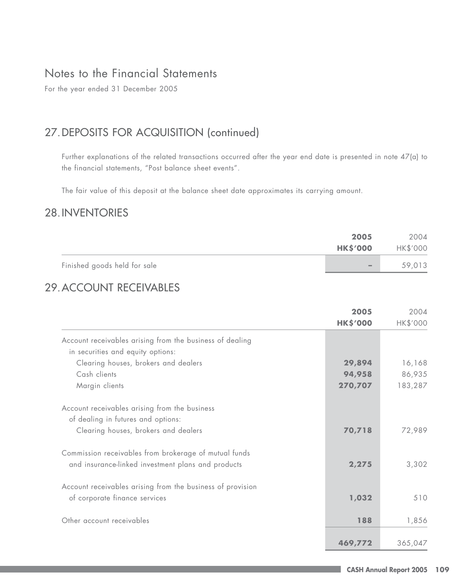For the year ended 31 December 2005

# 27.DEPOSITS FOR ACQUISITION (continued)

Further explanations of the related transactions occurred after the year end date is presented in note 47(a) to the financial statements, "Post balance sheet events".

The fair value of this deposit at the balance sheet date approximates its carrying amount.

### 28.INVENTORIES

|                              | 2005            |          |
|------------------------------|-----------------|----------|
|                              | <b>HK\$'000</b> | HK\$'000 |
| Finished goods held for sale | $\equiv$        | 59,013   |

# 29.ACCOUNT RECEIVABLES

|                                                            | 2005            | 2004     |
|------------------------------------------------------------|-----------------|----------|
|                                                            | <b>HK\$'000</b> | HK\$'000 |
| Account receivables arising from the business of dealing   |                 |          |
| in securities and equity options:                          |                 |          |
| Clearing houses, brokers and dealers                       | 29,894          | 16,168   |
| Cash clients                                               | 94,958          | 86,935   |
| Margin clients                                             | 270,707         | 183,287  |
| Account receivables arising from the business              |                 |          |
| of dealing in futures and options:                         |                 |          |
| Clearing houses, brokers and dealers                       | 70,718          | 72,989   |
| Commission receivables from brokerage of mutual funds      |                 |          |
| and insurance-linked investment plans and products         | 2,275           | 3,302    |
| Account receivables arising from the business of provision |                 |          |
| of corporate finance services                              | 1,032           | 510      |
| Other account receivables                                  | 188             | 1,856    |
|                                                            |                 |          |
|                                                            | 469,772         | 365,047  |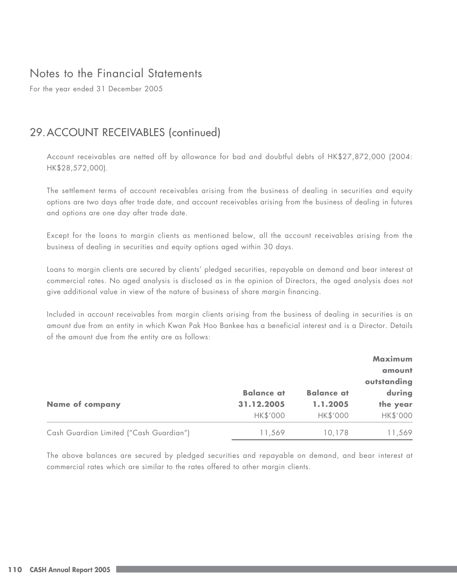For the year ended 31 December 2005

# 29.ACCOUNT RECEIVABLES (continued)

Account receivables are netted off by allowance for bad and doubtful debts of HK\$27,872,000 (2004: HK\$28,572,000).

The settlement terms of account receivables arising from the business of dealing in securities and equity options are two days after trade date, and account receivables arising from the business of dealing in futures and options are one day after trade date.

Except for the loans to margin clients as mentioned below, all the account receivables arising from the business of dealing in securities and equity options aged within 30 days.

Loans to margin clients are secured by clients' pledged securities, repayable on demand and bear interest at commercial rates. No aged analysis is disclosed as in the opinion of Directors, the aged analysis does not give additional value in view of the nature of business of share margin financing.

Included in account receivables from margin clients arising from the business of dealing in securities is an amount due from an entity in which Kwan Pak Hoo Bankee has a beneficial interest and is a Director. Details of the amount due from the entity are as follows:

|                                         |                   |                   | <b>Maximum</b><br>amount<br>outstanding |
|-----------------------------------------|-------------------|-------------------|-----------------------------------------|
|                                         | <b>Balance at</b> | <b>Balance at</b> | during                                  |
| <b>Name of company</b>                  | 31.12.2005        | 1.1.2005          | the year                                |
|                                         | HK\$'000          | HK\$'000          | HK\$'000                                |
| Cash Guardian Limited ("Cash Guardian") | 11,569            | 10.178            | 11,569                                  |

The above balances are secured by pledged securities and repayable on demand, and bear interest at commercial rates which are similar to the rates offered to other margin clients.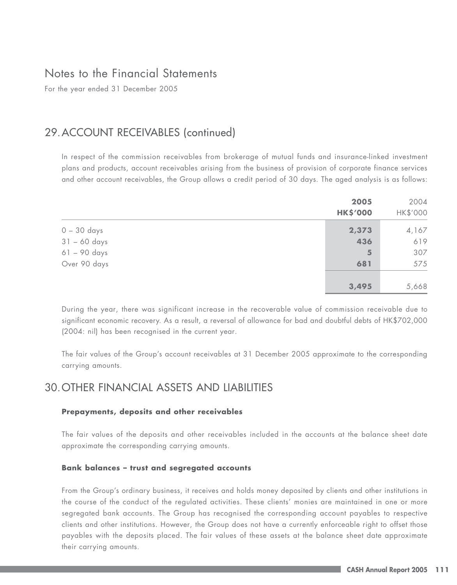For the year ended 31 December 2005

# 29.ACCOUNT RECEIVABLES (continued)

In respect of the commission receivables from brokerage of mutual funds and insurance-linked investment plans and products, account receivables arising from the business of provision of corporate finance services and other account receivables, the Group allows a credit period of 30 days. The aged analysis is as follows:

|                | 2005<br><b>HK\$'000</b> | 2004<br>HK\$'000 |
|----------------|-------------------------|------------------|
| $0 - 30$ days  | 2,373                   | 4,167            |
| $31 - 60$ days | 436                     | 619              |
| $61 - 90$ days | 5                       | 307              |
| Over 90 days   | 681                     | 575              |
|                | 3,495                   | 5,668            |

During the year, there was significant increase in the recoverable value of commission receivable due to significant economic recovery. As a result, a reversal of allowance for bad and doubtful debts of HK\$702,000 (2004: nil) has been recognised in the current year.

The fair values of the Group's account receivables at 31 December 2005 approximate to the corresponding carrying amounts.

### 30.OTHER FINANCIAL ASSETS AND LIABILITIES

#### **Prepayments, deposits and other receivables**

The fair values of the deposits and other receivables included in the accounts at the balance sheet date approximate the corresponding carrying amounts.

#### **Bank balances – trust and segregated accounts**

From the Group's ordinary business, it receives and holds money deposited by clients and other institutions in the course of the conduct of the regulated activities. These clients' monies are maintained in one or more segregated bank accounts. The Group has recognised the corresponding account payables to respective clients and other institutions. However, the Group does not have a currently enforceable right to offset those payables with the deposits placed. The fair values of these assets at the balance sheet date approximate their carrying amounts.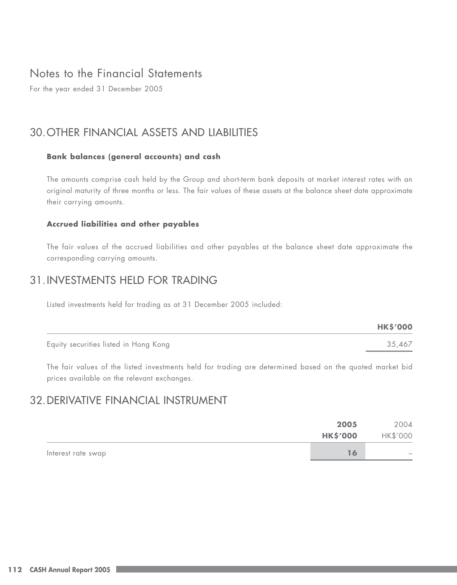For the year ended 31 December 2005

### 30.OTHER FINANCIAL ASSETS AND LIABILITIES

#### **Bank balances (general accounts) and cash**

The amounts comprise cash held by the Group and short-term bank deposits at market interest rates with an original maturity of three months or less. The fair values of these assets at the balance sheet date approximate their carrying amounts.

#### **Accrued liabilities and other payables**

The fair values of the accrued liabilities and other payables at the balance sheet date approximate the corresponding carrying amounts.

### 31.INVESTMENTS HELD FOR TRADING

Listed investments held for trading as at 31 December 2005 included:

|                                       | <b>HK\$'000</b> |
|---------------------------------------|-----------------|
| Equity securities listed in Hong Kong | 35,467          |

The fair values of the listed investments held for trading are determined based on the quoted market bid prices available on the relevant exchanges.

# 32.DERIVATIVE FINANCIAL INSTRUMENT

|                    | 2005<br><b>HK\$'000</b> | 2004<br>HK\$'000 |
|--------------------|-------------------------|------------------|
| Interest rate swap | 16                      |                  |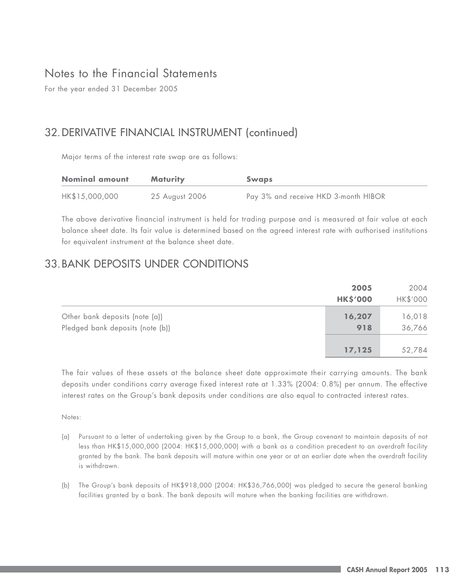For the year ended 31 December 2005

# 32.DERIVATIVE FINANCIAL INSTRUMENT (continued)

Major terms of the interest rate swap are as follows:

| Nominal amount | <b>Maturity</b> | <b>Swaps</b>                         |
|----------------|-----------------|--------------------------------------|
| HK\$15,000,000 | 25 August 2006  | Pay 3% and receive HKD 3-month HIBOR |

The above derivative financial instrument is held for trading purpose and is measured at fair value at each balance sheet date. Its fair value is determined based on the agreed interest rate with authorised institutions for equivalent instrument at the balance sheet date.

### 33.BANK DEPOSITS UNDER CONDITIONS

|                                                                    | 2005            | 2004             |
|--------------------------------------------------------------------|-----------------|------------------|
|                                                                    | <b>HK\$'000</b> | HK\$'000         |
| Other bank deposits (note (a))<br>Pledged bank deposits (note (b)) | 16,207<br>918   | 16,018<br>36,766 |
|                                                                    | 17,125          | 52,784           |

The fair values of these assets at the balance sheet date approximate their carrying amounts. The bank deposits under conditions carry average fixed interest rate at 1.33% (2004: 0.8%) per annum. The effective interest rates on the Group's bank deposits under conditions are also equal to contracted interest rates.

Notes:

- (a) Pursuant to a letter of undertaking given by the Group to a bank, the Group covenant to maintain deposits of not less than HK\$15,000,000 (2004: HK\$15,000,000) with a bank as a condition precedent to an overdraft facility granted by the bank. The bank deposits will mature within one year or at an earlier date when the overdraft facility is withdrawn.
- (b) The Group's bank deposits of HK\$918,000 (2004: HK\$36,766,000) was pledged to secure the general banking facilities granted by a bank. The bank deposits will mature when the banking facilities are withdrawn.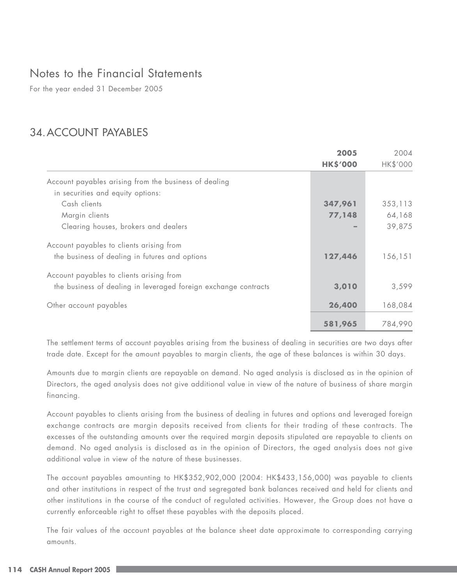For the year ended 31 December 2005

# 34.ACCOUNT PAYABLES

|                                                                 | 2005            | 2004     |
|-----------------------------------------------------------------|-----------------|----------|
|                                                                 | <b>HK\$'000</b> | HK\$'000 |
| Account payables arising from the business of dealing           |                 |          |
| in securities and equity options:                               |                 |          |
| Cash clients                                                    | 347,961         | 353,113  |
| Margin clients                                                  | 77,148          | 64,168   |
| Clearing houses, brokers and dealers                            |                 | 39,875   |
| Account payables to clients arising from                        |                 |          |
| the business of dealing in futures and options                  | 127,446         | 156,151  |
| Account payables to clients arising from                        |                 |          |
| the business of dealing in leveraged foreign exchange contracts | 3,010           | 3,599    |
| Other account payables                                          | 26,400          | 168,084  |
|                                                                 | 581,965         | 784,990  |

The settlement terms of account payables arising from the business of dealing in securities are two days after trade date. Except for the amount payables to margin clients, the age of these balances is within 30 days.

Amounts due to margin clients are repayable on demand. No aged analysis is disclosed as in the opinion of Directors, the aged analysis does not give additional value in view of the nature of business of share margin financing.

Account payables to clients arising from the business of dealing in futures and options and leveraged foreign exchange contracts are margin deposits received from clients for their trading of these contracts. The excesses of the outstanding amounts over the required margin deposits stipulated are repayable to clients on demand. No aged analysis is disclosed as in the opinion of Directors, the aged analysis does not give additional value in view of the nature of these businesses.

The account payables amounting to HK\$352,902,000 (2004: HK\$433,156,000) was payable to clients and other institutions in respect of the trust and segregated bank balances received and held for clients and other institutions in the course of the conduct of regulated activities. However, the Group does not have a currently enforceable right to offset these payables with the deposits placed.

The fair values of the account payables at the balance sheet date approximate to corresponding carrying amounts.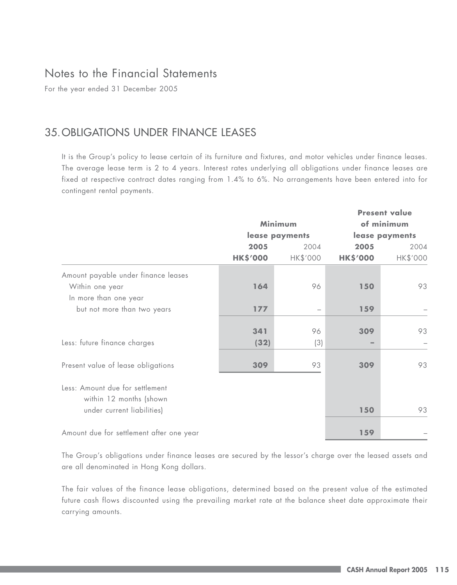For the year ended 31 December 2005

### 35.OBLIGATIONS UNDER FINANCE LEASES

It is the Group's policy to lease certain of its furniture and fixtures, and motor vehicles under finance leases. The average lease term is 2 to 4 years. Interest rates underlying all obligations under finance leases are fixed at respective contract dates ranging from 1.4% to 6%. No arrangements have been entered into for contingent rental payments.

|                                                            |                 |                |                 | <b>Present value</b> |
|------------------------------------------------------------|-----------------|----------------|-----------------|----------------------|
|                                                            | Minimum         |                | of minimum      |                      |
|                                                            |                 | lease payments | lease payments  |                      |
|                                                            | 2005            | 2004           | 2005            | 2004                 |
|                                                            | <b>HK\$'000</b> | HK\$'000       | <b>HK\$'000</b> | HK\$'000             |
| Amount payable under finance leases                        |                 |                |                 |                      |
| Within one year                                            | 164             | 96             | 150             | 93                   |
| In more than one year                                      |                 |                |                 |                      |
| but not more than two years                                | 177             |                | 159             |                      |
|                                                            |                 |                |                 |                      |
|                                                            | 341             | 96             | 309             | 93                   |
| Less: future finance charges                               | (32)            | (3)            |                 |                      |
|                                                            |                 |                |                 |                      |
| Present value of lease obligations                         | 309             | 93             | 309             | 93                   |
| Less: Amount due for settlement<br>within 12 months (shown |                 |                |                 |                      |
| under current liabilities)                                 |                 |                | 150             | 93                   |
| Amount due for settlement after one year                   |                 |                | 159             |                      |

The Group's obligations under finance leases are secured by the lessor's charge over the leased assets and are all denominated in Hong Kong dollars.

The fair values of the finance lease obligations, determined based on the present value of the estimated future cash flows discounted using the prevailing market rate at the balance sheet date approximate their carrying amounts.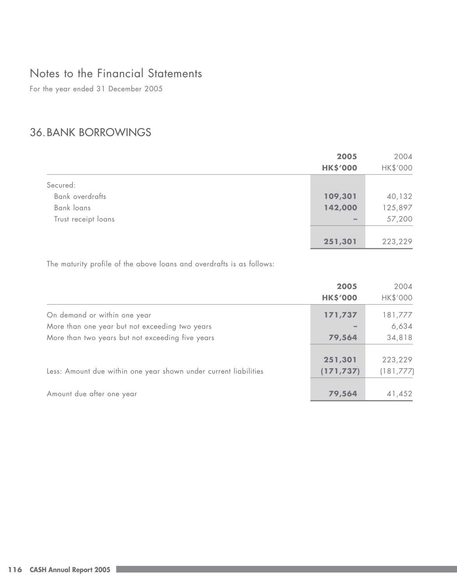For the year ended 31 December 2005

# 36.BANK BORROWINGS

|                     | 2005            | 2004     |
|---------------------|-----------------|----------|
|                     | <b>HK\$'000</b> | HK\$'000 |
| Secured:            |                 |          |
| Bank overdrafts     | 109,301         | 40,132   |
| Bank loans          | 142,000         | 125,897  |
| Trust receipt loans | $\equiv$        | 57,200   |
|                     |                 |          |
|                     | 251,301         | 223,229  |

The maturity profile of the above loans and overdrafts is as follows:

|                                                                  | 2005            | 2004       |
|------------------------------------------------------------------|-----------------|------------|
|                                                                  | <b>HK\$'000</b> | HK\$'000   |
| On demand or within one year                                     | 171,737         | 181,777    |
| More than one year but not exceeding two years                   |                 | 6,634      |
| More than two years but not exceeding five years                 | 79,564          | 34,818     |
|                                                                  |                 |            |
|                                                                  | 251,301         | 223,229    |
| Less: Amount due within one year shown under current liabilities | (171, 737)      | (181, 777) |
|                                                                  |                 |            |
| Amount due after one year                                        | 79,564          | 41,452     |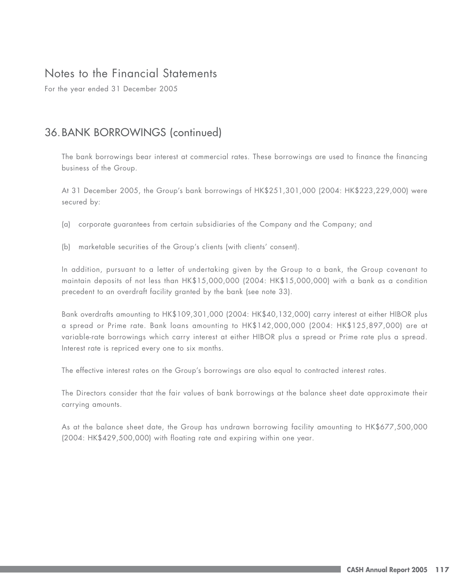For the year ended 31 December 2005

# 36.BANK BORROWINGS (continued)

The bank borrowings bear interest at commercial rates. These borrowings are used to finance the financing business of the Group.

At 31 December 2005, the Group's bank borrowings of HK\$251,301,000 (2004: HK\$223,229,000) were secured by:

- (a) corporate guarantees from certain subsidiaries of the Company and the Company; and
- (b) marketable securities of the Group's clients (with clients' consent).

In addition, pursuant to a letter of undertaking given by the Group to a bank, the Group covenant to maintain deposits of not less than HK\$15,000,000 (2004: HK\$15,000,000) with a bank as a condition precedent to an overdraft facility granted by the bank (see note 33).

Bank overdrafts amounting to HK\$109,301,000 (2004: HK\$40,132,000) carry interest at either HIBOR plus a spread or Prime rate. Bank loans amounting to HK\$142,000,000 (2004: HK\$125,897,000) are at variable-rate borrowings which carry interest at either HIBOR plus a spread or Prime rate plus a spread. Interest rate is repriced every one to six months.

The effective interest rates on the Group's borrowings are also equal to contracted interest rates.

The Directors consider that the fair values of bank borrowings at the balance sheet date approximate their carrying amounts.

As at the balance sheet date, the Group has undrawn borrowing facility amounting to HK\$677,500,000 (2004: HK\$429,500,000) with floating rate and expiring within one year.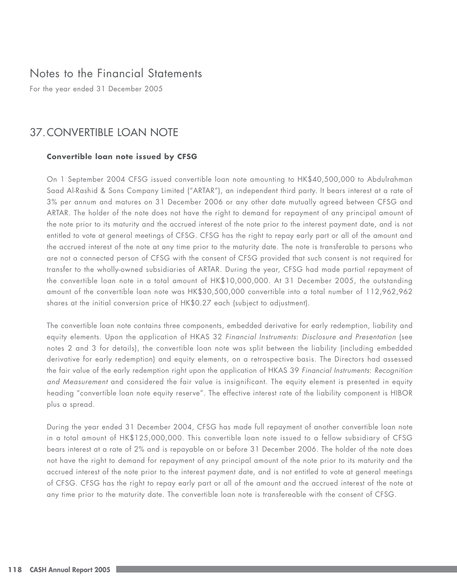For the year ended 31 December 2005

### 37.CONVERTIBLE LOAN NOTE

#### **Convertible loan note issued by CFSG**

On 1 September 2004 CFSG issued convertible loan note amounting to HK\$40,500,000 to Abdulrahman Saad Al-Rashid & Sons Company Limited ("ARTAR"), an independent third party. It bears interest at a rate of 3% per annum and matures on 31 December 2006 or any other date mutually agreed between CFSG and ARTAR. The holder of the note does not have the right to demand for repayment of any principal amount of the note prior to its maturity and the accrued interest of the note prior to the interest payment date, and is not entitled to vote at general meetings of CFSG. CFSG has the right to repay early part or all of the amount and the accrued interest of the note at any time prior to the maturity date. The note is transferable to persons who are not a connected person of CFSG with the consent of CFSG provided that such consent is not required for transfer to the wholly-owned subsidiaries of ARTAR. During the year, CFSG had made partial repayment of the convertible loan note in a total amount of HK\$10,000,000. At 31 December 2005, the outstanding amount of the convertible loan note was HK\$30,500,000 convertible into a total number of 112,962,962 shares at the initial conversion price of HK\$0.27 each (subject to adjustment).

The convertible loan note contains three components, embedded derivative for early redemption, liability and equity elements. Upon the application of HKAS 32 Financial Instruments: Disclosure and Presentation (see notes 2 and 3 for details), the convertible loan note was split between the liability (including embedded derivative for early redemption) and equity elements, on a retrospective basis. The Directors had assessed the fair value of the early redemption right upon the application of HKAS 39 Financial Instruments: Recognition and Measurement and considered the fair value is insignificant. The equity element is presented in equity heading "convertible loan note equity reserve". The effective interest rate of the liability component is HIBOR plus a spread.

During the year ended 31 December 2004, CFSG has made full repayment of another convertible loan note in a total amount of HK\$125,000,000. This convertible loan note issued to a fellow subsidiary of CFSG bears interest at a rate of 2% and is repayable on or before 31 December 2006. The holder of the note does not have the right to demand for repayment of any principal amount of the note prior to its maturity and the accrued interest of the note prior to the interest payment date, and is not entitled to vote at general meetings of CFSG. CFSG has the right to repay early part or all of the amount and the accrued interest of the note at any time prior to the maturity date. The convertible loan note is transfereable with the consent of CFSG.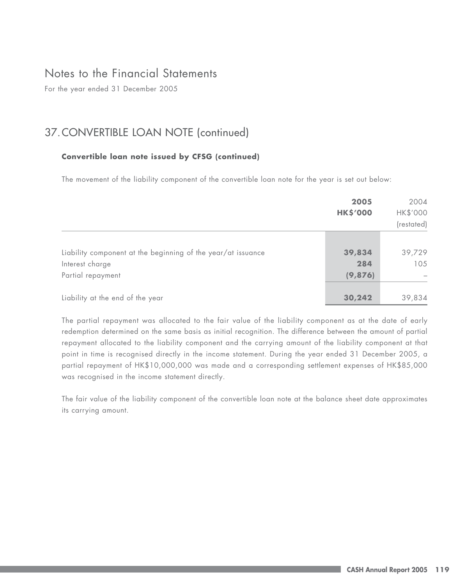For the year ended 31 December 2005

# 37.CONVERTIBLE LOAN NOTE (continued)

#### **Convertible loan note issued by CFSG (continued)**

The movement of the liability component of the convertible loan note for the year is set out below:

|                                                              | 2005<br><b>HK\$'000</b> | 2004<br>HK\$'000<br>(restated) |
|--------------------------------------------------------------|-------------------------|--------------------------------|
|                                                              |                         |                                |
| Liability component at the beginning of the year/at issuance | 39,834                  | 39,729                         |
| Interest charge                                              | 284                     | 105                            |
| Partial repayment                                            | (9,876)                 |                                |
|                                                              |                         |                                |
| Liability at the end of the year                             | 30,242                  | 39,834                         |

The partial repayment was allocated to the fair value of the liability component as at the date of early redemption determined on the same basis as initial recognition. The difference between the amount of partial repayment allocated to the liability component and the carrying amount of the liability component at that point in time is recognised directly in the income statement. During the year ended 31 December 2005, a partial repayment of HK\$10,000,000 was made and a corresponding settlement expenses of HK\$85,000 was recognised in the income statement directly.

The fair value of the liability component of the convertible loan note at the balance sheet date approximates its carrying amount.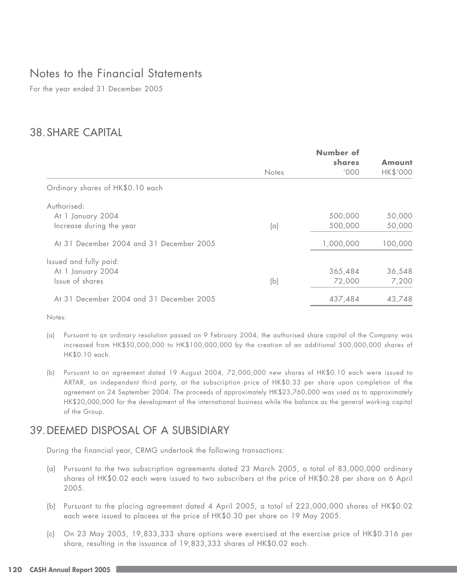For the year ended 31 December 2005

### 38.SHARE CAPITAL

|                                          |              | Number of |               |
|------------------------------------------|--------------|-----------|---------------|
|                                          |              | shares    | <b>Amount</b> |
|                                          | <b>Notes</b> | '000      | HK\$'000      |
| Ordinary shares of HK\$0.10 each         |              |           |               |
| Authorised:                              |              |           |               |
| At 1 January 2004                        |              | 500,000   | 50,000        |
| Increase during the year                 | (a)          | 500,000   | 50,000        |
| At 31 December 2004 and 31 December 2005 |              | 1,000,000 | 100,000       |
| Issued and fully paid:                   |              |           |               |
| At 1 January 2004                        |              | 365,484   | 36,548        |
| Issue of shares                          | (b)          | 72,000    | 7,200         |
| At 31 December 2004 and 31 December 2005 |              | 437,484   | 43,748        |

Notes:

- (a) Pursuant to an ordinary resolution passed on 9 February 2004, the authorised share capital of the Company was increased from HK\$50,000,000 to HK\$100,000,000 by the creation of an additional 500,000,000 shares of HK\$0.10 each.
- (b) Pursuant to an agreement dated 19 August 2004, 72,000,000 new shares of HK\$0.10 each were issued to ARTAR, an independent third party, at the subscription price of HK\$0.33 per share upon completion of the agreement on 24 September 2004. The proceeds of approximately HK\$23,760,000 was used as to approximately HK\$20,000,000 for the development of the international business while the balance as the general working capital of the Group.

### 39.DEEMED DISPOSAL OF A SUBSIDIARY

During the financial year, CRMG undertook the following transactions:

- (a) Pursuant to the two subscription agreements dated 23 March 2005, a total of 83,000,000 ordinary shares of HK\$0.02 each were issued to two subscribers at the price of HK\$0.28 per share on 6 April 2005.
- (b) Pursuant to the placing agreement dated 4 April 2005, a total of 223,000,000 shares of HK\$0.02 each were issued to placees at the price of HK\$0.30 per share on 19 May 2005.
- (c) On 23 May 2005, 19,833,333 share options were exercised at the exercise price of HK\$0.316 per share, resulting in the issuance of 19,833,333 shares of HK\$0.02 each.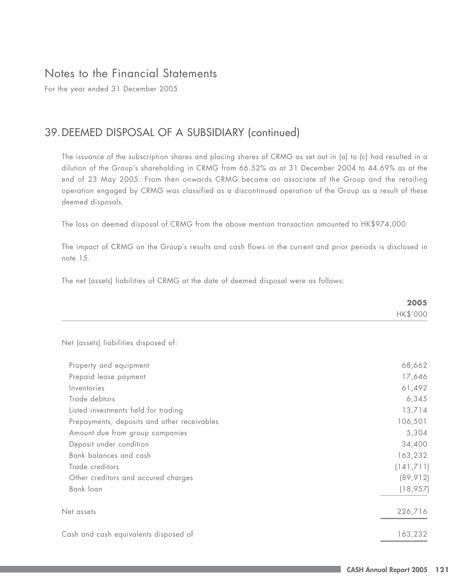For the year ended 31 December 2005

### 39.DEEMED DISPOSAL OF A SUBSIDIARY (continued)

The issuance of the subscription shares and placing shares of CRMG as set out in (a) to (c) had resulted in a dilution of the Group's shareholding in CRMG from 66.52% as at 31 December 2004 to 44.69% as at the end of 23 May 2005. From then onwards CRMG became an associate of the Group and the retailing operation engaged by CRMG was classified as a discontinued operation of the Group as a result of these deemed disposals.

The loss on deemed disposal of CRMG from the above mention transaction amounted to HK\$974,000.

The impact of CRMG on the Group's results and cash flows in the current and prior periods is disclosed in note 15.

The net (assets) liabilities of CRMG at the date of deemed disposal were as follows:

|                                             | 2005       |
|---------------------------------------------|------------|
|                                             | HK\$'000   |
| Net (assets) liabilities disposed of:       |            |
| Property and equipment                      | 68,662     |
| Prepaid lease payment                       | 17,646     |
| Inventories                                 | 61,492     |
| Trade debtors                               | 6,345      |
| Listed investments held for trading         | 13,714     |
| Prepayments, deposits and other receivables | 106,501    |
| Amount due from group companies             | 5,304      |
| Deposit under condition                     | 34,400     |
| Bank balances and cash                      | 163,232    |
| Trade creditors                             | (141, 711) |
| Other creditors and accured charges         | (89, 912)  |
| Bank loan                                   | (18, 957)  |
| Net assets                                  | 226,716    |
| Cash and cash equivalents disposed of       | 163,232    |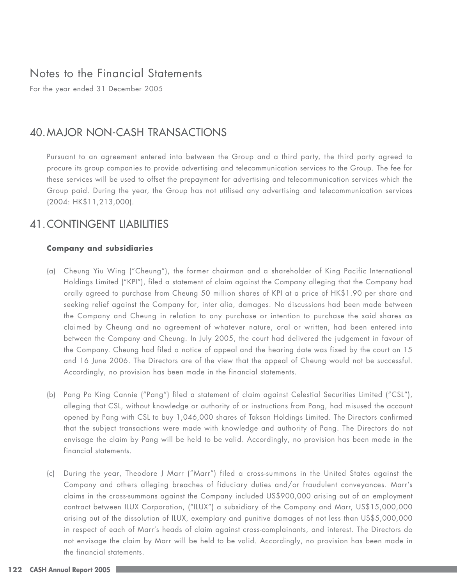For the year ended 31 December 2005

### 40.MAJOR NON-CASH TRANSACTIONS

Pursuant to an agreement entered into between the Group and a third party, the third party agreed to procure its group companies to provide advertising and telecommunication services to the Group. The fee for these services will be used to offset the prepayment for advertising and telecommunication services which the Group paid. During the year, the Group has not utilised any advertising and telecommunication services (2004: HK\$11,213,000).

### 41.CONTINGENT LIABILITIES

#### **Company and subsidiaries**

- (a) Cheung Yiu Wing ("Cheung"), the former chairman and a shareholder of King Pacific International Holdings Limited ("KPI"), filed a statement of claim against the Company alleging that the Company had orally agreed to purchase from Cheung 50 million shares of KPI at a price of HK\$1.90 per share and seeking relief against the Company for, inter alia, damages. No discussions had been made between the Company and Cheung in relation to any purchase or intention to purchase the said shares as claimed by Cheung and no agreement of whatever nature, oral or written, had been entered into between the Company and Cheung. In July 2005, the court had delivered the judgement in favour of the Company. Cheung had filed a notice of appeal and the hearing date was fixed by the court on 15 and 16 June 2006. The Directors are of the view that the appeal of Cheung would not be successful. Accordingly, no provision has been made in the financial statements.
- (b) Pang Po King Cannie ("Pang") filed a statement of claim against Celestial Securities Limited ("CSL"), alleging that CSL, without knowledge or authority of or instructions from Pang, had misused the account opened by Pang with CSL to buy 1,046,000 shares of Takson Holdings Limited. The Directors confirmed that the subject transactions were made with knowledge and authority of Pang. The Directors do not envisage the claim by Pang will be held to be valid. Accordingly, no provision has been made in the financial statements.
- (c) During the year, Theodore J Marr ("Marr") filed a cross-summons in the United States against the Company and others alleging breaches of fiduciary duties and/or fraudulent conveyances. Marr's claims in the cross-summons against the Company included US\$900,000 arising out of an employment contract between ILUX Corporation, ("ILUX") a subsidiary of the Company and Marr, US\$15,000,000 arising out of the dissolution of ILUX, exemplary and punitive damages of not less than US\$5,000,000 in respect of each of Marr's heads of claim against cross-complainants, and interest. The Directors do not envisage the claim by Marr will be held to be valid. Accordingly, no provision has been made in the financial statements.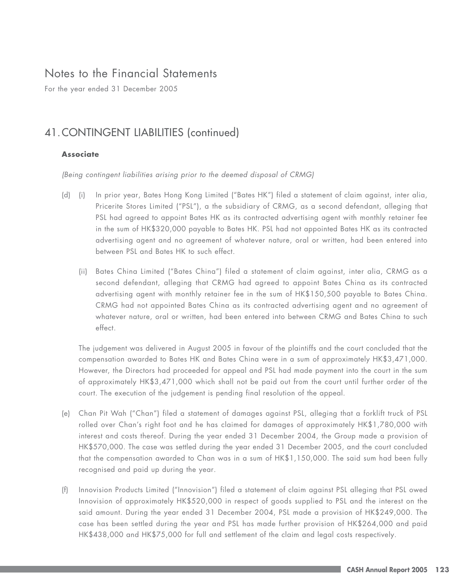For the year ended 31 December 2005

# 41.CONTINGENT LIABILITIES (continued)

#### **Associate**

(Being contingent liabilities arising prior to the deemed disposal of CRMG)

- (d) (i) In prior year, Bates Hong Kong Limited ("Bates HK") filed a statement of claim against, inter alia, Pricerite Stores Limited ("PSL"), a the subsidiary of CRMG, as a second defendant, alleging that PSL had agreed to appoint Bates HK as its contracted advertising agent with monthly retainer fee in the sum of HK\$320,000 payable to Bates HK. PSL had not appointed Bates HK as its contracted advertising agent and no agreement of whatever nature, oral or written, had been entered into between PSL and Bates HK to such effect.
	- (ii) Bates China Limited ("Bates China") filed a statement of claim against, inter alia, CRMG as a second defendant, alleging that CRMG had agreed to appoint Bates China as its contracted advertising agent with monthly retainer fee in the sum of HK\$150,500 payable to Bates China. CRMG had not appointed Bates China as its contracted advertising agent and no agreement of whatever nature, oral or written, had been entered into between CRMG and Bates China to such effect.

The judgement was delivered in August 2005 in favour of the plaintiffs and the court concluded that the compensation awarded to Bates HK and Bates China were in a sum of approximately HK\$3,471,000. However, the Directors had proceeded for appeal and PSL had made payment into the court in the sum of approximately HK\$3,471,000 which shall not be paid out from the court until further order of the court. The execution of the judgement is pending final resolution of the appeal.

- (e) Chan Pit Wah ("Chan") filed a statement of damages against PSL, alleging that a forklift truck of PSL rolled over Chan's right foot and he has claimed for damages of approximately HK\$1,780,000 with interest and costs thereof. During the year ended 31 December 2004, the Group made a provision of HK\$570,000. The case was settled during the year ended 31 December 2005, and the court concluded that the compensation awarded to Chan was in a sum of HK\$1,150,000. The said sum had been fully recognised and paid up during the year.
- (f) Innovision Products Limited ("Innovision") filed a statement of claim against PSL alleging that PSL owed Innovision of approximately HK\$520,000 in respect of goods supplied to PSL and the interest on the said amount. During the year ended 31 December 2004, PSL made a provision of HK\$249,000. The case has been settled during the year and PSL has made further provision of HK\$264,000 and paid HK\$438,000 and HK\$75,000 for full and settlement of the claim and legal costs respectively.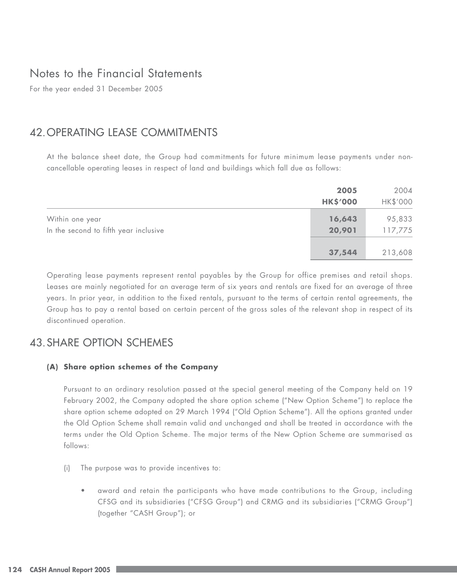For the year ended 31 December 2005

### 42.OPERATING LEASE COMMITMENTS

At the balance sheet date, the Group had commitments for future minimum lease payments under noncancellable operating leases in respect of land and buildings which fall due as follows:

|                                                          | 2005             | 2004              |
|----------------------------------------------------------|------------------|-------------------|
|                                                          | <b>HK\$'000</b>  | HK\$'000          |
| Within one year<br>In the second to fifth year inclusive | 16,643<br>20,901 | 95,833<br>117,775 |
|                                                          | 37,544           | 213,608           |

Operating lease payments represent rental payables by the Group for office premises and retail shops. Leases are mainly negotiated for an average term of six years and rentals are fixed for an average of three years. In prior year, in addition to the fixed rentals, pursuant to the terms of certain rental agreements, the Group has to pay a rental based on certain percent of the gross sales of the relevant shop in respect of its discontinued operation.

### 43.SHARE OPTION SCHEMES

#### **(A) Share option schemes of the Company**

Pursuant to an ordinary resolution passed at the special general meeting of the Company held on 19 February 2002, the Company adopted the share option scheme ("New Option Scheme") to replace the share option scheme adopted on 29 March 1994 ("Old Option Scheme"). All the options granted under the Old Option Scheme shall remain valid and unchanged and shall be treated in accordance with the terms under the Old Option Scheme. The major terms of the New Option Scheme are summarised as follows:

- (i) The purpose was to provide incentives to:
	- award and retain the participants who have made contributions to the Group, including CFSG and its subsidiaries ("CFSG Group") and CRMG and its subsidiaries ("CRMG Group") (together "CASH Group"); or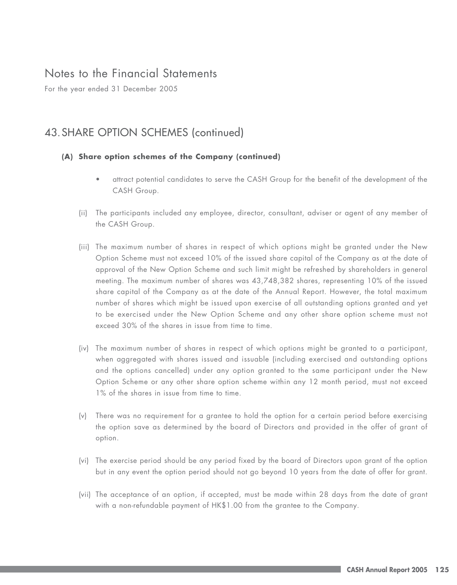For the year ended 31 December 2005

### 43.SHARE OPTION SCHEMES (continued)

#### **(A) Share option schemes of the Company (continued)**

- attract potential candidates to serve the CASH Group for the benefit of the development of the CASH Group.
- (ii) The participants included any employee, director, consultant, adviser or agent of any member of the CASH Group.
- (iii) The maximum number of shares in respect of which options might be granted under the New Option Scheme must not exceed 10% of the issued share capital of the Company as at the date of approval of the New Option Scheme and such limit might be refreshed by shareholders in general meeting. The maximum number of shares was 43,748,382 shares, representing 10% of the issued share capital of the Company as at the date of the Annual Report. However, the total maximum number of shares which might be issued upon exercise of all outstanding options granted and yet to be exercised under the New Option Scheme and any other share option scheme must not exceed 30% of the shares in issue from time to time.
- (iv) The maximum number of shares in respect of which options might be granted to a participant, when aggregated with shares issued and issuable (including exercised and outstanding options and the options cancelled) under any option granted to the same participant under the New Option Scheme or any other share option scheme within any 12 month period, must not exceed 1% of the shares in issue from time to time.
- (v) There was no requirement for a grantee to hold the option for a certain period before exercising the option save as determined by the board of Directors and provided in the offer of grant of option.
- (vi) The exercise period should be any period fixed by the board of Directors upon grant of the option but in any event the option period should not go beyond 10 years from the date of offer for grant.
- (vii) The acceptance of an option, if accepted, must be made within 28 days from the date of grant with a non-refundable payment of HK\$1.00 from the grantee to the Company.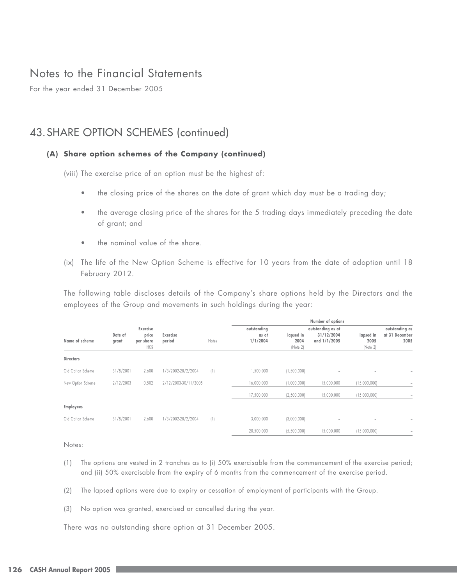For the year ended 31 December 2005

### 43.SHARE OPTION SCHEMES (continued)

#### **(A) Share option schemes of the Company (continued)**

(viii) The exercise price of an option must be the highest of:

- the closing price of the shares on the date of grant which day must be a trading day;
- the average closing price of the shares for the 5 trading days immediately preceding the date of grant; and
- the nominal value of the share.
- (ix) The life of the New Option Scheme is effective for 10 years from the date of adoption until 18 February 2012.

The following table discloses details of the Company's share options held by the Directors and the employees of the Group and movements in such holdings during the year:

|                   |                  |                                        |                      |       | Number of options                |                               |                                                 |                               |                                          |
|-------------------|------------------|----------------------------------------|----------------------|-------|----------------------------------|-------------------------------|-------------------------------------------------|-------------------------------|------------------------------------------|
| Name of scheme    | Date of<br>grant | Exercise<br>price<br>per share<br>HK\$ | Exercise<br>period   | Notes | outstanding<br>as at<br>1/1/2004 | lapsed in<br>2004<br>(Note 2) | outstanding as at<br>31/12/2004<br>and 1/1/2005 | lapsed in<br>2005<br>(Note 2) | outstanding as<br>at 31 December<br>2005 |
| <b>Directors</b>  |                  |                                        |                      |       |                                  |                               |                                                 |                               |                                          |
| Old Option Scheme | 31/8/2001        | 2.600                                  | 1/3/2002-28/2/2004   | (1)   | 1,500,000                        | (1,500,000)                   |                                                 |                               |                                          |
| New Option Scheme | 2/12/2003        | 0.502                                  | 2/12/2003-30/11/2005 |       | 16,000,000                       | (1,000,000)                   | 15,000,000                                      | (15,000,000)                  |                                          |
|                   |                  |                                        |                      |       | 17,500,000                       | (2,500,000)                   | 15,000,000                                      | (15,000,000)                  |                                          |
| <b>Employees</b>  |                  |                                        |                      |       |                                  |                               |                                                 |                               |                                          |
| Old Option Scheme | 31/8/2001        | 2.600                                  | 1/3/2002-28/2/2004   | (1)   | 3,000,000                        | (3,000,000)                   | $\overline{\phantom{a}}$                        | $\sim$                        |                                          |
|                   |                  |                                        |                      |       | 20,500,000                       | (5,500,000)                   | 15,000,000                                      | (15,000,000)                  |                                          |

Notes:

- (1) The options are vested in 2 tranches as to (i) 50% exercisable from the commencement of the exercise period; and (ii) 50% exercisable from the expiry of 6 months from the commencement of the exercise period.
- (2) The lapsed options were due to expiry or cessation of employment of participants with the Group.
- (3) No option was granted, exercised or cancelled during the year.

There was no outstanding share option at 31 December 2005.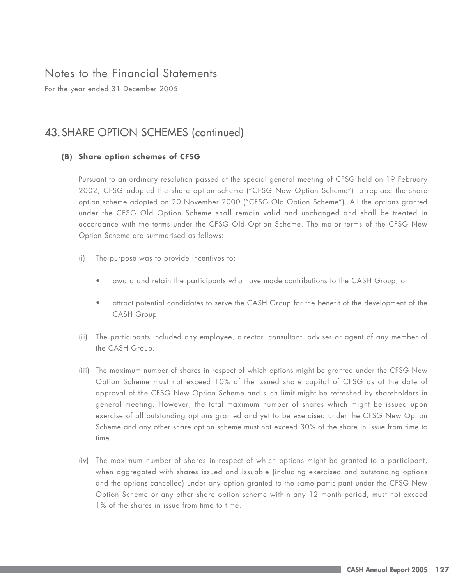For the year ended 31 December 2005

# 43.SHARE OPTION SCHEMES (continued)

#### **(B) Share option schemes of CFSG**

Pursuant to an ordinary resolution passed at the special general meeting of CFSG held on 19 February 2002, CFSG adopted the share option scheme ("CFSG New Option Scheme") to replace the share option scheme adopted on 20 November 2000 ("CFSG Old Option Scheme"). All the options granted under the CFSG Old Option Scheme shall remain valid and unchanged and shall be treated in accordance with the terms under the CFSG Old Option Scheme. The major terms of the CFSG New Option Scheme are summarised as follows:

- (i) The purpose was to provide incentives to:
	- award and retain the participants who have made contributions to the CASH Group; or
	- attract potential candidates to serve the CASH Group for the benefit of the development of the CASH Group.
- (ii) The participants included any employee, director, consultant, adviser or agent of any member of the CASH Group.
- (iii) The maximum number of shares in respect of which options might be granted under the CFSG New Option Scheme must not exceed 10% of the issued share capital of CFSG as at the date of approval of the CFSG New Option Scheme and such limit might be refreshed by shareholders in general meeting. However, the total maximum number of shares which might be issued upon exercise of all outstanding options granted and yet to be exercised under the CFSG New Option Scheme and any other share option scheme must not exceed 30% of the share in issue from time to time.
- (iv) The maximum number of shares in respect of which options might be granted to a participant, when aggregated with shares issued and issuable (including exercised and outstanding options and the options cancelled) under any option granted to the same participant under the CFSG New Option Scheme or any other share option scheme within any 12 month period, must not exceed 1% of the shares in issue from time to time.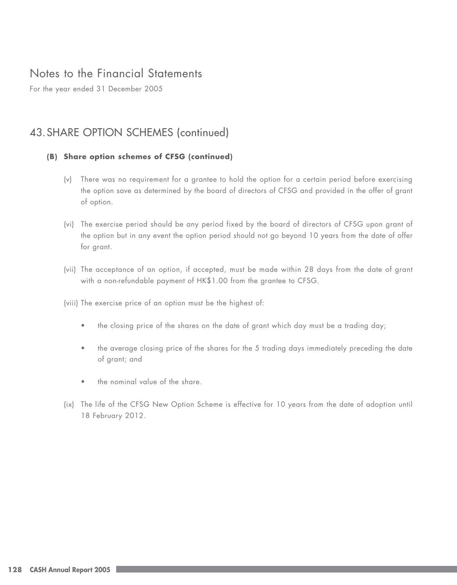For the year ended 31 December 2005

# 43.SHARE OPTION SCHEMES (continued)

#### **(B) Share option schemes of CFSG (continued)**

- (v) There was no requirement for a grantee to hold the option for a certain period before exercising the option save as determined by the board of directors of CFSG and provided in the offer of grant of option.
- (vi) The exercise period should be any period fixed by the board of directors of CFSG upon grant of the option but in any event the option period should not go beyond 10 years from the date of offer for grant.
- (vii) The acceptance of an option, if accepted, must be made within 28 days from the date of grant with a non-refundable payment of HK\$1.00 from the grantee to CFSG.

(viii) The exercise price of an option must be the highest of:

- the closing price of the shares on the date of grant which day must be a trading day;
- the average closing price of the shares for the 5 trading days immediately preceding the date of grant; and
- the nominal value of the share
- (ix) The life of the CFSG New Option Scheme is effective for 10 years from the date of adoption until 18 February 2012.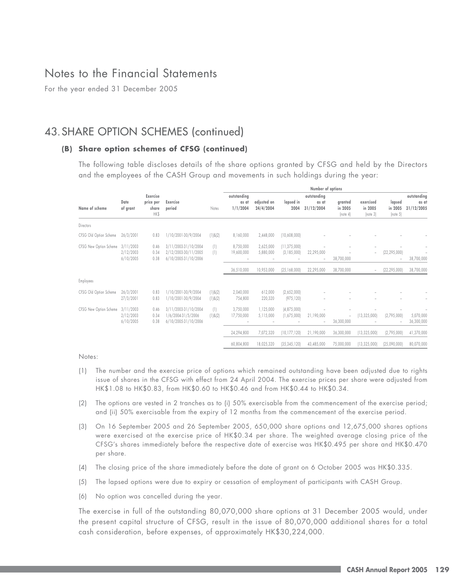For the year ended 31 December 2005

### 43.SHARE OPTION SCHEMES (continued)

#### **(B) Share option schemes of CFSG (continued)**

The following table discloses details of the share options granted by CFSG and held by the Directors and the employees of the CASH Group and movements in such holdings during the year:

| Number of options      |                                     |                                        |                                                                      |                                |                                  |                          |                                 |                                    |                                        |                                  |                                            |                                    |
|------------------------|-------------------------------------|----------------------------------------|----------------------------------------------------------------------|--------------------------------|----------------------------------|--------------------------|---------------------------------|------------------------------------|----------------------------------------|----------------------------------|--------------------------------------------|------------------------------------|
| Name of scheme         | Date<br>of grant                    | Exercise<br>price per<br>share<br>HK\$ | Exercise<br>period                                                   | Notes                          | outstanding<br>as at<br>1/1/2004 | adjusted on<br>24/4/2004 | lapsed in<br>2004               | outstanding<br>as at<br>31/12/2004 | granted<br>in 2005<br>(note 4)         | exercised<br>in 2005<br>[note 3] | lapsed<br>in 2005<br>[note 5]              | outstanding<br>as at<br>31/12/2005 |
| Directors              |                                     |                                        |                                                                      |                                |                                  |                          |                                 |                                    |                                        |                                  |                                            |                                    |
| CFSG Old Option Scheme | 26/3/2001                           | 0.83                                   | 1/10/2001-30/9/2004                                                  | $(1)$ & $(2)$                  | 8,160,000                        | 2,448,000                | (10,608,000)                    |                                    |                                        |                                  |                                            |                                    |
| CFSG New Option Scheme | 3/11/2003<br>2/12/2003<br>6/10/2005 | 0.46<br>0.34<br>0.38                   | 3/11/2003-31/10/2004<br>2/12/2003-30/11/2005<br>6/10/2005-31/10/2006 | (1)<br>(1)                     | 8,750,000<br>19,600,000          | 2,625,000<br>5,880,000   | (11, 375, 000)<br>(3, 185, 000) | 22,295,000                         | 38,700,000                             | $\overline{\phantom{a}}$         | (22, 295, 000)<br>$\overline{\phantom{a}}$ | 38,700,000                         |
|                        |                                     |                                        |                                                                      |                                | 36,510,000                       | 10,953,000               | (25, 168, 000)                  | 22,295,000                         | 38,700,000                             | $\overline{\phantom{a}}$         | (22, 295, 000)                             | 38,700,000                         |
| Employees              |                                     |                                        |                                                                      |                                |                                  |                          |                                 |                                    |                                        |                                  |                                            |                                    |
| CFSG Old Option Scheme | 26/3/2001<br>27/3/2001              | 0.83<br>0.83                           | 1/10/2001-30/9/2004<br>1/10/2001-30/9/2004                           | $(1)$ & $(2)$<br>$(1)$ & $(2)$ | 2,040,000<br>754,800             | 612,000<br>220,320       | (2,652,000)<br>(975, 120)       |                                    |                                        |                                  |                                            |                                    |
| CFSG New Option Scheme | 3/11/2003<br>2/12/2003<br>6/10/2005 | 0.46<br>0.34<br>0.38                   | 3/11/2003-31/10/2004<br>1/6/2004-31/5/2006<br>6/10/2005-31/10/2006   | (1)<br>$(1)$ & $(2)$           | 3,750,000<br>17,750,000          | 1,125,000<br>5,115,000   | [4, 875, 000]<br>(1,675,000)    | 21,190,000<br>٠                    | $\overline{\phantom{0}}$<br>36,300,000 | (13, 325, 000)                   | (2,795,000)                                | 5,070,000<br>36,300,000            |
|                        |                                     |                                        |                                                                      |                                | 24,294,800                       | 7,072,320                | (10, 177, 120)                  | 21,190,000                         | 36,300,000                             | (13, 325, 000)                   | [2,795,000]                                | 41,370,000                         |
|                        |                                     |                                        |                                                                      |                                | 60,804,800                       | 18,025,320               | [35, 345, 120]                  | 43,485,000                         | 75,000,000                             | (13, 325, 000)                   | (25,090,000)                               | 80,070,000                         |

Notes:

- (1) The number and the exercise price of options which remained outstanding have been adjusted due to rights issue of shares in the CFSG with effect from 24 April 2004. The exercise prices per share were adjusted from HK\$1.08 to HK\$0.83, from HK\$0.60 to HK\$0.46 and from HK\$0.44 to HK\$0.34.
- (2) The options are vested in 2 tranches as to (i) 50% exercisable from the commencement of the exercise period; and (ii) 50% exercisable from the expiry of 12 months from the commencement of the exercise period.
- (3) On 16 September 2005 and 26 September 2005, 650,000 share options and 12,675,000 shares options were exercised at the exercise price of HK\$0.34 per share. The weighted average closing price of the CFSG's shares immediately before the respective date of exercise was HK\$0.495 per share and HK\$0.470 per share.
- (4) The closing price of the share immediately before the date of grant on 6 October 2005 was HK\$0.335.
- (5) The lapsed options were due to expiry or cessation of employment of participants with CASH Group.
- (6) No option was cancelled during the year.

The exercise in full of the outstanding 80,070,000 share options at 31 December 2005 would, under the present capital structure of CFSG, result in the issue of 80,070,000 additional shares for a total cash consideration, before expenses, of approximately HK\$30,224,000.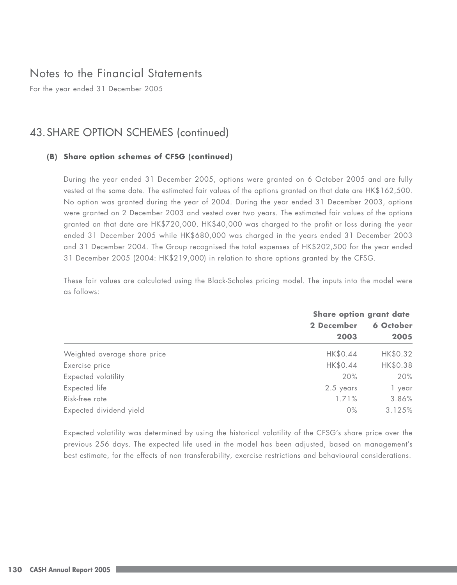For the year ended 31 December 2005

### 43.SHARE OPTION SCHEMES (continued)

#### **(B) Share option schemes of CFSG (continued)**

During the year ended 31 December 2005, options were granted on 6 October 2005 and are fully vested at the same date. The estimated fair values of the options granted on that date are HK\$162,500. No option was granted during the year of 2004. During the year ended 31 December 2003, options were granted on 2 December 2003 and vested over two years. The estimated fair values of the options granted on that date are HK\$720,000. HK\$40,000 was charged to the profit or loss during the year ended 31 December 2005 while HK\$680,000 was charged in the years ended 31 December 2003 and 31 December 2004. The Group recognised the total expenses of HK\$202,500 for the year ended 31 December 2005 (2004: HK\$219,000) in relation to share options granted by the CFSG.

These fair values are calculated using the Black-Scholes pricing model. The inputs into the model were as follows:

|                              | Share option grant date |          |  |  |
|------------------------------|-------------------------|----------|--|--|
|                              | 2 December              |          |  |  |
|                              | 2003                    | 2005     |  |  |
| Weighted average share price | HK\$0.44                | HK\$0.32 |  |  |
| Exercise price               | HK\$0.44                | HK\$0.38 |  |  |
| <b>Expected volatility</b>   | 20%                     | 20%      |  |  |
| Expected life                | 2.5 years               | 1 year   |  |  |
| Risk-free rate               | 1.71%                   | 3.86%    |  |  |
| Expected dividend yield      | $0\%$                   | 3.125%   |  |  |

Expected volatility was determined by using the historical volatility of the CFSG's share price over the previous 256 days. The expected life used in the model has been adjusted, based on management's best estimate, for the effects of non transferability, exercise restrictions and behavioural considerations.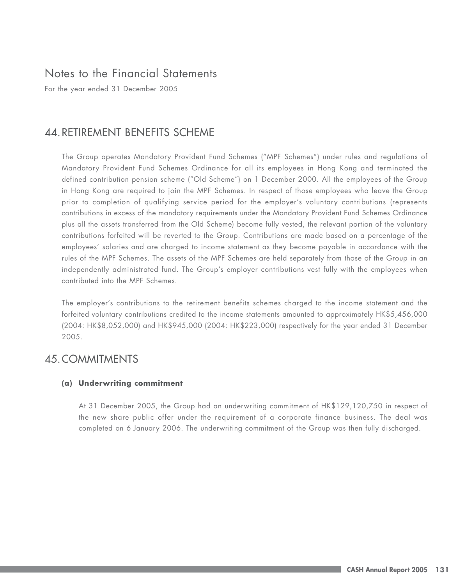For the year ended 31 December 2005

### 44.RETIREMENT BENEFITS SCHEME

The Group operates Mandatory Provident Fund Schemes ("MPF Schemes") under rules and regulations of Mandatory Provident Fund Schemes Ordinance for all its employees in Hong Kong and terminated the defined contribution pension scheme ("Old Scheme") on 1 December 2000. All the employees of the Group in Hong Kong are required to join the MPF Schemes. In respect of those employees who leave the Group prior to completion of qualifying service period for the employer's voluntary contributions (represents contributions in excess of the mandatory requirements under the Mandatory Provident Fund Schemes Ordinance plus all the assets transferred from the Old Scheme) become fully vested, the relevant portion of the voluntary contributions forfeited will be reverted to the Group. Contributions are made based on a percentage of the employees' salaries and are charged to income statement as they become payable in accordance with the rules of the MPF Schemes. The assets of the MPF Schemes are held separately from those of the Group in an independently administrated fund. The Group's employer contributions vest fully with the employees when contributed into the MPF Schemes.

The employer's contributions to the retirement benefits schemes charged to the income statement and the forfeited voluntary contributions credited to the income statements amounted to approximately HK\$5,456,000 (2004: HK\$8,052,000) and HK\$945,000 (2004: HK\$223,000) respectively for the year ended 31 December 2005.

### 45.COMMITMENTS

#### **(a) Underwriting commitment**

At 31 December 2005, the Group had an underwriting commitment of HK\$129,120,750 in respect of the new share public offer under the requirement of a corporate finance business. The deal was completed on 6 January 2006. The underwriting commitment of the Group was then fully discharged.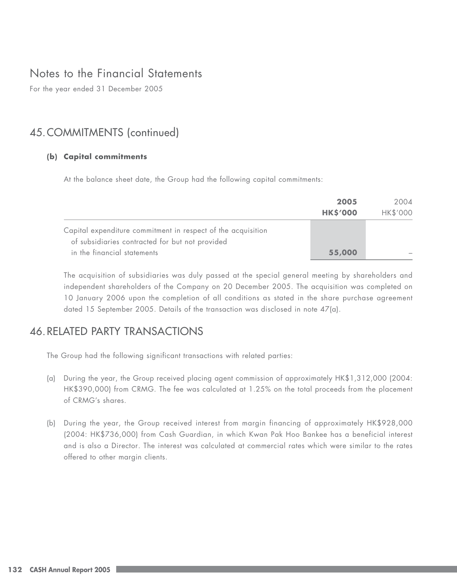For the year ended 31 December 2005

# 45.COMMITMENTS (continued)

#### **(b) Capital commitments**

At the balance sheet date, the Group had the following capital commitments:

|                                                                                                                 | 2005            | 2004     |
|-----------------------------------------------------------------------------------------------------------------|-----------------|----------|
|                                                                                                                 | <b>HK\$'000</b> | HK\$'000 |
| Capital expenditure commitment in respect of the acquisition<br>of subsidiaries contracted for but not provided |                 |          |
| in the financial statements                                                                                     | 55,000          |          |

The acquisition of subsidiaries was duly passed at the special general meeting by shareholders and independent shareholders of the Company on 20 December 2005. The acquisition was completed on 10 January 2006 upon the completion of all conditions as stated in the share purchase agreement dated 15 September 2005. Details of the transaction was disclosed in note 47(a).

### 46.RELATED PARTY TRANSACTIONS

The Group had the following significant transactions with related parties:

- (a) During the year, the Group received placing agent commission of approximately HK\$1,312,000 (2004: HK\$390,000) from CRMG. The fee was calculated at 1.25% on the total proceeds from the placement of CRMG's shares.
- (b) During the year, the Group received interest from margin financing of approximately HK\$928,000 (2004: HK\$736,000) from Cash Guardian, in which Kwan Pak Hoo Bankee has a beneficial interest and is also a Director. The interest was calculated at commercial rates which were similar to the rates offered to other margin clients.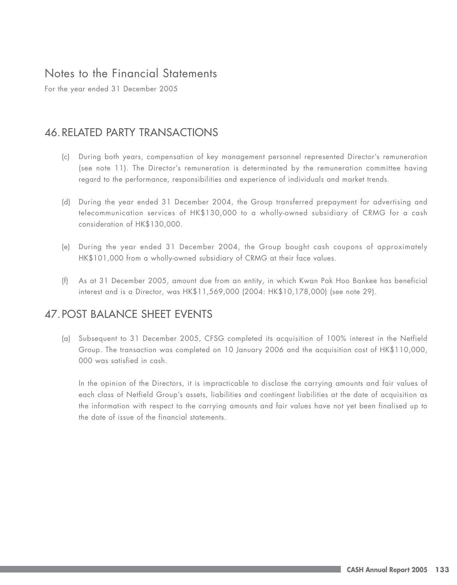For the year ended 31 December 2005

### 46.RELATED PARTY TRANSACTIONS

- (c) During both years, compensation of key management personnel represented Director's remuneration (see note 11). The Director's remuneration is determinated by the remuneration committee having regard to the performance, responsibilities and experience of individuals and market trends.
- (d) During the year ended 31 December 2004, the Group transferred prepayment for advertising and telecommunication services of HK\$130,000 to a wholly-owned subsidiary of CRMG for a cash consideration of HK\$130,000.
- (e) During the year ended 31 December 2004, the Group bought cash coupons of approximately HK\$101,000 from a wholly-owned subsidiary of CRMG at their face values.
- (f) As at 31 December 2005, amount due from an entity, in which Kwan Pak Hoo Bankee has beneficial interest and is a Director, was HK\$11,569,000 (2004: HK\$10,178,000) (see note 29).

### 47.POST BALANCE SHEET EVENTS

(a) Subsequent to 31 December 2005, CFSG completed its acquisition of 100% interest in the Netfield Group. The transaction was completed on 10 January 2006 and the acquisition cost of HK\$110,000, 000 was satisfied in cash.

In the opinion of the Directors, it is impracticable to disclose the carrying amounts and fair values of each class of Netfield Group's assets, liabilities and contingent liabilities at the date of acquisition as the information with respect to the carrying amounts and fair values have not yet been finalised up to the date of issue of the financial statements.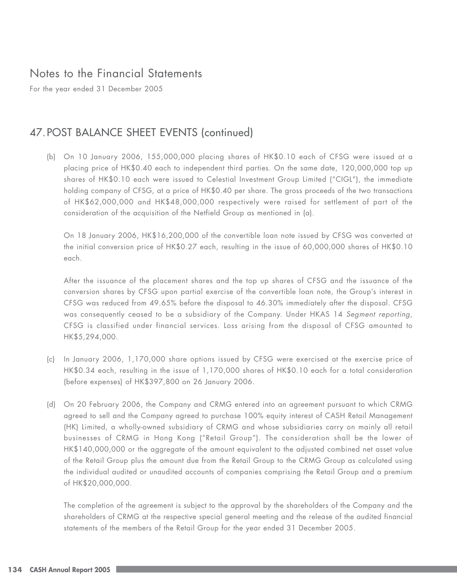For the year ended 31 December 2005

# 47.POST BALANCE SHEET EVENTS (continued)

(b) On 10 January 2006, 155,000,000 placing shares of HK\$0.10 each of CFSG were issued at a placing price of HK\$0.40 each to independent third parties. On the same date, 120,000,000 top up shares of HK\$0.10 each were issued to Celestial Investment Group Limited ("CIGL"), the immediate holding company of CFSG, at a price of HK\$0.40 per share. The gross proceeds of the two transactions of HK\$62,000,000 and HK\$48,000,000 respectively were raised for settlement of part of the consideration of the acquisition of the Netfield Group as mentioned in (a).

On 18 January 2006, HK\$16,200,000 of the convertible loan note issued by CFSG was converted at the initial conversion price of HK\$0.27 each, resulting in the issue of 60,000,000 shares of HK\$0.10 each.

After the issuance of the placement shares and the top up shares of CFSG and the issuance of the conversion shares by CFSG upon partial exercise of the convertible loan note, the Group's interest in CFSG was reduced from 49.65% before the disposal to 46.30% immediately after the disposal. CFSG was consequently ceased to be a subsidiary of the Company. Under HKAS 14 Segment reporting, CFSG is classified under financial services. Loss arising from the disposal of CFSG amounted to HK\$5,294,000.

- (c) In January 2006, 1,170,000 share options issued by CFSG were exercised at the exercise price of HK\$0.34 each, resulting in the issue of 1,170,000 shares of HK\$0.10 each for a total consideration (before expenses) of HK\$397,800 on 26 January 2006.
- (d) On 20 February 2006, the Company and CRMG entered into an agreement pursuant to which CRMG agreed to sell and the Company agreed to purchase 100% equity interest of CASH Retail Management (HK) Limited, a wholly-owned subsidiary of CRMG and whose subsidiaries carry on mainly all retail businesses of CRMG in Hong Kong ("Retail Group"). The consideration shall be the lower of HK\$140,000,000 or the aggregate of the amount equivalent to the adjusted combined net asset value of the Retail Group plus the amount due from the Retail Group to the CRMG Group as calculated using the individual audited or unaudited accounts of companies comprising the Retail Group and a premium of HK\$20,000,000.

The completion of the agreement is subject to the approval by the shareholders of the Company and the shareholders of CRMG at the respective special general meeting and the release of the audited financial statements of the members of the Retail Group for the year ended 31 December 2005.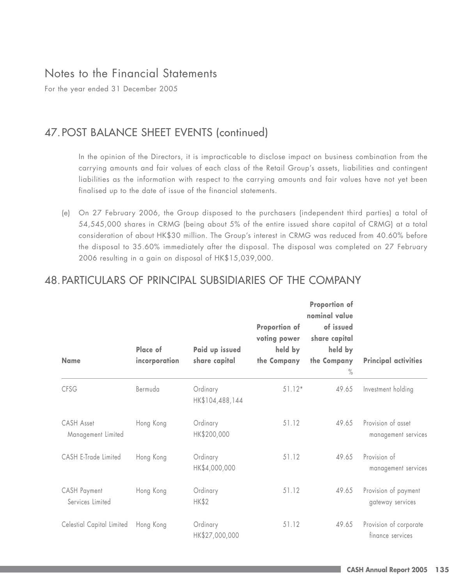For the year ended 31 December 2005

# 47.POST BALANCE SHEET EVENTS (continued)

In the opinion of the Directors, it is impracticable to disclose impact on business combination from the carrying amounts and fair values of each class of the Retail Group's assets, liabilities and contingent liabilities as the information with respect to the carrying amounts and fair values have not yet been finalised up to the date of issue of the financial statements.

(e) On 27 February 2006, the Group disposed to the purchasers (independent third parties) a total of 54,545,000 shares in CRMG (being about 5% of the entire issued share capital of CRMG) at a total consideration of about HK\$30 million. The Group's interest in CRMG was reduced from 40.60% before the disposal to 35.60% immediately after the disposal. The disposal was completed on 27 February 2006 resulting in a gain on disposal of HK\$15,039,000.

### 48.PARTICULARS OF PRINCIPAL SUBSIDIARIES OF THE COMPANY

| <b>Name</b>                      | Place of<br>incorporation | Paid up issued<br>share capital | <b>Proportion of</b><br>voting power<br>held by<br>the Company | <b>Proportion of</b><br>nominal value<br>of issued<br>share capital<br>held by<br>the Company<br>$\%$ | <b>Principal activities</b>                |
|----------------------------------|---------------------------|---------------------------------|----------------------------------------------------------------|-------------------------------------------------------------------------------------------------------|--------------------------------------------|
| <b>CFSG</b>                      | Bermuda                   | Ordinary<br>HK\$104,488,144     | $51.12*$                                                       | 49.65                                                                                                 | Investment holding                         |
| CASH Asset<br>Management Limited | Hong Kong                 | Ordinary<br>HK\$200,000         | 51.12                                                          | 49.65                                                                                                 | Provision of asset<br>management services  |
| CASH E-Trade Limited             | Hong Kong                 | Ordinary<br>HK\$4,000,000       | 51.12                                                          | 49.65                                                                                                 | Provision of<br>management services        |
| CASH Payment<br>Services Limited | Hong Kong                 | Ordinary<br><b>HK\$2</b>        | 51.12                                                          | 49.65                                                                                                 | Provision of payment<br>gateway services   |
| Celestial Capital Limited        | Hong Kong                 | Ordinary<br>HK\$27,000,000      | 51.12                                                          | 49.65                                                                                                 | Provision of corporate<br>finance services |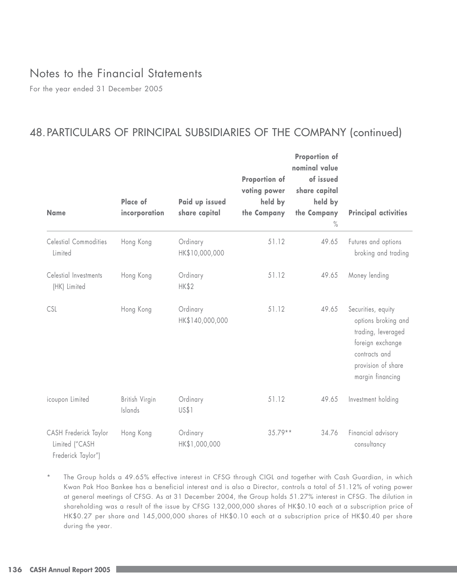For the year ended 31 December 2005

### 48.PARTICULARS OF PRINCIPAL SUBSIDIARIES OF THE COMPANY (continued)

| <b>Name</b>                                                   | Place of<br>incorporation | Paid up issued<br>share capital | <b>Proportion of</b><br>voting power<br>held by<br>the Company | <b>Proportion of</b><br>nominal value<br>of issued<br>share capital<br>held by<br>the Company<br>$\%$ | <b>Principal activities</b>                                                                                                                    |
|---------------------------------------------------------------|---------------------------|---------------------------------|----------------------------------------------------------------|-------------------------------------------------------------------------------------------------------|------------------------------------------------------------------------------------------------------------------------------------------------|
| <b>Celestial Commodities</b><br>Limited                       | Hong Kong                 | Ordinary<br>HK\$10,000,000      | 51.12                                                          | 49.65                                                                                                 | Futures and options<br>broking and trading                                                                                                     |
| Celestial Investments<br>(HK) Limited                         | Hong Kong                 | Ordinary<br><b>HK\$2</b>        | 51.12                                                          | 49.65                                                                                                 | Money lending                                                                                                                                  |
| CSL                                                           | Hong Kong                 | Ordinary<br>HK\$140,000,000     | 51.12                                                          | 49.65                                                                                                 | Securities, equity<br>options broking and<br>trading, leveraged<br>foreign exchange<br>contracts and<br>provision of share<br>margin financing |
| icoupon Limited                                               | British Virgin<br>Islands | Ordinary<br>US\$1               | 51.12                                                          | 49.65                                                                                                 | Investment holding                                                                                                                             |
| CASH Frederick Taylor<br>Limited ("CASH<br>Frederick Taylor") | Hong Kong                 | Ordinary<br>HK\$1,000,000       | $35.79**$                                                      | 34.76                                                                                                 | Financial advisory<br>consultancy                                                                                                              |

The Group holds a 49.65% effective interest in CFSG through CIGL and together with Cash Guardian, in which Kwan Pak Hoo Bankee has a beneficial interest and is also a Director, controls a total of 51.12% of voting power at general meetings of CFSG. As at 31 December 2004, the Group holds 51.27% interest in CFSG. The dilution in shareholding was a result of the issue by CFSG 132,000,000 shares of HK\$0.10 each at a subscription price of HK\$0.27 per share and 145,000,000 shares of HK\$0.10 each at a subscription price of HK\$0.40 per share during the year.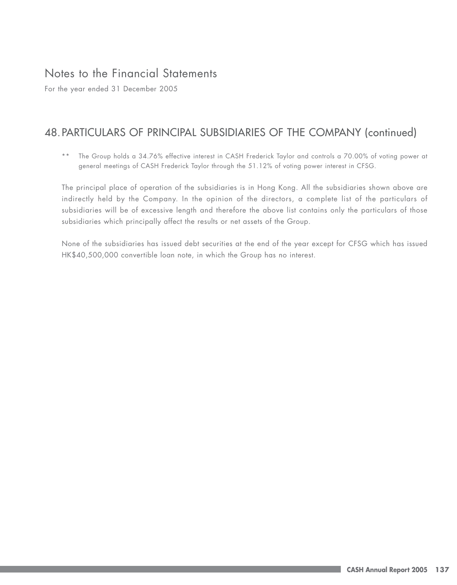For the year ended 31 December 2005

### 48.PARTICULARS OF PRINCIPAL SUBSIDIARIES OF THE COMPANY (continued)

\*\* The Group holds a 34.76% effective interest in CASH Frederick Taylor and controls a 70.00% of voting power at general meetings of CASH Frederick Taylor through the 51.12% of voting power interest in CFSG.

The principal place of operation of the subsidiaries is in Hong Kong. All the subsidiaries shown above are indirectly held by the Company. In the opinion of the directors, a complete list of the particulars of subsidiaries will be of excessive length and therefore the above list contains only the particulars of those subsidiaries which principally affect the results or net assets of the Group.

None of the subsidiaries has issued debt securities at the end of the year except for CFSG which has issued HK\$40,500,000 convertible loan note, in which the Group has no interest.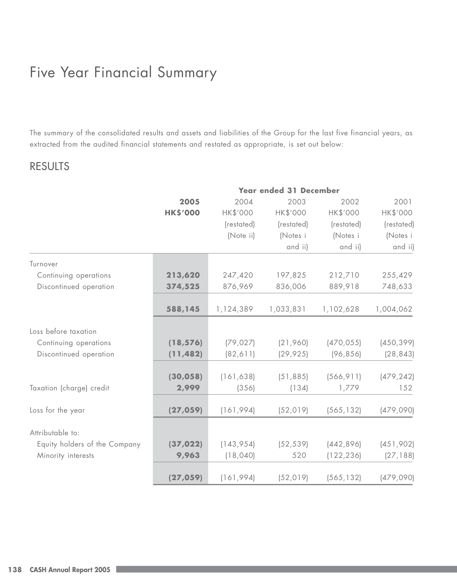# Five Year Financial Summary

The summary of the consolidated results and assets and liabilities of the Group for the last five financial years, as extracted from the audited financial statements and restated as appropriate, is set out below:

### RESULTS

|                               |                 |            | Year ended 31 December |            |            |
|-------------------------------|-----------------|------------|------------------------|------------|------------|
|                               | 2005            | 2004       | 2003                   | 2002       | 2001       |
|                               | <b>HK\$'000</b> | HK\$'000   | HK\$'000               | HK\$'000   | HK\$'000   |
|                               |                 | (restated) | (restated)             | (restated) | (restated) |
|                               |                 | (Note ii)  | (Notes i               | (Notes i   | (Notes i   |
|                               |                 |            | and ii)                | and ii)    | and ii)    |
| Turnover                      |                 |            |                        |            |            |
| Continuing operations         | 213,620         | 247,420    | 197,825                | 212,710    | 255,429    |
| Discontinued operation        | 374,525         | 876,969    | 836,006                | 889,918    | 748,633    |
|                               | 588,145         | 1,124,389  | 1,033,831              | 1,102,628  | 1,004,062  |
| Loss before taxation          |                 |            |                        |            |            |
| Continuing operations         | (18, 576)       | (79, 027)  | (21,960)               | (470, 055) | (450, 399) |
| Discontinued operation        | (11, 482)       | (82, 611)  | (29, 925)              | (96, 856)  | (28, 843)  |
|                               | (30, 058)       | (161, 638) | (51, 885)              | (566, 911) | (479, 242) |
| Taxation (charge) credit      | 2,999           | (356)      | (134)                  | 1,779      | 152        |
|                               |                 |            |                        |            |            |
| Loss for the year             | (27, 059)       | (161,994)  | (52, 019)              | (565, 132) | (479,090)  |
| Attributable to:              |                 |            |                        |            |            |
| Equity holders of the Company | (37, 022)       | (143, 954) | (52, 539)              | (442, 896) | (451,902)  |
| Minority interests            | 9,963           | (18,040)   | 520                    | (122, 236) | (27, 188)  |
|                               | (27, 059)       | (161,994)  | (52, 019)              | (565, 132) | (479,090)  |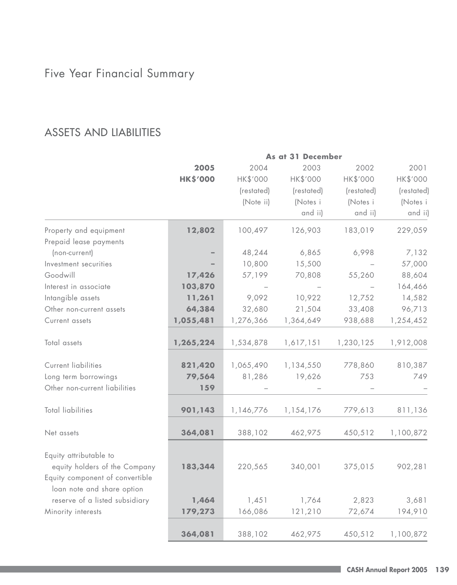# Five Year Financial Summary

# ASSETS AND LIABILITIES

|                                                               | As at 31 December |            |            |            |            |
|---------------------------------------------------------------|-------------------|------------|------------|------------|------------|
|                                                               | 2005              | 2004       | 2003       | 2002       | 2001       |
|                                                               | <b>HK\$'000</b>   | HK\$'000   | HK\$'000   | HK\$'000   | HK\$'000   |
|                                                               |                   | (restated) | (restated) | (restated) | (restated) |
|                                                               |                   | (Note ii)  | (Notes i   | (Notes i   | (Notes i   |
|                                                               |                   |            | and ii)    | and ii)    | and ii)    |
| Property and equipment                                        | 12,802            | 100,497    | 126,903    | 183,019    | 229,059    |
| Prepaid lease payments                                        |                   |            |            |            |            |
| (non-current)                                                 |                   | 48,244     | 6,865      | 6,998      | 7,132      |
| Investment securities                                         |                   | 10,800     | 15,500     |            | 57,000     |
| Goodwill                                                      | 17,426            | 57,199     | 70,808     | 55,260     | 88,604     |
| Interest in associate                                         | 103,870           |            |            |            | 164,466    |
| Intangible assets                                             | 11,261            | 9,092      | 10,922     | 12,752     | 14,582     |
| Other non-current assets                                      | 64,384            | 32,680     | 21,504     | 33,408     | 96,713     |
| Current assets                                                | 1,055,481         | 1,276,366  | 1,364,649  | 938,688    | 1,254,452  |
| Total assets                                                  | 1,265,224         | 1,534,878  | 1,617,151  | 1,230,125  | 1,912,008  |
| Current liabilities                                           | 821,420           | 1,065,490  | 1,134,550  | 778,860    | 810,387    |
| Long term borrowings                                          | 79,564            | 81,286     | 19,626     | 753        | 749        |
| Other non-current liabilities                                 | 159               |            |            |            |            |
|                                                               |                   |            |            |            |            |
| <b>Total liabilities</b>                                      | 901,143           | 1,146,776  | 1,154,176  | 779,613    | 811,136    |
| Net assets                                                    | 364,081           | 388,102    | 462,975    | 450,512    | 1,100,872  |
| Equity attributable to                                        |                   |            |            |            |            |
| equity holders of the Company                                 | 183,344           | 220,565    | 340,001    | 375,015    | 902,281    |
| Equity component of convertible<br>loan note and share option |                   |            |            |            |            |
| reserve of a listed subsidiary                                | 1,464             | 1,451      | 1,764      | 2,823      | 3,681      |
| Minority interests                                            | 179,273           | 166,086    | 121,210    | 72,674     | 194,910    |
|                                                               | 364,081           | 388,102    | 462,975    | 450,512    | 1,100,872  |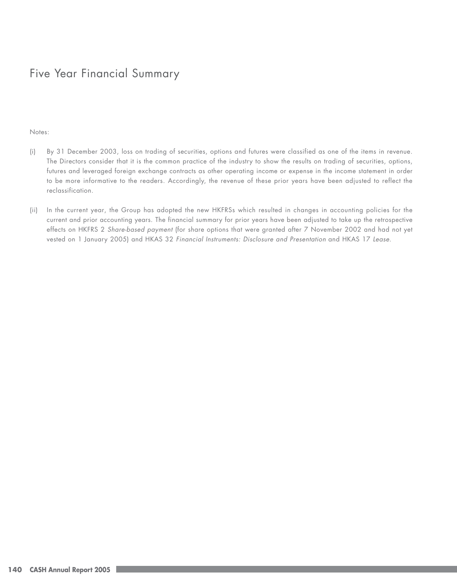# Five Year Financial Summary

Notes:

- (i) By 31 December 2003, loss on trading of securities, options and futures were classified as one of the items in revenue. The Directors consider that it is the common practice of the industry to show the results on trading of securities, options, futures and leveraged foreign exchange contracts as other operating income or expense in the income statement in order to be more informative to the readers. Accordingly, the revenue of these prior years have been adjusted to reflect the reclassification.
- (ii) In the current year, the Group has adopted the new HKFRSs which resulted in changes in accounting policies for the current and prior accounting years. The financial summary for prior years have been adjusted to take up the retrospective effects on HKFRS 2 Share-based payment (for share options that were granted after 7 November 2002 and had not yet vested on 1 January 2005) and HKAS 32 Financial Instruments: Disclosure and Presentation and HKAS 17 Lease.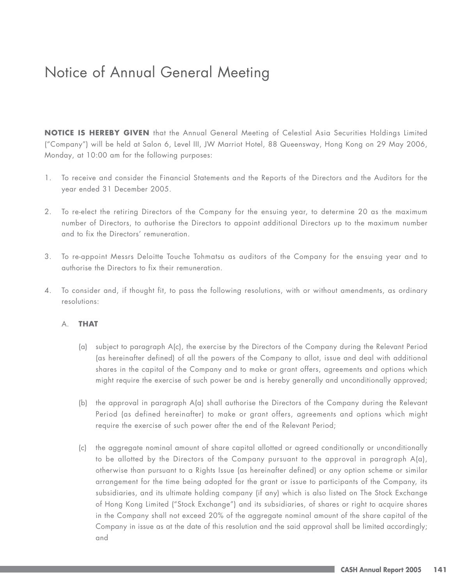# Notice of Annual General Meeting

**NOTICE IS HEREBY GIVEN** that the Annual General Meeting of Celestial Asia Securities Holdings Limited ("Company") will be held at Salon 6, Level III, JW Marriot Hotel, 88 Queensway, Hong Kong on 29 May 2006, Monday, at 10:00 am for the following purposes:

- 1. To receive and consider the Financial Statements and the Reports of the Directors and the Auditors for the year ended 31 December 2005.
- 2. To re-elect the retiring Directors of the Company for the ensuing year, to determine 20 as the maximum number of Directors, to authorise the Directors to appoint additional Directors up to the maximum number and to fix the Directors' remuneration.
- 3. To re-appoint Messrs Deloitte Touche Tohmatsu as auditors of the Company for the ensuing year and to authorise the Directors to fix their remuneration.
- 4. To consider and, if thought fit, to pass the following resolutions, with or without amendments, as ordinary resolutions:

#### A. **THAT**

- (a) subject to paragraph A(c), the exercise by the Directors of the Company during the Relevant Period (as hereinafter defined) of all the powers of the Company to allot, issue and deal with additional shares in the capital of the Company and to make or grant offers, agreements and options which might require the exercise of such power be and is hereby generally and unconditionally approved;
- (b) the approval in paragraph A(a) shall authorise the Directors of the Company during the Relevant Period (as defined hereinafter) to make or grant offers, agreements and options which might require the exercise of such power after the end of the Relevant Period;
- (c) the aggregate nominal amount of share capital allotted or agreed conditionally or unconditionally to be allotted by the Directors of the Company pursuant to the approval in paragraph A(a), otherwise than pursuant to a Rights Issue (as hereinafter defined) or any option scheme or similar arrangement for the time being adopted for the grant or issue to participants of the Company, its subsidiaries, and its ultimate holding company (if any) which is also listed on The Stock Exchange of Hong Kong Limited ("Stock Exchange") and its subsidiaries, of shares or right to acquire shares in the Company shall not exceed 20% of the aggregate nominal amount of the share capital of the Company in issue as at the date of this resolution and the said approval shall be limited accordingly; and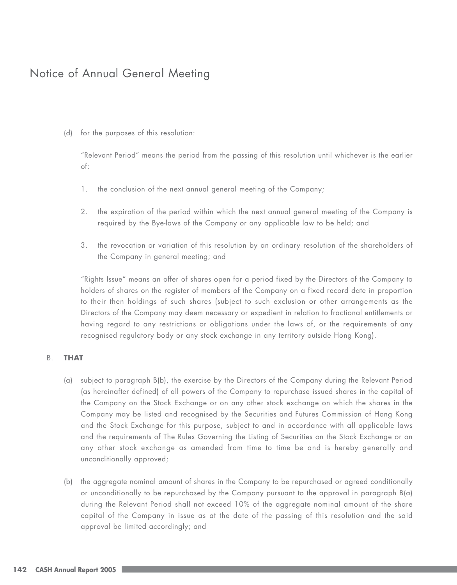# Notice of Annual General Meeting

(d) for the purposes of this resolution:

"Relevant Period" means the period from the passing of this resolution until whichever is the earlier of:

- 1. the conclusion of the next annual general meeting of the Company;
- 2. the expiration of the period within which the next annual general meeting of the Company is required by the Bye-laws of the Company or any applicable law to be held; and
- 3. the revocation or variation of this resolution by an ordinary resolution of the shareholders of the Company in general meeting; and

"Rights Issue" means an offer of shares open for a period fixed by the Directors of the Company to holders of shares on the register of members of the Company on a fixed record date in proportion to their then holdings of such shares (subject to such exclusion or other arrangements as the Directors of the Company may deem necessary or expedient in relation to fractional entitlements or having regard to any restrictions or obligations under the laws of, or the requirements of any recognised regulatory body or any stock exchange in any territory outside Hong Kong).

#### B. **THAT**

- (a) subject to paragraph B(b), the exercise by the Directors of the Company during the Relevant Period (as hereinafter defined) of all powers of the Company to repurchase issued shares in the capital of the Company on the Stock Exchange or on any other stock exchange on which the shares in the Company may be listed and recognised by the Securities and Futures Commission of Hong Kong and the Stock Exchange for this purpose, subject to and in accordance with all applicable laws and the requirements of The Rules Governing the Listing of Securities on the Stock Exchange or on any other stock exchange as amended from time to time be and is hereby generally and unconditionally approved;
- (b) the aggregate nominal amount of shares in the Company to be repurchased or agreed conditionally or unconditionally to be repurchased by the Company pursuant to the approval in paragraph B(a) during the Relevant Period shall not exceed 10% of the aggregate nominal amount of the share capital of the Company in issue as at the date of the passing of this resolution and the said approval be limited accordingly; and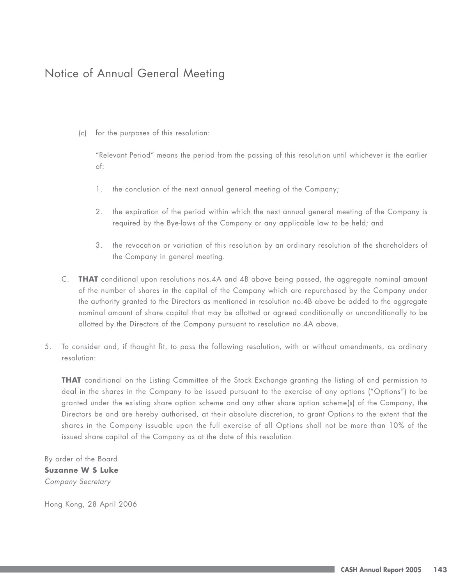# Notice of Annual General Meeting

(c) for the purposes of this resolution:

"Relevant Period" means the period from the passing of this resolution until whichever is the earlier of:

- 1. the conclusion of the next annual general meeting of the Company;
- 2. the expiration of the period within which the next annual general meeting of the Company is required by the Bye-laws of the Company or any applicable law to be held; and
- 3. the revocation or variation of this resolution by an ordinary resolution of the shareholders of the Company in general meeting.
- C. **THAT** conditional upon resolutions nos.4A and 4B above being passed, the aggregate nominal amount of the number of shares in the capital of the Company which are repurchased by the Company under the authority granted to the Directors as mentioned in resolution no.4B above be added to the aggregate nominal amount of share capital that may be allotted or agreed conditionally or unconditionally to be allotted by the Directors of the Company pursuant to resolution no.4A above.
- 5. To consider and, if thought fit, to pass the following resolution, with or without amendments, as ordinary resolution:

**THAT** conditional on the Listing Committee of the Stock Exchange granting the listing of and permission to deal in the shares in the Company to be issued pursuant to the exercise of any options ("Options") to be granted under the existing share option scheme and any other share option scheme(s) of the Company, the Directors be and are hereby authorised, at their absolute discretion, to grant Options to the extent that the shares in the Company issuable upon the full exercise of all Options shall not be more than 10% of the issued share capital of the Company as at the date of this resolution.

By order of the Board **Suzanne W S Luke** Company Secretary

Hong Kong, 28 April 2006